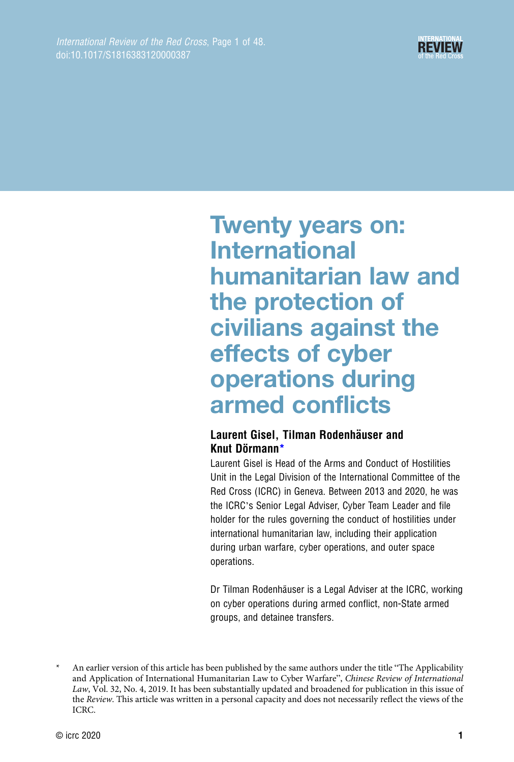

# Twenty years on: International humanitarian law and the protection of civilians against the effects of cyber operations during armed conflicts

# Laurent Gisel, Tilman Rodenhäuser and Knut Dörmann\*

Laurent Gisel is Head of the Arms and Conduct of Hostilities Unit in the Legal Division of the International Committee of the Red Cross (ICRC) in Geneva. Between 2013 and 2020, he was the ICRC's Senior Legal Adviser, Cyber Team Leader and file holder for the rules governing the conduct of hostilities under international humanitarian law, including their application during urban warfare, cyber operations, and outer space operations.

Dr Tilman Rodenhäuser is a Legal Adviser at the ICRC, working on cyber operations during armed conflict, non-State armed groups, and detainee transfers.

An earlier version of this article has been published by the same authors under the title "The Applicability and Application of International Humanitarian Law to Cyber Warfare", Chinese Review of International Law, Vol. 32, No. 4, 2019. It has been substantially updated and broadened for publication in this issue of the Review. This article was written in a personal capacity and does not necessarily reflect the views of the ICRC.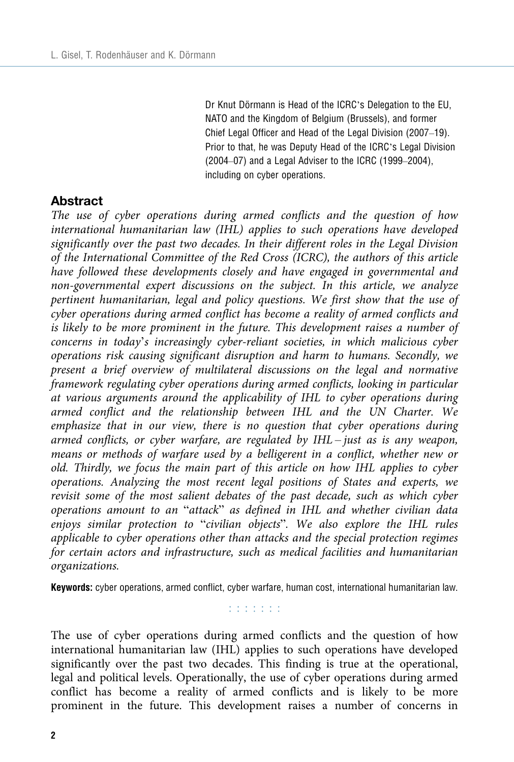Dr Knut Dörmann is Head of the ICRC's Delegation to the EU, NATO and the Kingdom of Belgium (Brussels), and former Chief Legal Officer and Head of the Legal Division (2007–19). Prior to that, he was Deputy Head of the ICRC's Legal Division (2004–07) and a Legal Adviser to the ICRC (1999–2004), including on cyber operations.

## **Abstract**

The use of cyber operations during armed conflicts and the question of how international humanitarian law (IHL) applies to such operations have developed significantly over the past two decades. In their different roles in the Legal Division of the International Committee of the Red Cross (ICRC), the authors of this article have followed these developments closely and have engaged in governmental and non-governmental expert discussions on the subject. In this article, we analyze pertinent humanitarian, legal and policy questions. We first show that the use of cyber operations during armed conflict has become a reality of armed conflicts and is likely to be more prominent in the future. This development raises a number of concerns in today's increasingly cyber-reliant societies, in which malicious cyber operations risk causing significant disruption and harm to humans. Secondly, we present a brief overview of multilateral discussions on the legal and normative framework regulating cyber operations during armed conflicts, looking in particular at various arguments around the applicability of IHL to cyber operations during armed conflict and the relationship between IHL and the UN Charter. We emphasize that in our view, there is no question that cyber operations during armed conflicts, or cyber warfare, are regulated by  $IHL - just$  as is any weapon, means or methods of warfare used by a belligerent in a conflict, whether new or old. Thirdly, we focus the main part of this article on how IHL applies to cyber operations. Analyzing the most recent legal positions of States and experts, we revisit some of the most salient debates of the past decade, such as which cyber operations amount to an "attack" as defined in IHL and whether civilian data enjoys similar protection to "civilian objects". We also explore the IHL rules applicable to cyber operations other than attacks and the special protection regimes for certain actors and infrastructure, such as medical facilities and humanitarian organizations.

Keywords: cyber operations, armed conflict, cyber warfare, human cost, international humanitarian law.

r r r r r r r

The use of cyber operations during armed conflicts and the question of how international humanitarian law (IHL) applies to such operations have developed significantly over the past two decades. This finding is true at the operational, legal and political levels. Operationally, the use of cyber operations during armed conflict has become a reality of armed conflicts and is likely to be more prominent in the future. This development raises a number of concerns in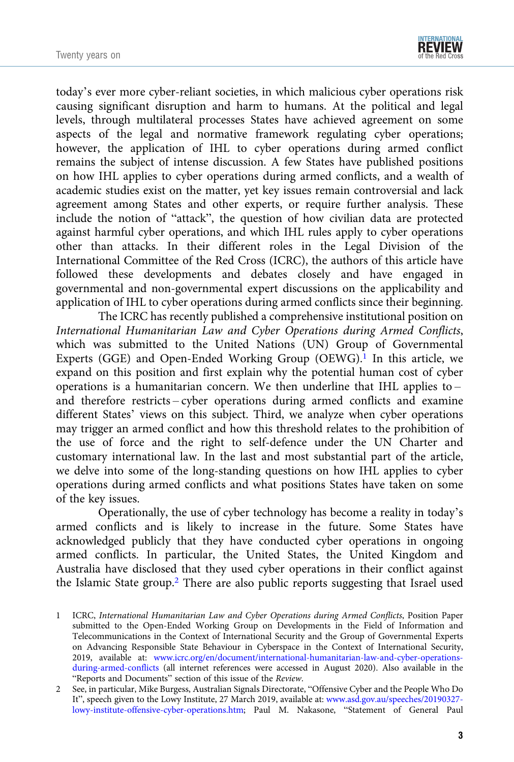

today's ever more cyber-reliant societies, in which malicious cyber operations risk causing significant disruption and harm to humans. At the political and legal levels, through multilateral processes States have achieved agreement on some aspects of the legal and normative framework regulating cyber operations; however, the application of IHL to cyber operations during armed conflict remains the subject of intense discussion. A few States have published positions on how IHL applies to cyber operations during armed conflicts, and a wealth of academic studies exist on the matter, yet key issues remain controversial and lack agreement among States and other experts, or require further analysis. These include the notion of "attack", the question of how civilian data are protected against harmful cyber operations, and which IHL rules apply to cyber operations other than attacks. In their different roles in the Legal Division of the International Committee of the Red Cross (ICRC), the authors of this article have followed these developments and debates closely and have engaged in governmental and non-governmental expert discussions on the applicability and application of IHL to cyber operations during armed conflicts since their beginning.

The ICRC has recently published a comprehensive institutional position on International Humanitarian Law and Cyber Operations during Armed Conflicts, which was submitted to the United Nations (UN) Group of Governmental Experts (GGE) and Open-Ended Working Group (OEWG).<sup>1</sup> In this article, we expand on this position and first explain why the potential human cost of cyber operations is a humanitarian concern. We then underline that IHL applies to – and therefore restricts – cyber operations during armed conflicts and examine different States' views on this subject. Third, we analyze when cyber operations may trigger an armed conflict and how this threshold relates to the prohibition of the use of force and the right to self-defence under the UN Charter and customary international law. In the last and most substantial part of the article, we delve into some of the long-standing questions on how IHL applies to cyber operations during armed conflicts and what positions States have taken on some of the key issues.

Operationally, the use of cyber technology has become a reality in today's armed conflicts and is likely to increase in the future. Some States have acknowledged publicly that they have conducted cyber operations in ongoing armed conflicts. In particular, the United States, the United Kingdom and Australia have disclosed that they used cyber operations in their conflict against the Islamic State group.<sup>2</sup> There are also public reports suggesting that Israel used

<sup>1</sup> ICRC, International Humanitarian Law and Cyber Operations during Armed Conflicts, Position Paper submitted to the Open-Ended Working Group on Developments in the Field of Information and Telecommunications in the Context of International Security and the Group of Governmental Experts on Advancing Responsible State Behaviour in Cyberspace in the Context of International Security, 2019, available at: [www.icrc.org/en/document/international-humanitarian-law-and-cyber-operations](https://www.icrc.org/en/document/international-humanitarian-law-and-cyber-operations-during-armed-conflicts)[during-armed-conflicts](https://www.icrc.org/en/document/international-humanitarian-law-and-cyber-operations-during-armed-conflicts) (all internet references were accessed in August 2020). Also available in the "Reports and Documents" section of this issue of the Review.

<sup>2</sup> See, in particular, Mike Burgess, Australian Signals Directorate, "Offensive Cyber and the People Who Do It", speech given to the Lowy Institute, 27 March 2019, available at: [www.asd.gov.au/speeches/20190327](https://www.asd.gov.au/speeches/20190327-lowy-institute-offensive-cyber-operations.htm) [lowy-institute-offensive-cyber-operations.htm](https://www.asd.gov.au/speeches/20190327-lowy-institute-offensive-cyber-operations.htm); Paul M. Nakasone, "Statement of General Paul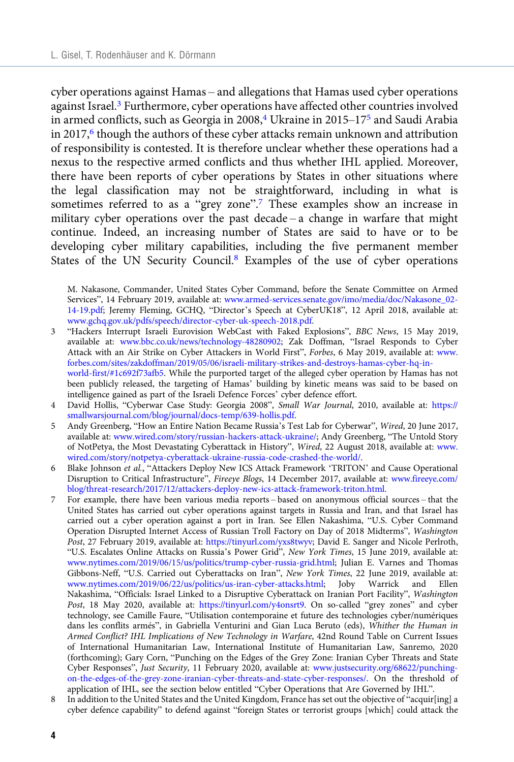cyber operations against Hamas – and allegations that Hamas used cyber operations against Israel.3 Furthermore, cyber operations have affected other countries involved in armed conflicts, such as Georgia in  $2008<sup>4</sup>$  Ukraine in  $2015-17<sup>5</sup>$  and Saudi Arabia in 2017,<sup>6</sup> though the authors of these cyber attacks remain unknown and attribution of responsibility is contested. It is therefore unclear whether these operations had a nexus to the respective armed conflicts and thus whether IHL applied. Moreover, there have been reports of cyber operations by States in other situations where the legal classification may not be straightforward, including in what is sometimes referred to as a "grey zone".<sup>7</sup> These examples show an increase in military cyber operations over the past decade – a change in warfare that might continue. Indeed, an increasing number of States are said to have or to be developing cyber military capabilities, including the five permanent member States of the UN Security Council.8 Examples of the use of cyber operations

M. Nakasone, Commander, United States Cyber Command, before the Senate Committee on Armed Services", 14 February 2019, available at: [www.armed-services.senate.gov/imo/media/doc/Nakasone\\_02-](https://www.armed-services.senate.gov/imo/media/doc/Nakasone_02-14-19.pdf) [14-19.pdf;](https://www.armed-services.senate.gov/imo/media/doc/Nakasone_02-14-19.pdf) Jeremy Fleming, GCHQ, "Director's Speech at CyberUK18", 12 April 2018, available at: [www.gchq.gov.uk/pdfs/speech/director-cyber-uk-speech-2018.pdf.](https://www.gchq.gov.uk/pdfs/speech/director-cyber-uk-speech-2018.pdf)

3 "Hackers Interrupt Israeli Eurovision WebCast with Faked Explosions", BBC News, 15 May 2019, available at: [www.bbc.co.uk/news/technology-48280902](https://www.bbc.co.uk/news/technology-48280902); Zak Doffman, "Israel Responds to Cyber Attack with an Air Strike on Cyber Attackers in World First", Forbes, 6 May 2019, available at: [www.](https://www.forbes.com/sites/zakdoffman/2019/05/06/israeli-military-strikes-and-destroys-hamas-cyber-hq-in-world-first/#1c692f73afb5) [forbes.com/sites/zakdoffman/2019/05/06/israeli-military-strikes-and-destroys-hamas-cyber-hq-in](https://www.forbes.com/sites/zakdoffman/2019/05/06/israeli-military-strikes-and-destroys-hamas-cyber-hq-in-world-first/#1c692f73afb5)[world-first/#1c692f73afb5.](https://www.forbes.com/sites/zakdoffman/2019/05/06/israeli-military-strikes-and-destroys-hamas-cyber-hq-in-world-first/#1c692f73afb5) While the purported target of the alleged cyber operation by Hamas has not been publicly released, the targeting of Hamas' building by kinetic means was said to be based on

intelligence gained as part of the Israeli Defence Forces' cyber defence effort.

- 4 David Hollis, "Cyberwar Case Study: Georgia 2008", Small War Journal, 2010, available at: [https://](https://smallwarsjournal.com/blog/journal/docs-temp/639-hollis.pdf) [smallwarsjournal.com/blog/journal/docs-temp/639-hollis.pdf.](https://smallwarsjournal.com/blog/journal/docs-temp/639-hollis.pdf)
- 5 Andy Greenberg, "How an Entire Nation Became Russia's Test Lab for Cyberwar", Wired, 20 June 2017, available at: [www.wired.com/story/russian-hackers-attack-ukraine/](https://www.wired.com/story/russian-hackers-attack-ukraine/); Andy Greenberg, "The Untold Story of NotPetya, the Most Devastating Cyberattack in History", Wired, 22 August 2018, available at: [www.](https://www.wired.com/story/notpetya-cyberattack-ukraine-russia-code-crashed-the-world/) [wired.com/story/notpetya-cyberattack-ukraine-russia-code-crashed-the-world/](https://www.wired.com/story/notpetya-cyberattack-ukraine-russia-code-crashed-the-world/).
- 6 Blake Johnson et al., "Attackers Deploy New ICS Attack Framework 'TRITON' and Cause Operational Disruption to Critical Infrastructure", Fireeye Blogs, 14 December 2017, available at: [www.fireeye.com/](https://www.fireeye.com/blog/threat-research/2017/12/attackers-deploy-new-ics-attack-framework-triton.html) [blog/threat-research/2017/12/attackers-deploy-new-ics-attack-framework-triton.html.](https://www.fireeye.com/blog/threat-research/2017/12/attackers-deploy-new-ics-attack-framework-triton.html)
- 7 For example, there have been various media reports based on anonymous official sources that the United States has carried out cyber operations against targets in Russia and Iran, and that Israel has carried out a cyber operation against a port in Iran. See Ellen Nakashima, "U.S. Cyber Command Operation Disrupted Internet Access of Russian Troll Factory on Day of 2018 Midterms", Washington Post, 27 February 2019, available at: <https://tinyurl.com/yxs8twyv>; David E. Sanger and Nicole Perlroth, "U.S. Escalates Online Attacks on Russia's Power Grid", New York Times, 15 June 2019, available at: [www.nytimes.com/2019/06/15/us/politics/trump-cyber-russia-grid.html](https://www.nytimes.com/2019/06/15/us/politics/trump-cyber-russia-grid.html); Julian E. Varnes and Thomas Gibbons-Neff, "U.S. Carried out Cyberattacks on Iran", New York Times, 22 June 2019, available at: [www.nytimes.com/2019/06/22/us/politics/us-iran-cyber-attacks.html](https://www.nytimes.com/2019/06/22/us/politics/us-iran-cyber-attacks.html); Joby Warrick and Ellen Nakashima, "Officials: Israel Linked to a Disruptive Cyberattack on Iranian Port Facility", Washington Post, 18 May 2020, available at: [https://tinyurl.com/y4onsrt9.](https://tinyurl.com/y4onsrt9) On so-called "grey zones" and cyber technology, see Camille Faure, "Utilisation contemporaine et future des technologies cyber/numériques dans les conflits armés", in Gabriella Venturini and Gian Luca Beruto (eds), Whither the Human in Armed Conflict? IHL Implications of New Technology in Warfare, 42nd Round Table on Current Issues of International Humanitarian Law, International Institute of Humanitarian Law, Sanremo, 2020 (forthcoming); Gary Corn, "Punching on the Edges of the Grey Zone: Iranian Cyber Threats and State Cyber Responses", Just Security, 11 February 2020, available at: [www.justsecurity.org/68622/punching](https://www.justsecurity.org/68622/punching-on-the-edges-of-the-grey-zone-iranian-cyber-threats-and-state-cyber-responses/)[on-the-edges-of-the-grey-zone-iranian-cyber-threats-and-state-cyber-responses/](https://www.justsecurity.org/68622/punching-on-the-edges-of-the-grey-zone-iranian-cyber-threats-and-state-cyber-responses/). On the threshold of application of IHL, see the section below entitled "Cyber Operations that Are Governed by IHL".
- 8 In addition to the United States and the United Kingdom, France has set out the objective of "acquir[ing] a cyber defence capability" to defend against "foreign States or terrorist groups [which] could attack the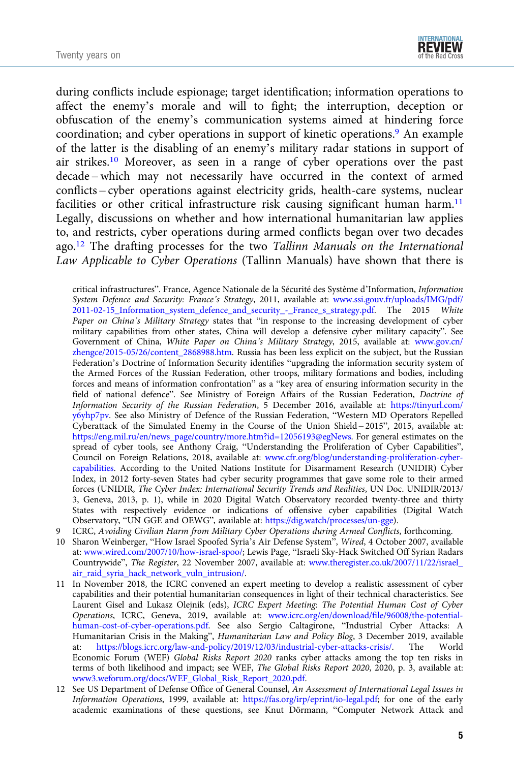

during conflicts include espionage; target identification; information operations to affect the enemy's morale and will to fight; the interruption, deception or obfuscation of the enemy's communication systems aimed at hindering force coordination; and cyber operations in support of kinetic operations.<sup>9</sup> An example of the latter is the disabling of an enemy's military radar stations in support of air strikes.10 Moreover, as seen in a range of cyber operations over the past decade – which may not necessarily have occurred in the context of armed conflicts – cyber operations against electricity grids, health-care systems, nuclear facilities or other critical infrastructure risk causing significant human harm.<sup>11</sup> Legally, discussions on whether and how international humanitarian law applies to, and restricts, cyber operations during armed conflicts began over two decades ago.<sup>12</sup> The drafting processes for the two Tallinn Manuals on the International Law Applicable to Cyber Operations (Tallinn Manuals) have shown that there is

critical infrastructures". France, Agence Nationale de la Sécurité des Système d'Information, Information System Defence and Security: France's Strategy, 2011, available at: [www.ssi.gouv.fr/uploads/IMG/pdf/](https://www.ssi.gouv.fr/uploads/IMG/pdf/2011-02-15_Information_system_defence_and_security_-_France_s_strategy.pdf) [2011-02-15\\_Information\\_system\\_defence\\_and\\_security\\_-\\_France\\_s\\_strategy.pdf.](https://www.ssi.gouv.fr/uploads/IMG/pdf/2011-02-15_Information_system_defence_and_security_-_France_s_strategy.pdf) The 2015 White Paper on China's Military Strategy states that "in response to the increasing development of cyber military capabilities from other states, China will develop a defensive cyber military capacity". See Government of China, White Paper on China's Military Strategy, 2015, available at: [www.gov.cn/](https://www.gov.cn/zhengce/2015-05/26/content_2868988.htm) [zhengce/2015-05/26/content\\_2868988.htm](https://www.gov.cn/zhengce/2015-05/26/content_2868988.htm). Russia has been less explicit on the subject, but the Russian Federation's Doctrine of Information Security identifies "upgrading the information security system of the Armed Forces of the Russian Federation, other troops, military formations and bodies, including forces and means of information confrontation" as a "key area of ensuring information security in the field of national defence". See Ministry of Foreign Affairs of the Russian Federation, Doctrine of Information Security of the Russian Federation, 5 December 2016, available at: [https://tinyurl.com/](https://tinyurl.com/y6yhp7pv) [y6yhp7pv](https://tinyurl.com/y6yhp7pv). See also Ministry of Defence of the Russian Federation, "Western MD Operators Repelled Cyberattack of the Simulated Enemy in the Course of the Union Shield – 2015", 2015, available at: [https://eng.mil.ru/en/news\\_page/country/more.htm?id=12056193@egNews](https://eng.mil.ru/en/news_page/country/more.htm?id=12056193@egNews). For general estimates on the spread of cyber tools, see Anthony Craig, "Understanding the Proliferation of Cyber Capabilities", Council on Foreign Relations, 2018, available at: [www.cfr.org/blog/understanding-proliferation-cyber](https://www.cfr.org/blog/understanding-proliferation-cyber-capabilities)[capabilities](https://www.cfr.org/blog/understanding-proliferation-cyber-capabilities). According to the United Nations Institute for Disarmament Research (UNIDIR) Cyber Index, in 2012 forty-seven States had cyber security programmes that gave some role to their armed forces (UNIDIR, The Cyber Index: International Security Trends and Realities, UN Doc. UNIDIR/2013/ 3, Geneva, 2013, p. 1), while in 2020 Digital Watch Observatory recorded twenty-three and thirty States with respectively evidence or indications of offensive cyber capabilities (Digital Watch Observatory, "UN GGE and OEWG", available at: <https://dig.watch/processes/un-gge>).

- 9 ICRC, Avoiding Civilian Harm from Military Cyber Operations during Armed Conflicts, forthcoming.
- 10 Sharon Weinberger, "How Israel Spoofed Syria's Air Defense System", Wired, 4 October 2007, available at: [www.wired.com/2007/10/how-israel-spoo/](https://www.wired.com/2007/10/how-israel-spoo/); Lewis Page, "Israeli Sky-Hack Switched Off Syrian Radars Countrywide", The Register, 22 November 2007, available at: [www.theregister.co.uk/2007/11/22/israel\\_](https://www.theregister.co.uk/2007/11/22/israel_air_raid_syria_hack_network_vuln_intrusion/) [air\\_raid\\_syria\\_hack\\_network\\_vuln\\_intrusion/](https://www.theregister.co.uk/2007/11/22/israel_air_raid_syria_hack_network_vuln_intrusion/).
- 11 In November 2018, the ICRC convened an expert meeting to develop a realistic assessment of cyber capabilities and their potential humanitarian consequences in light of their technical characteristics. See Laurent Gisel and Lukasz Olejnik (eds), ICRC Expert Meeting: The Potential Human Cost of Cyber Operations, ICRC, Geneva, 2019, available at: [www.icrc.org/en/download/file/96008/the-potential](https://www.icrc.org/en/download/file/96008/the-potential-human-cost-of-cyber-operations.pdf)[human-cost-of-cyber-operations.pdf.](https://www.icrc.org/en/download/file/96008/the-potential-human-cost-of-cyber-operations.pdf) See also Sergio Caltagirone, "Industrial Cyber Attacks: A Humanitarian Crisis in the Making", Humanitarian Law and Policy Blog, 3 December 2019, available at: [https://blogs.icrc.org/law-and-policy/2019/12/03/industrial-cyber-attacks-crisis/.](https://blogs.icrc.org/law-and-policy/2019/12/03/industrial-cyber-attacks-crisis/) The World Economic Forum (WEF) Global Risks Report 2020 ranks cyber attacks among the top ten risks in terms of both likelihood and impact; see WEF, The Global Risks Report 2020, 2020, p. 3, available at: [www3.weforum.org/docs/WEF\\_Global\\_Risk\\_Report\\_2020.pdf.](http://www3.weforum.org/docs/WEF_Global_Risk_Report_2020.pdf)
- 12 See US Department of Defense Office of General Counsel, An Assessment of International Legal Issues in Information Operations, 1999, available at: [https://fas.org/irp/eprint/io-legal.pdf;](https://fas.org/irp/eprint/io-legal.pdf) for one of the early academic examinations of these questions, see Knut Dörmann, "Computer Network Attack and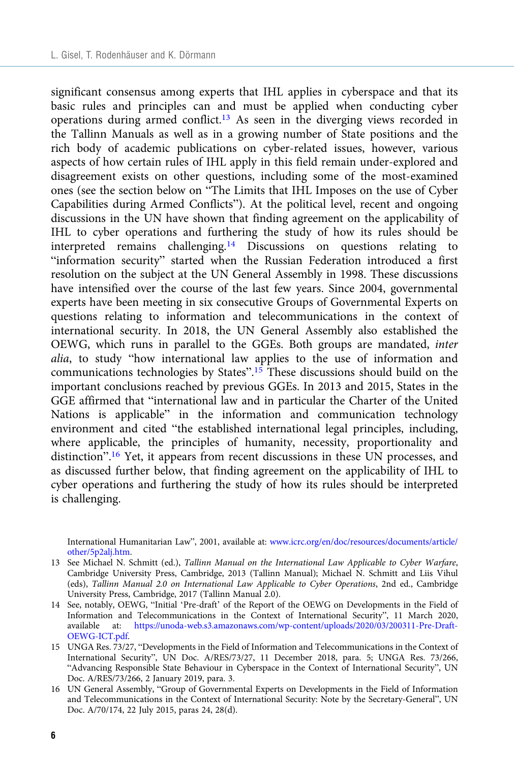significant consensus among experts that IHL applies in cyberspace and that its basic rules and principles can and must be applied when conducting cyber operations during armed conflict.13 As seen in the diverging views recorded in the Tallinn Manuals as well as in a growing number of State positions and the rich body of academic publications on cyber-related issues, however, various aspects of how certain rules of IHL apply in this field remain under-explored and disagreement exists on other questions, including some of the most-examined ones (see the section below on "The Limits that IHL Imposes on the use of Cyber Capabilities during Armed Conflicts"). At the political level, recent and ongoing discussions in the UN have shown that finding agreement on the applicability of IHL to cyber operations and furthering the study of how its rules should be interpreted remains challenging.<sup>14</sup> Discussions on questions relating to "information security" started when the Russian Federation introduced a first resolution on the subject at the UN General Assembly in 1998. These discussions have intensified over the course of the last few years. Since 2004, governmental experts have been meeting in six consecutive Groups of Governmental Experts on questions relating to information and telecommunications in the context of international security. In 2018, the UN General Assembly also established the OEWG, which runs in parallel to the GGEs. Both groups are mandated, inter alia, to study "how international law applies to the use of information and communications technologies by States".<sup>15</sup> These discussions should build on the important conclusions reached by previous GGEs. In 2013 and 2015, States in the GGE affirmed that "international law and in particular the Charter of the United Nations is applicable" in the information and communication technology environment and cited "the established international legal principles, including, where applicable, the principles of humanity, necessity, proportionality and distinction".<sup>16</sup> Yet, it appears from recent discussions in these UN processes, and as discussed further below, that finding agreement on the applicability of IHL to cyber operations and furthering the study of how its rules should be interpreted is challenging.

International Humanitarian Law", 2001, available at: [www.icrc.org/en/doc/resources/documents/article/](https://www.icrc.org/en/doc/resources/documents/article/other/5p2alj.htm) [other/5p2alj.htm](https://www.icrc.org/en/doc/resources/documents/article/other/5p2alj.htm).

- 13 See Michael N. Schmitt (ed.), Tallinn Manual on the International Law Applicable to Cyber Warfare, Cambridge University Press, Cambridge, 2013 (Tallinn Manual); Michael N. Schmitt and Liis Vihul (eds), Tallinn Manual 2.0 on International Law Applicable to Cyber Operations, 2nd ed., Cambridge University Press, Cambridge, 2017 (Tallinn Manual 2.0).
- 14 See, notably, OEWG, "Initial 'Pre-draft' of the Report of the OEWG on Developments in the Field of Information and Telecommunications in the Context of International Security", 11 March 2020, available at: [https://unoda-web.s3.amazonaws.com/wp-content/uploads/2020/03/200311-Pre-Draft-](https://unoda-web.s3.amazonaws.com/wp-content/uploads/2020/03/200311-Pre-Draft-OEWG-ICT.pdf)[OEWG-ICT.pdf](https://unoda-web.s3.amazonaws.com/wp-content/uploads/2020/03/200311-Pre-Draft-OEWG-ICT.pdf).
- 15 UNGA Res. 73/27, "Developments in the Field of Information and Telecommunications in the Context of International Security", UN Doc. A/RES/73/27, 11 December 2018, para. 5; UNGA Res. 73/266, "Advancing Responsible State Behaviour in Cyberspace in the Context of International Security", UN Doc. A/RES/73/266, 2 January 2019, para. 3.
- 16 UN General Assembly, "Group of Governmental Experts on Developments in the Field of Information and Telecommunications in the Context of International Security: Note by the Secretary-General", UN Doc. A/70/174, 22 July 2015, paras 24, 28(d).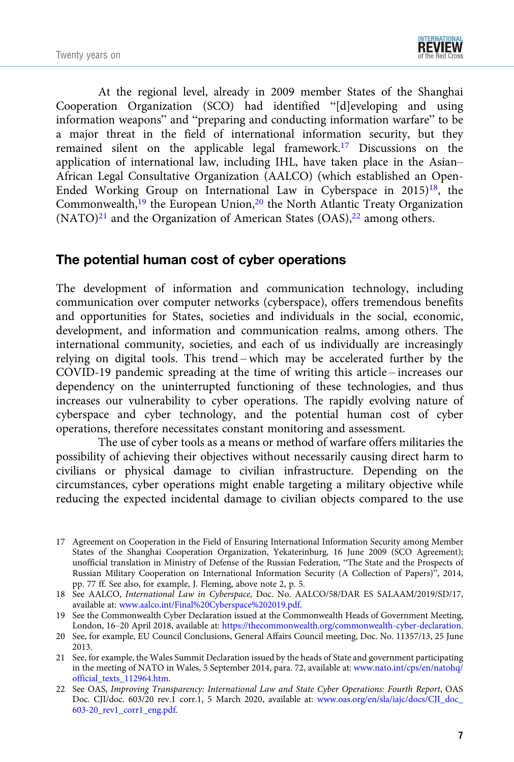

At the regional level, already in 2009 member States of the Shanghai Cooperation Organization (SCO) had identified "[d]eveloping and using information weapons" and "preparing and conducting information warfare" to be a major threat in the field of international information security, but they remained silent on the applicable legal framework.17 Discussions on the application of international law, including IHL, have taken place in the Asian– African Legal Consultative Organization (AALCO) (which established an Open-Ended Working Group on International Law in Cyberspace in  $2015$ <sup>18</sup>, the Commonwealth,19 the European Union,20 the North Atlantic Treaty Organization  $(NATO)^{21}$  and the Organization of American States  $(OAS)^{22}$  among others.

## The potential human cost of cyber operations

The development of information and communication technology, including communication over computer networks (cyberspace), offers tremendous benefits and opportunities for States, societies and individuals in the social, economic, development, and information and communication realms, among others. The international community, societies, and each of us individually are increasingly relying on digital tools. This trend – which may be accelerated further by the COVID-19 pandemic spreading at the time of writing this article – increases our dependency on the uninterrupted functioning of these technologies, and thus increases our vulnerability to cyber operations. The rapidly evolving nature of cyberspace and cyber technology, and the potential human cost of cyber operations, therefore necessitates constant monitoring and assessment.

The use of cyber tools as a means or method of warfare offers militaries the possibility of achieving their objectives without necessarily causing direct harm to civilians or physical damage to civilian infrastructure. Depending on the circumstances, cyber operations might enable targeting a military objective while reducing the expected incidental damage to civilian objects compared to the use

<sup>17</sup> Agreement on Cooperation in the Field of Ensuring International Information Security among Member States of the Shanghai Cooperation Organization, Yekaterinburg, 16 June 2009 (SCO Agreement); unofficial translation in Ministry of Defense of the Russian Federation, "The State and the Prospects of Russian Military Cooperation on International Information Security (A Collection of Papers)", 2014, pp. 77 ff. See also, for example, J. Fleming, above note 2, p. 5.

<sup>18</sup> See AALCO, International Law in Cyberspace, Doc. No. AALCO/58/DAR ES SALAAM/2019/SD/17, available at: [www.aalco.int/Final%20Cyberspace%202019.pdf](https://www.aalco.int/Final%20Cyberspace%202019.pdf).

<sup>19</sup> See the Commonwealth Cyber Declaration issued at the Commonwealth Heads of Government Meeting, London, 16–20 April 2018, available at: <https://thecommonwealth.org/commonwealth-cyber-declaration>.

<sup>20</sup> See, for example, EU Council Conclusions, General Affairs Council meeting, Doc. No. 11357/13, 25 June 2013.

<sup>21</sup> See, for example, the Wales Summit Declaration issued by the heads of State and government participating in the meeting of NATO in Wales, 5 September 2014, para. 72, available at: [www.nato.int/cps/en/natohq/](https://www.nato.int/cps/en/natohq/official_texts_112964.htm) [official\\_texts\\_112964.htm](https://www.nato.int/cps/en/natohq/official_texts_112964.htm).

<sup>22</sup> See OAS, Improving Transparency: International Law and State Cyber Operations: Fourth Report, OAS Doc. CJI/doc. 603/20 rev.1 corr.1, 5 March 2020, available at: [www.oas.org/en/sla/iajc/docs/CJI\\_doc\\_](https://www.oas.org/en/sla/iajc/docs/CJI_doc_603-20_rev1_corr1_eng.pdf) [603-20\\_rev1\\_corr1\\_eng.pdf](https://www.oas.org/en/sla/iajc/docs/CJI_doc_603-20_rev1_corr1_eng.pdf).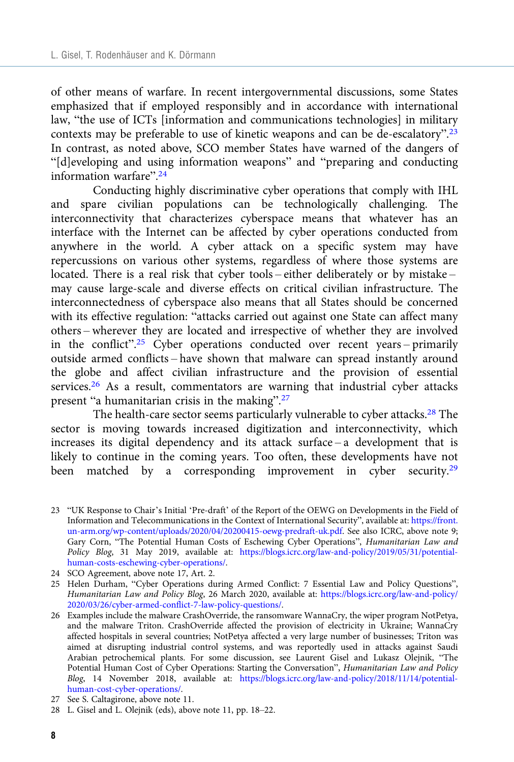of other means of warfare. In recent intergovernmental discussions, some States emphasized that if employed responsibly and in accordance with international law, "the use of ICTs [information and communications technologies] in military contexts may be preferable to use of kinetic weapons and can be de-escalatory".<sup>23</sup> In contrast, as noted above, SCO member States have warned of the dangers of "[d]eveloping and using information weapons" and "preparing and conducting information warfare".<sup>24</sup>

Conducting highly discriminative cyber operations that comply with IHL and spare civilian populations can be technologically challenging. The interconnectivity that characterizes cyberspace means that whatever has an interface with the Internet can be affected by cyber operations conducted from anywhere in the world. A cyber attack on a specific system may have repercussions on various other systems, regardless of where those systems are located. There is a real risk that cyber tools – either deliberately or by mistake – may cause large-scale and diverse effects on critical civilian infrastructure. The interconnectedness of cyberspace also means that all States should be concerned with its effective regulation: "attacks carried out against one State can affect many others – wherever they are located and irrespective of whether they are involved in the conflict".<sup>25</sup> Cyber operations conducted over recent years-primarily outside armed conflicts – have shown that malware can spread instantly around the globe and affect civilian infrastructure and the provision of essential services.<sup>26</sup> As a result, commentators are warning that industrial cyber attacks present "a humanitarian crisis in the making".<sup>27</sup>

The health-care sector seems particularly vulnerable to cyber attacks.28 The sector is moving towards increased digitization and interconnectivity, which increases its digital dependency and its attack surface – a development that is likely to continue in the coming years. Too often, these developments have not been matched by a corresponding improvement in cyber security.<sup>[29](#page-8-0)</sup>

- 24 SCO Agreement, above note 17, Art. 2.
- 25 Helen Durham, "Cyber Operations during Armed Conflict: 7 Essential Law and Policy Questions", Humanitarian Law and Policy Blog, 26 March 2020, available at: [https://blogs.icrc.org/law-and-policy/](https://blogs.icrc.org/law-and-policy/2020/03/26/cyber-armed-conflict-7-law-policy-questions/) [2020/03/26/cyber-armed-conflict-7-law-policy-questions/.](https://blogs.icrc.org/law-and-policy/2020/03/26/cyber-armed-conflict-7-law-policy-questions/)
- 26 Examples include the malware CrashOverride, the ransomware WannaCry, the wiper program NotPetya, and the malware Triton. CrashOverride affected the provision of electricity in Ukraine; WannaCry affected hospitals in several countries; NotPetya affected a very large number of businesses; Triton was aimed at disrupting industrial control systems, and was reportedly used in attacks against Saudi Arabian petrochemical plants. For some discussion, see Laurent Gisel and Lukasz Olejnik, "The Potential Human Cost of Cyber Operations: Starting the Conversation", Humanitarian Law and Policy Blog, 14 November 2018, available at: [https://blogs.icrc.org/law-and-policy/2018/11/14/potential](https://blogs.icrc.org/law-and-policy/2018/11/14/potential-human-cost-cyber-operations/)[human-cost-cyber-operations/.](https://blogs.icrc.org/law-and-policy/2018/11/14/potential-human-cost-cyber-operations/)
- 27 See S. Caltagirone, above note 11.
- 28 L. Gisel and L. Olejnik (eds), above note 11, pp. 18–22.

<sup>23</sup> "UK Response to Chair's Initial 'Pre-draft' of the Report of the OEWG on Developments in the Field of Information and Telecommunications in the Context of International Security", available at: [https://front.](https://front.un-arm.org/wp-content/uploads/2020/04/20200415-oewg-predraft-uk.pdf) [un-arm.org/wp-content/uploads/2020/04/20200415-oewg-predraft-uk.pdf.](https://front.un-arm.org/wp-content/uploads/2020/04/20200415-oewg-predraft-uk.pdf) See also ICRC, above note 9; Gary Corn, "The Potential Human Costs of Eschewing Cyber Operations", Humanitarian Law and Policy Blog, 31 May 2019, available at: [https://blogs.icrc.org/law-and-policy/2019/05/31/potential](https://blogs.icrc.org/law-and-policy/2019/05/31/potential-human-costs-eschewing-cyber-operations/)[human-costs-eschewing-cyber-operations/.](https://blogs.icrc.org/law-and-policy/2019/05/31/potential-human-costs-eschewing-cyber-operations/)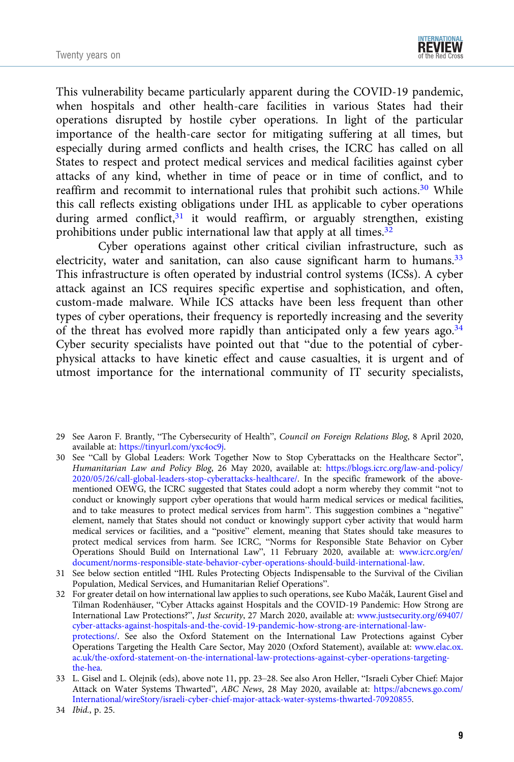

<span id="page-8-0"></span>This vulnerability became particularly apparent during the COVID-19 pandemic, when hospitals and other health-care facilities in various States had their operations disrupted by hostile cyber operations. In light of the particular importance of the health-care sector for mitigating suffering at all times, but especially during armed conflicts and health crises, the ICRC has called on all States to respect and protect medical services and medical facilities against cyber attacks of any kind, whether in time of peace or in time of conflict, and to reaffirm and recommit to international rules that prohibit such actions.<sup>30</sup> While this call reflects existing obligations under IHL as applicable to cyber operations during armed conflict,<sup>31</sup> it would reaffirm, or arguably strengthen, existing prohibitions under public international law that apply at all times.<sup>32</sup>

Cyber operations against other critical civilian infrastructure, such as electricity, water and sanitation, can also cause significant harm to humans.<sup>33</sup> This infrastructure is often operated by industrial control systems (ICSs). A cyber attack against an ICS requires specific expertise and sophistication, and often, custom-made malware. While ICS attacks have been less frequent than other types of cyber operations, their frequency is reportedly increasing and the severity of the threat has evolved more rapidly than anticipated only a few years ago. $34$ Cyber security specialists have pointed out that "due to the potential of cyberphysical attacks to have kinetic effect and cause casualties, it is urgent and of utmost importance for the international community of IT security specialists,

- 29 See Aaron F. Brantly, "The Cybersecurity of Health", Council on Foreign Relations Blog, 8 April 2020, available at: <https://tinyurl.com/yxc4oc9j>.
- 30 See "Call by Global Leaders: Work Together Now to Stop Cyberattacks on the Healthcare Sector", Humanitarian Law and Policy Blog, 26 May 2020, available at: [https://blogs.icrc.org/law-and-policy/](https://blogs.icrc.org/law-and-policy/2020/05/26/call-global-leaders-stop-cyberattacks-healthcare/) [2020/05/26/call-global-leaders-stop-cyberattacks-healthcare/](https://blogs.icrc.org/law-and-policy/2020/05/26/call-global-leaders-stop-cyberattacks-healthcare/). In the specific framework of the abovementioned OEWG, the ICRC suggested that States could adopt a norm whereby they commit "not to conduct or knowingly support cyber operations that would harm medical services or medical facilities, and to take measures to protect medical services from harm". This suggestion combines a "negative" element, namely that States should not conduct or knowingly support cyber activity that would harm medical services or facilities, and a "positive" element, meaning that States should take measures to protect medical services from harm. See ICRC, "Norms for Responsible State Behavior on Cyber Operations Should Build on International Law", 11 February 2020, available at: [www.icrc.org/en/](https://www.icrc.org/en/document/norms-responsible-state-behavior-cyber-operations-should-build-international-law) [document/norms-responsible-state-behavior-cyber-operations-should-build-international-law](https://www.icrc.org/en/document/norms-responsible-state-behavior-cyber-operations-should-build-international-law).
- 31 See below section entitled "IHL Rules Protecting Objects Indispensable to the Survival of the Civilian Population, Medical Services, and Humanitarian Relief Operations".
- 32 For greater detail on how international law applies to such operations, see Kubo Mačák, Laurent Gisel and Tilman Rodenhäuser, "Cyber Attacks against Hospitals and the COVID-19 Pandemic: How Strong are International Law Protections?", Just Security, 27 March 2020, available at: [www.justsecurity.org/69407/](https://www.justsecurity.org/69407/cyber-attacks-against-hospitals-and-the-covid-19-pandemic-how-strong-are-international-law-protections/) [cyber-attacks-against-hospitals-and-the-covid-19-pandemic-how-strong-are-international-law](https://www.justsecurity.org/69407/cyber-attacks-against-hospitals-and-the-covid-19-pandemic-how-strong-are-international-law-protections/)[protections/](https://www.justsecurity.org/69407/cyber-attacks-against-hospitals-and-the-covid-19-pandemic-how-strong-are-international-law-protections/). See also the Oxford Statement on the International Law Protections against Cyber Operations Targeting the Health Care Sector, May 2020 (Oxford Statement), available at: [www.elac.ox.](https://www.elac.ox.ac.uk/the-oxford-statement-on-the-international-law-protections-against-cyber-operations-targeting-the-hea) [ac.uk/the-oxford-statement-on-the-international-law-protections-against-cyber-operations-targeting](https://www.elac.ox.ac.uk/the-oxford-statement-on-the-international-law-protections-against-cyber-operations-targeting-the-hea)[the-hea.](https://www.elac.ox.ac.uk/the-oxford-statement-on-the-international-law-protections-against-cyber-operations-targeting-the-hea)
- 33 L. Gisel and L. Olejnik (eds), above note 11, pp. 23–28. See also Aron Heller, "Israeli Cyber Chief: Major Attack on Water Systems Thwarted", ABC News, 28 May 2020, available at: [https://abcnews.go.com/](https://abcnews.go.com/International/wireStory/israeli-cyber-chief-major-attack-water-systems-thwarted-70920855) [International/wireStory/israeli-cyber-chief-major-attack-water-systems-thwarted-70920855.](https://abcnews.go.com/International/wireStory/israeli-cyber-chief-major-attack-water-systems-thwarted-70920855)
- 34 Ibid., p. 25.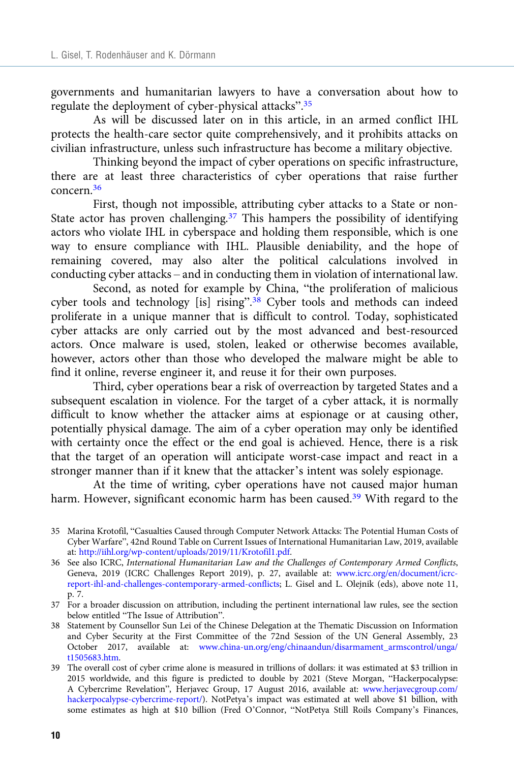governments and humanitarian lawyers to have a conversation about how to regulate the deployment of cyber-physical attacks".<sup>35</sup>

As will be discussed later on in this article, in an armed conflict IHL protects the health-care sector quite comprehensively, and it prohibits attacks on civilian infrastructure, unless such infrastructure has become a military objective.

Thinking beyond the impact of cyber operations on specific infrastructure, there are at least three characteristics of cyber operations that raise further concern.36

First, though not impossible, attributing cyber attacks to a State or non-State actor has proven challenging.<sup>37</sup> This hampers the possibility of identifying actors who violate IHL in cyberspace and holding them responsible, which is one way to ensure compliance with IHL. Plausible deniability, and the hope of remaining covered, may also alter the political calculations involved in conducting cyber attacks – and in conducting them in violation of international law.

Second, as noted for example by China, "the proliferation of malicious cyber tools and technology [is] rising".<sup>38</sup> Cyber tools and methods can indeed proliferate in a unique manner that is difficult to control. Today, sophisticated cyber attacks are only carried out by the most advanced and best-resourced actors. Once malware is used, stolen, leaked or otherwise becomes available, however, actors other than those who developed the malware might be able to find it online, reverse engineer it, and reuse it for their own purposes.

Third, cyber operations bear a risk of overreaction by targeted States and a subsequent escalation in violence. For the target of a cyber attack, it is normally difficult to know whether the attacker aims at espionage or at causing other, potentially physical damage. The aim of a cyber operation may only be identified with certainty once the effect or the end goal is achieved. Hence, there is a risk that the target of an operation will anticipate worst-case impact and react in a stronger manner than if it knew that the attacker's intent was solely espionage.

At the time of writing, cyber operations have not caused major human harm. However, significant economic harm has been caused.<sup>39</sup> With regard to the

- 38 Statement by Counsellor Sun Lei of the Chinese Delegation at the Thematic Discussion on Information and Cyber Security at the First Committee of the 72nd Session of the UN General Assembly, 23 October 2017, available at: [www.china-un.org/eng/chinaandun/disarmament\\_armscontrol/unga/](https://www.china-un.org/eng/chinaandun/disarmament_armscontrol/unga/t1505683.htm) [t1505683.htm](https://www.china-un.org/eng/chinaandun/disarmament_armscontrol/unga/t1505683.htm).
- 39 The overall cost of cyber crime alone is measured in trillions of dollars: it was estimated at \$3 trillion in 2015 worldwide, and this figure is predicted to double by 2021 (Steve Morgan, "Hackerpocalypse: A Cybercrime Revelation", Herjavec Group, 17 August 2016, available at: [www.herjavecgroup.com/](https://www.herjavecgroup.com/hackerpocalypse-cybercrime-report/) [hackerpocalypse-cybercrime-report/\)](https://www.herjavecgroup.com/hackerpocalypse-cybercrime-report/). NotPetya's impact was estimated at well above \$1 billion, with some estimates as high at \$10 billion (Fred O'Connor, "NotPetya Still Roils Company's Finances,

<sup>35</sup> Marina Krotofil, "Casualties Caused through Computer Network Attacks: The Potential Human Costs of Cyber Warfare", 42nd Round Table on Current Issues of International Humanitarian Law, 2019, available at: [http://iihl.org/wp-content/uploads/2019/11/Krotofil1.pdf.](http://iihl.org/wp-content/uploads/2019/11/Krotofil1.pdf)

<sup>36</sup> See also ICRC, International Humanitarian Law and the Challenges of Contemporary Armed Conflicts, Geneva, 2019 (ICRC Challenges Report 2019), p. 27, available at: [www.icrc.org/en/document/icrc](https://www.icrc.org/en/document/icrc-report-ihl-and-challenges-contemporary-armed-conflicts)[report-ihl-and-challenges-contemporary-armed-conflicts;](https://www.icrc.org/en/document/icrc-report-ihl-and-challenges-contemporary-armed-conflicts) L. Gisel and L. Olejnik (eds), above note 11, p. 7.

<sup>37</sup> For a broader discussion on attribution, including the pertinent international law rules, see the section below entitled "The Issue of Attribution".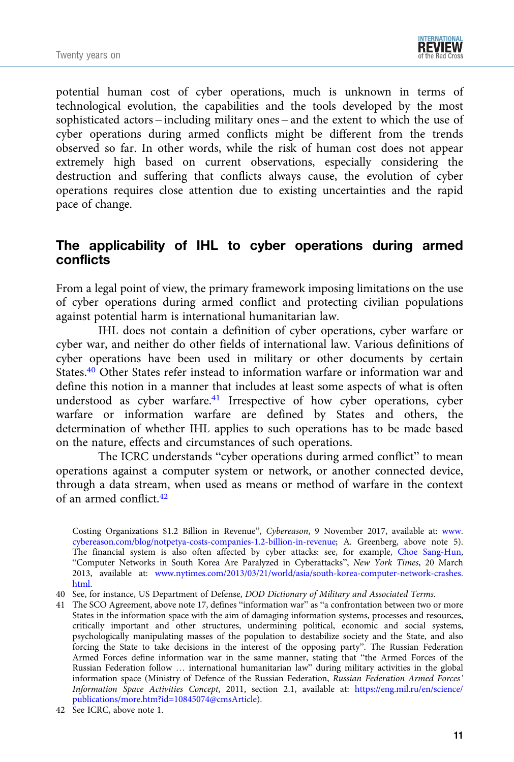

potential human cost of cyber operations, much is unknown in terms of technological evolution, the capabilities and the tools developed by the most sophisticated actors – including military ones – and the extent to which the use of cyber operations during armed conflicts might be different from the trends observed so far. In other words, while the risk of human cost does not appear extremely high based on current observations, especially considering the destruction and suffering that conflicts always cause, the evolution of cyber operations requires close attention due to existing uncertainties and the rapid pace of change.

# The applicability of IHL to cyber operations during armed conflicts

From a legal point of view, the primary framework imposing limitations on the use of cyber operations during armed conflict and protecting civilian populations against potential harm is international humanitarian law.

IHL does not contain a definition of cyber operations, cyber warfare or cyber war, and neither do other fields of international law. Various definitions of cyber operations have been used in military or other documents by certain States.40 Other States refer instead to information warfare or information war and define this notion in a manner that includes at least some aspects of what is often understood as cyber warfare.<sup>41</sup> Irrespective of how cyber operations, cyber warfare or information warfare are defined by States and others, the determination of whether IHL applies to such operations has to be made based on the nature, effects and circumstances of such operations.

The ICRC understands "cyber operations during armed conflict" to mean operations against a computer system or network, or another connected device, through a data stream, when used as means or method of warfare in the context of an armed conflict.42

Costing Organizations \$1.2 Billion in Revenue", Cybereason, 9 November 2017, available at: [www.](https://www.cybereason.com/blog/notpetya-costs-companies-1.2-billion-in-revenue) [cybereason.com/blog/notpetya-costs-companies-1.2-billion-in-revenue;](https://www.cybereason.com/blog/notpetya-costs-companies-1.2-billion-in-revenue) A. Greenberg, above note 5). The financial system is also often affected by cyber attacks: see, for example, [Choe Sang-Hun](https://www.nytimes.com/by/choe-sang-hun), "Computer Networks in South Korea Are Paralyzed in Cyberattacks", New York Times, 20 March 2013, available at: [www.nytimes.com/2013/03/21/world/asia/south-korea-computer-network-crashes.](https://www.nytimes.com/2013/03/21/world/asia/south-korea-computer-network-crashes.html) [html](https://www.nytimes.com/2013/03/21/world/asia/south-korea-computer-network-crashes.html).

<sup>40</sup> See, for instance, US Department of Defense, DOD Dictionary of Military and Associated Terms.

<sup>41</sup> The SCO Agreement, above note 17, defines "information war" as "a confrontation between two or more States in the information space with the aim of damaging information systems, processes and resources, critically important and other structures, undermining political, economic and social systems, psychologically manipulating masses of the population to destabilize society and the State, and also forcing the State to take decisions in the interest of the opposing party". The Russian Federation Armed Forces define information war in the same manner, stating that "the Armed Forces of the Russian Federation follow … international humanitarian law" during military activities in the global information space (Ministry of Defence of the Russian Federation, Russian Federation Armed Forces' Information Space Activities Concept, 2011, section 2.1, available at: [https://eng.mil.ru/en/science/](https://eng.mil.ru/en/science/publications/more.htm?id=10845074@cmsArticle) [publications/more.htm?id=10845074@cmsArticle\)](https://eng.mil.ru/en/science/publications/more.htm?id=10845074@cmsArticle).

<sup>42</sup> See ICRC, above note 1.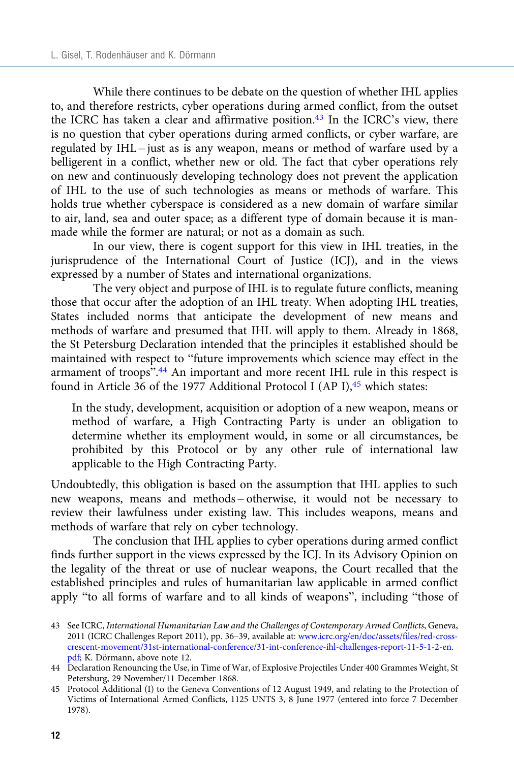While there continues to be debate on the question of whether IHL applies to, and therefore restricts, cyber operations during armed conflict, from the outset the ICRC has taken a clear and affirmative position.<sup>43</sup> In the ICRC's view, there is no question that cyber operations during armed conflicts, or cyber warfare, are regulated by IHL – just as is any weapon, means or method of warfare used by a belligerent in a conflict, whether new or old. The fact that cyber operations rely on new and continuously developing technology does not prevent the application of IHL to the use of such technologies as means or methods of warfare. This holds true whether cyberspace is considered as a new domain of warfare similar to air, land, sea and outer space; as a different type of domain because it is manmade while the former are natural; or not as a domain as such.

In our view, there is cogent support for this view in IHL treaties, in the jurisprudence of the International Court of Justice (ICJ), and in the views expressed by a number of States and international organizations.

The very object and purpose of IHL is to regulate future conflicts, meaning those that occur after the adoption of an IHL treaty. When adopting IHL treaties, States included norms that anticipate the development of new means and methods of warfare and presumed that IHL will apply to them. Already in 1868, the St Petersburg Declaration intended that the principles it established should be maintained with respect to "future improvements which science may effect in the armament of troops".<sup>44</sup> An important and more recent IHL rule in this respect is found in Article 36 of the 1977 Additional Protocol I (AP I), $45$  which states:

In the study, development, acquisition or adoption of a new weapon, means or method of warfare, a High Contracting Party is under an obligation to determine whether its employment would, in some or all circumstances, be prohibited by this Protocol or by any other rule of international law applicable to the High Contracting Party.

Undoubtedly, this obligation is based on the assumption that IHL applies to such new weapons, means and methods – otherwise, it would not be necessary to review their lawfulness under existing law. This includes weapons, means and methods of warfare that rely on cyber technology.

The conclusion that IHL applies to cyber operations during armed conflict finds further support in the views expressed by the ICJ. In its Advisory Opinion on the legality of the threat or use of nuclear weapons, the Court recalled that the established principles and rules of humanitarian law applicable in armed conflict apply "to all forms of warfare and to all kinds of weapons", including "those of

<sup>43</sup> See ICRC, International Humanitarian Law and the Challenges of Contemporary Armed Conflicts, Geneva, 2011 (ICRC Challenges Report 2011), pp. 36–39, available at: [www.icrc.org/en/doc/assets/files/red-cross](https://www.icrc.org/en/doc/assets/files/red-cross-crescent-movement/31st-international-conference/31-int-conference-ihl-challenges-report-11-5-1-2-en.pdf)[crescent-movement/31st-international-conference/31-int-conference-ihl-challenges-report-11-5-1-2-en.](https://www.icrc.org/en/doc/assets/files/red-cross-crescent-movement/31st-international-conference/31-int-conference-ihl-challenges-report-11-5-1-2-en.pdf) [pdf](https://www.icrc.org/en/doc/assets/files/red-cross-crescent-movement/31st-international-conference/31-int-conference-ihl-challenges-report-11-5-1-2-en.pdf); K. Dörmann, above note 12.

<sup>44</sup> Declaration Renouncing the Use, in Time of War, of Explosive Projectiles Under 400 Grammes Weight, St Petersburg, 29 November/11 December 1868.

<sup>45</sup> Protocol Additional (I) to the Geneva Conventions of 12 August 1949, and relating to the Protection of Victims of International Armed Conflicts, 1125 UNTS 3, 8 June 1977 (entered into force 7 December 1978).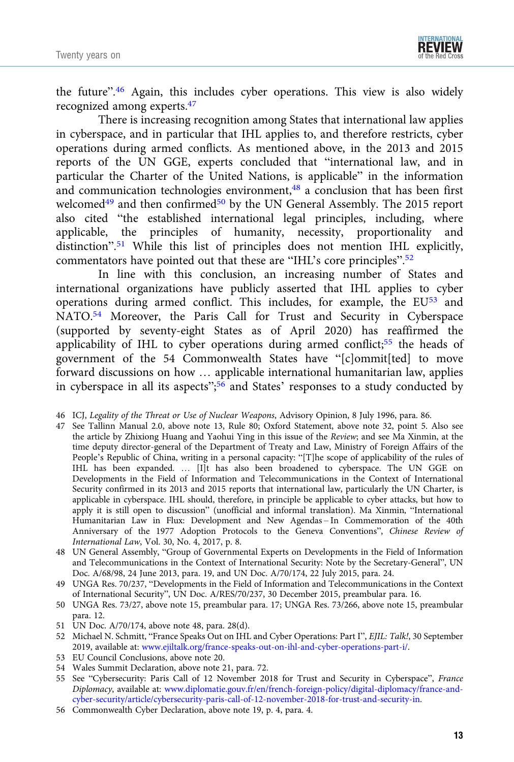

the future".<sup>46</sup> Again, this includes cyber operations. This view is also widely recognized among experts.47

There is increasing recognition among States that international law applies in cyberspace, and in particular that IHL applies to, and therefore restricts, cyber operations during armed conflicts. As mentioned above, in the 2013 and 2015 reports of the UN GGE, experts concluded that "international law, and in particular the Charter of the United Nations, is applicable" in the information and communication technologies environment,<sup>48</sup> a conclusion that has been first welcomed<sup>49</sup> and then confirmed<sup>50</sup> by the UN General Assembly. The 2015 report also cited "the established international legal principles, including, where applicable, the principles of humanity, necessity, proportionality and distinction". <sup>51</sup> While this list of principles does not mention IHL explicitly, commentators have pointed out that these are "IHL's core principles".<sup>52</sup>

In line with this conclusion, an increasing number of States and international organizations have publicly asserted that IHL applies to cyber operations during armed conflict. This includes, for example, the EU53 and NATO.54 Moreover, the Paris Call for Trust and Security in Cyberspace (supported by seventy-eight States as of April 2020) has reaffirmed the applicability of IHL to cyber operations during armed conflict;<sup>55</sup> the heads of government of the 54 Commonwealth States have "[c]ommit[ted] to move forward discussions on how … applicable international humanitarian law, applies in cyberspace in all its aspects";<sup>56</sup> and States' responses to a study conducted by

- 46 ICJ, Legality of the Threat or Use of Nuclear Weapons, Advisory Opinion, 8 July 1996, para. 86.
- 47 See Tallinn Manual 2.0, above note 13, Rule 80; Oxford Statement, above note 32, point 5. Also see the article by Zhixiong Huang and Yaohui Ying in this issue of the Review; and see Ma Xinmin, at the time deputy director-general of the Department of Treaty and Law, Ministry of Foreign Affairs of the People's Republic of China, writing in a personal capacity: "[T]he scope of applicability of the rules of IHL has been expanded. … [I]t has also been broadened to cyberspace. The UN GGE on Developments in the Field of Information and Telecommunications in the Context of International Security confirmed in its 2013 and 2015 reports that international law, particularly the UN Charter, is applicable in cyberspace. IHL should, therefore, in principle be applicable to cyber attacks, but how to apply it is still open to discussion" (unofficial and informal translation). Ma Xinmin, "International Humanitarian Law in Flux: Development and New Agendas – In Commemoration of the 40th Anniversary of the 1977 Adoption Protocols to the Geneva Conventions", Chinese Review of International Law, Vol. 30, No. 4, 2017, p. 8.
- 48 UN General Assembly, "Group of Governmental Experts on Developments in the Field of Information and Telecommunications in the Context of International Security: Note by the Secretary-General", UN Doc. A/68/98, 24 June 2013, para. 19, and UN Doc. A/70/174, 22 July 2015, para. 24.
- 49 UNGA Res. 70/237, "Developments in the Field of Information and Telecommunications in the Context of International Security", UN Doc. A/RES/70/237, 30 December 2015, preambular para. 16.
- 50 UNGA Res. 73/27, above note 15, preambular para. 17; UNGA Res. 73/266, above note 15, preambular para. 12.
- 51 UN Doc. A/70/174, above note 48, para. 28(d).
- 52 Michael N. Schmitt, "France Speaks Out on IHL and Cyber Operations: Part I", EJIL: Talk!, 30 September 2019, available at: [www.ejiltalk.org/france-speaks-out-on-ihl-and-cyber-operations-part-i/.](https://www.ejiltalk.org/france-speaks-out-on-ihl-and-cyber-operations-part-i/)
- 53 EU Council Conclusions, above note 20.
- 54 Wales Summit Declaration, above note 21, para. 72.
- 55 See "Cybersecurity: Paris Call of 12 November 2018 for Trust and Security in Cyberspace", France Diplomacy, available at: [www.diplomatie.gouv.fr/en/french-foreign-policy/digital-diplomacy/france-and](https://www.diplomatie.gouv.fr/en/french-foreign-policy/digital-diplomacy/france-and-cyber-security/article/cybersecurity-paris-call-of-12-november-2018-for-trust-and-security-in)[cyber-security/article/cybersecurity-paris-call-of-12-november-2018-for-trust-and-security-in](https://www.diplomatie.gouv.fr/en/french-foreign-policy/digital-diplomacy/france-and-cyber-security/article/cybersecurity-paris-call-of-12-november-2018-for-trust-and-security-in).
- 56 Commonwealth Cyber Declaration, above note 19, p. 4, para. 4.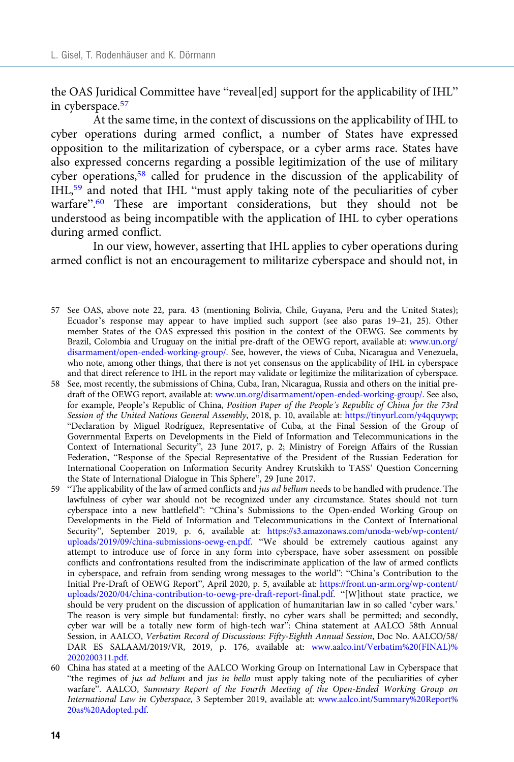the OAS Juridical Committee have "reveal[ed] support for the applicability of IHL" in cyberspace.<sup>57</sup>

At the same time, in the context of discussions on the applicability of IHL to cyber operations during armed conflict, a number of States have expressed opposition to the militarization of cyberspace, or a cyber arms race. States have also expressed concerns regarding a possible legitimization of the use of military cyber operations,58 called for prudence in the discussion of the applicability of IHL,59 and noted that IHL "must apply taking note of the peculiarities of cyber warfare".<sup>60</sup> These are important considerations, but they should not be understood as being incompatible with the application of IHL to cyber operations during armed conflict.

In our view, however, asserting that IHL applies to cyber operations during armed conflict is not an encouragement to militarize cyberspace and should not, in

- 57 See OAS, above note 22, para. 43 (mentioning Bolivia, Chile, Guyana, Peru and the United States); Ecuador's response may appear to have implied such support (see also paras 19–21, 25). Other member States of the OAS expressed this position in the context of the OEWG. See comments by Brazil, Colombia and Uruguay on the initial pre-draft of the OEWG report, available at: [www.un.org/](https://www.un.org/disarmament/open-ended-working-group/) [disarmament/open-ended-working-group/](https://www.un.org/disarmament/open-ended-working-group/). See, however, the views of Cuba, Nicaragua and Venezuela, who note, among other things, that there is not yet consensus on the applicability of IHL in cyberspace and that direct reference to IHL in the report may validate or legitimize the militarization of cyberspace.
- 58 See, most recently, the submissions of China, Cuba, Iran, Nicaragua, Russia and others on the initial predraft of the OEWG report, available at: [www.un.org/disarmament/open-ended-working-group/](https://www.un.org/disarmament/open-ended-working-group/). See also, for example, People's Republic of China, Position Paper of the People's Republic of China for the 73rd Session of the United Nations General Assembly, 2018, p. 10, available at: [https://tinyurl.com/y4qquywp;](https://tinyurl.com/y4qquywp) "Declaration by Miguel Rodríguez, Representative of Cuba, at the Final Session of the Group of Governmental Experts on Developments in the Field of Information and Telecommunications in the Context of International Security", 23 June 2017, p. 2; Ministry of Foreign Affairs of the Russian Federation, "Response of the Special Representative of the President of the Russian Federation for International Cooperation on Information Security Andrey Krutskikh to TASS' Question Concerning the State of International Dialogue in This Sphere", 29 June 2017.
- 59 "The applicability of the law of armed conflicts and jus ad bellum needs to be handled with prudence. The lawfulness of cyber war should not be recognized under any circumstance. States should not turn cyberspace into a new battlefield": "China's Submissions to the Open-ended Working Group on Developments in the Field of Information and Telecommunications in the Context of International Security", September 2019, p. 6, available at: [https://s3.amazonaws.com/unoda-web/wp-content/](https://s3.amazonaws.com/unoda-web/wp-content/uploads/2019/09/china-submissions-oewg-en.pdf) [uploads/2019/09/china-submissions-oewg-en.pdf.](https://s3.amazonaws.com/unoda-web/wp-content/uploads/2019/09/china-submissions-oewg-en.pdf) "We should be extremely cautious against any attempt to introduce use of force in any form into cyberspace, have sober assessment on possible conflicts and confrontations resulted from the indiscriminate application of the law of armed conflicts in cyberspace, and refrain from sending wrong messages to the world": "China's Contribution to the Initial Pre-Draft of OEWG Report", April 2020, p. 5, available at: [https://front.un-arm.org/wp-content/](https://front.un-arm.org/wp-content/uploads/2020/04/china-contribution-to-oewg-pre-draft-report-final.pdf) [uploads/2020/04/china-contribution-to-oewg-pre-draft-report-final.pdf.](https://front.un-arm.org/wp-content/uploads/2020/04/china-contribution-to-oewg-pre-draft-report-final.pdf) "[W]ithout state practice, we should be very prudent on the discussion of application of humanitarian law in so called 'cyber wars.' The reason is very simple but fundamental: firstly, no cyber wars shall be permitted; and secondly, cyber war will be a totally new form of high-tech war": China statement at AALCO 58th Annual Session, in AALCO, Verbatim Record of Discussions: Fifty-Eighth Annual Session, Doc No. AALCO/58/ DAR ES SALAAM/2019/VR, 2019, p. 176, available at: [www.aalco.int/Verbatim%20\(FINAL\)%](http://www.aalco.int/Verbatim%20(FINAL)%2020200311.pdf) [2020200311.pdf](http://www.aalco.int/Verbatim%20(FINAL)%2020200311.pdf).
- 60 China has stated at a meeting of the AALCO Working Group on International Law in Cyberspace that "the regimes of jus ad bellum and jus in bello must apply taking note of the peculiarities of cyber warfare". AALCO, Summary Report of the Fourth Meeting of the Open-Ended Working Group on International Law in Cyberspace, 3 September 2019, available at: [www.aalco.int/Summary%20Report%](http://www.aalco.int/Summary%20Report%20as%20Adopted.pdf) [20as%20Adopted.pdf](http://www.aalco.int/Summary%20Report%20as%20Adopted.pdf).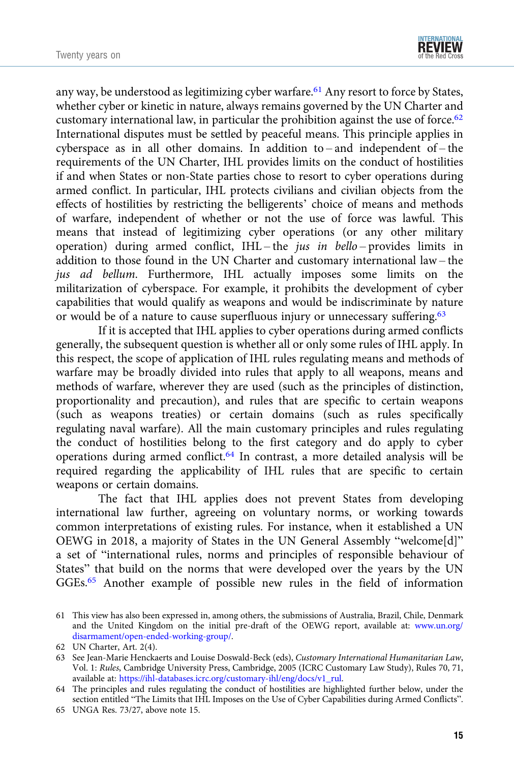

any way, be understood as legitimizing cyber warfare.<sup>61</sup> Any resort to force by States, whether cyber or kinetic in nature, always remains governed by the UN Charter and customary international law, in particular the prohibition against the use of force. $62$ International disputes must be settled by peaceful means. This principle applies in cyberspace as in all other domains. In addition to – and independent of – the requirements of the UN Charter, IHL provides limits on the conduct of hostilities if and when States or non-State parties chose to resort to cyber operations during armed conflict. In particular, IHL protects civilians and civilian objects from the effects of hostilities by restricting the belligerents' choice of means and methods of warfare, independent of whether or not the use of force was lawful. This means that instead of legitimizing cyber operations (or any other military operation) during armed conflict, IHL – the jus in bello – provides limits in addition to those found in the UN Charter and customary international law – the jus ad bellum. Furthermore, IHL actually imposes some limits on the militarization of cyberspace. For example, it prohibits the development of cyber capabilities that would qualify as weapons and would be indiscriminate by nature or would be of a nature to cause superfluous injury or unnecessary suffering.<sup>63</sup>

If it is accepted that IHL applies to cyber operations during armed conflicts generally, the subsequent question is whether all or only some rules of IHL apply. In this respect, the scope of application of IHL rules regulating means and methods of warfare may be broadly divided into rules that apply to all weapons, means and methods of warfare, wherever they are used (such as the principles of distinction, proportionality and precaution), and rules that are specific to certain weapons (such as weapons treaties) or certain domains (such as rules specifically regulating naval warfare). All the main customary principles and rules regulating the conduct of hostilities belong to the first category and do apply to cyber operations during armed conflict.64 In contrast, a more detailed analysis will be required regarding the applicability of IHL rules that are specific to certain weapons or certain domains.

The fact that IHL applies does not prevent States from developing international law further, agreeing on voluntary norms, or working towards common interpretations of existing rules. For instance, when it established a UN OEWG in 2018, a majority of States in the UN General Assembly "welcome[d]" a set of "international rules, norms and principles of responsible behaviour of States" that build on the norms that were developed over the years by the UN GGEs.65 Another example of possible new rules in the field of information

<sup>61</sup> This view has also been expressed in, among others, the submissions of Australia, Brazil, Chile, Denmark and the United Kingdom on the initial pre-draft of the OEWG report, available at: [www.un.org/](https://www.un.org/disarmament/open-ended-working-group/) [disarmament/open-ended-working-group/.](https://www.un.org/disarmament/open-ended-working-group/)

<sup>62</sup> UN Charter, Art. 2(4).

<sup>63</sup> See Jean-Marie Henckaerts and Louise Doswald-Beck (eds), Customary International Humanitarian Law, Vol. 1: Rules, Cambridge University Press, Cambridge, 2005 (ICRC Customary Law Study), Rules 70, 71, available at: [https://ihl-databases.icrc.org/customary-ihl/eng/docs/v1\\_rul.](https://ihl-databases.icrc.org/customary-ihl/eng/docs/v1_rul)

<sup>64</sup> The principles and rules regulating the conduct of hostilities are highlighted further below, under the section entitled "The Limits that IHL Imposes on the Use of Cyber Capabilities during Armed Conflicts".

<sup>65</sup> UNGA Res. 73/27, above note 15.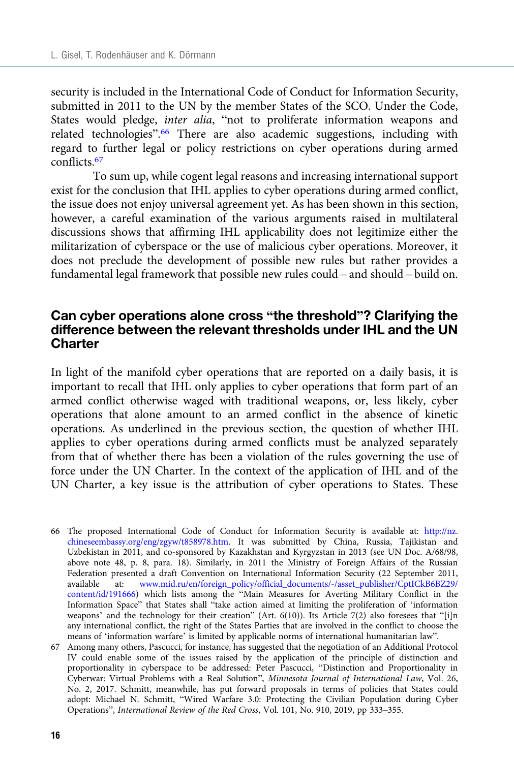security is included in the International Code of Conduct for Information Security, submitted in 2011 to the UN by the member States of the SCO. Under the Code, States would pledge, inter alia, "not to proliferate information weapons and related technologies".<sup>66</sup> There are also academic suggestions, including with regard to further legal or policy restrictions on cyber operations during armed conflicts.67

To sum up, while cogent legal reasons and increasing international support exist for the conclusion that IHL applies to cyber operations during armed conflict, the issue does not enjoy universal agreement yet. As has been shown in this section, however, a careful examination of the various arguments raised in multilateral discussions shows that affirming IHL applicability does not legitimize either the militarization of cyberspace or the use of malicious cyber operations. Moreover, it does not preclude the development of possible new rules but rather provides a fundamental legal framework that possible new rules could – and should – build on.

## Can cyber operations alone cross "the threshold"? Clarifying the difference between the relevant thresholds under IHL and the UN **Charter**

In light of the manifold cyber operations that are reported on a daily basis, it is important to recall that IHL only applies to cyber operations that form part of an armed conflict otherwise waged with traditional weapons, or, less likely, cyber operations that alone amount to an armed conflict in the absence of kinetic operations. As underlined in the previous section, the question of whether IHL applies to cyber operations during armed conflicts must be analyzed separately from that of whether there has been a violation of the rules governing the use of force under the UN Charter. In the context of the application of IHL and of the UN Charter, a key issue is the attribution of cyber operations to States. These

66 The proposed International Code of Conduct for Information Security is available at: [http://nz.](http://nz.chineseembassy.org/eng/zgyw/t858978.htm) [chineseembassy.org/eng/zgyw/t858978.htm](http://nz.chineseembassy.org/eng/zgyw/t858978.htm). It was submitted by China, Russia, Tajikistan and Uzbekistan in 2011, and co-sponsored by Kazakhstan and Kyrgyzstan in 2013 (see UN Doc. A/68/98, above note 48, p. 8, para. 18). Similarly, in 2011 the Ministry of Foreign Affairs of the Russian Federation presented a draft Convention on International Information Security (22 September 2011, available at: [www.mid.ru/en/foreign\\_policy/official\\_documents/-/asset\\_publisher/CptICkB6BZ29/](https://www.mid.ru/en/foreign_policy/official_documents/-/asset_publisher/CptICkB6BZ29/content/id/191666) [content/id/191666\)](https://www.mid.ru/en/foreign_policy/official_documents/-/asset_publisher/CptICkB6BZ29/content/id/191666) which lists among the "Main Measures for Averting Military Conflict in the Information Space" that States shall "take action aimed at limiting the proliferation of 'information weapons' and the technology for their creation" (Art. 6(10)). Its Article 7(2) also foresees that "[i]n any international conflict, the right of the States Parties that are involved in the conflict to choose the means of 'information warfare' is limited by applicable norms of international humanitarian law".

67 Among many others, Pascucci, for instance, has suggested that the negotiation of an Additional Protocol IV could enable some of the issues raised by the application of the principle of distinction and proportionality in cyberspace to be addressed: Peter Pascucci, "Distinction and Proportionality in Cyberwar: Virtual Problems with a Real Solution", Minnesota Journal of International Law, Vol. 26, No. 2, 2017. Schmitt, meanwhile, has put forward proposals in terms of policies that States could adopt: Michael N. Schmitt, "Wired Warfare 3.0: Protecting the Civilian Population during Cyber Operations", International Review of the Red Cross, Vol. 101, No. 910, 2019, pp 333–355.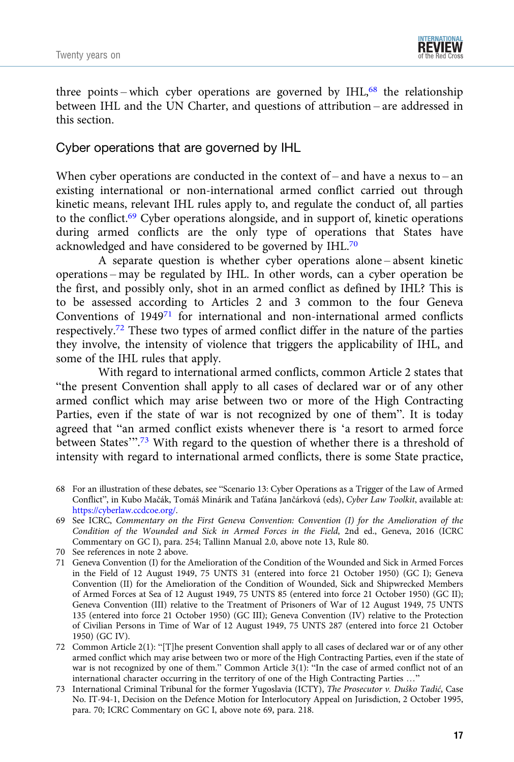

three points – which cyber operations are governed by  $IHL$ ,<sup>68</sup> the relationship between IHL and the UN Charter, and questions of attribution – are addressed in this section.

#### Cyber operations that are governed by IHL

When cyber operations are conducted in the context of – and have a nexus to – an existing international or non-international armed conflict carried out through kinetic means, relevant IHL rules apply to, and regulate the conduct of, all parties to the conflict.69 Cyber operations alongside, and in support of, kinetic operations during armed conflicts are the only type of operations that States have acknowledged and have considered to be governed by IHL.70

A separate question is whether cyber operations alone – absent kinetic operations – may be regulated by IHL. In other words, can a cyber operation be the first, and possibly only, shot in an armed conflict as defined by IHL? This is to be assessed according to Articles 2 and 3 common to the four Geneva Conventions of 194971 for international and non-international armed conflicts respectively.72 These two types of armed conflict differ in the nature of the parties they involve, the intensity of violence that triggers the applicability of IHL, and some of the IHL rules that apply.

With regard to international armed conflicts, common Article 2 states that "the present Convention shall apply to all cases of declared war or of any other armed conflict which may arise between two or more of the High Contracting Parties, even if the state of war is not recognized by one of them". It is today agreed that "an armed conflict exists whenever there is 'a resort to armed force between States"".<sup>73</sup> With regard to the question of whether there is a threshold of intensity with regard to international armed conflicts, there is some State practice,

- 68 For an illustration of these debates, see "Scenario 13: Cyber Operations as a Trigger of the Law of Armed Conflict", in Kubo Mačák, Tomáš Minárik and Taťána Jančárková (eds), Cyber Law Toolkit, available at: <https://cyberlaw.ccdcoe.org/>.
- 69 See ICRC, Commentary on the First Geneva Convention: Convention (I) for the Amelioration of the Condition of the Wounded and Sick in Armed Forces in the Field, 2nd ed., Geneva, 2016 (ICRC Commentary on GC I), para. 254; Tallinn Manual 2.0, above note 13, Rule 80.
- 70 See references in note 2 above.
- 71 Geneva Convention (I) for the Amelioration of the Condition of the Wounded and Sick in Armed Forces in the Field of 12 August 1949, 75 UNTS 31 (entered into force 21 October 1950) (GC I); Geneva Convention (II) for the Amelioration of the Condition of Wounded, Sick and Shipwrecked Members of Armed Forces at Sea of 12 August 1949, 75 UNTS 85 (entered into force 21 October 1950) (GC II); Geneva Convention (III) relative to the Treatment of Prisoners of War of 12 August 1949, 75 UNTS 135 (entered into force 21 October 1950) (GC III); Geneva Convention (IV) relative to the Protection of Civilian Persons in Time of War of 12 August 1949, 75 UNTS 287 (entered into force 21 October 1950) (GC IV).
- 72 Common Article 2(1): "[T]he present Convention shall apply to all cases of declared war or of any other armed conflict which may arise between two or more of the High Contracting Parties, even if the state of war is not recognized by one of them." Common Article 3(1): "In the case of armed conflict not of an international character occurring in the territory of one of the High Contracting Parties …"
- 73 International Criminal Tribunal for the former Yugoslavia (ICTY), The Prosecutor v. Duško Tadić, Case No. IT-94-1, Decision on the Defence Motion for Interlocutory Appeal on Jurisdiction, 2 October 1995, para. 70; ICRC Commentary on GC I, above note 69, para. 218.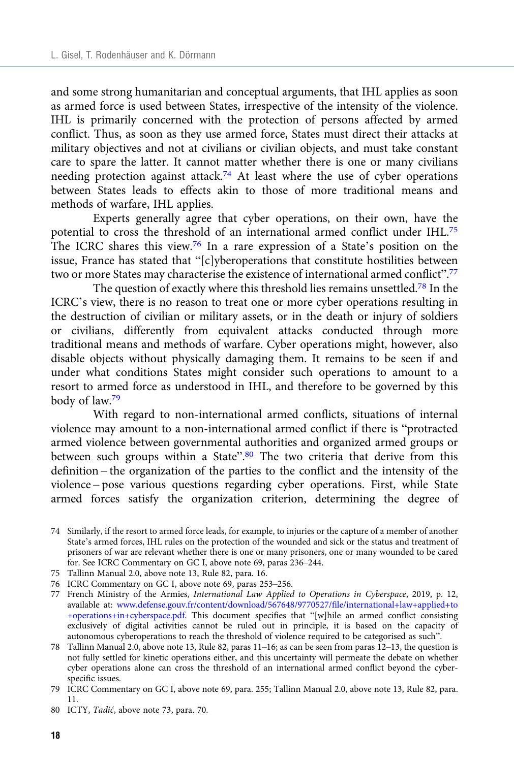and some strong humanitarian and conceptual arguments, that IHL applies as soon as armed force is used between States, irrespective of the intensity of the violence. IHL is primarily concerned with the protection of persons affected by armed conflict. Thus, as soon as they use armed force, States must direct their attacks at military objectives and not at civilians or civilian objects, and must take constant care to spare the latter. It cannot matter whether there is one or many civilians needing protection against attack.74 At least where the use of cyber operations between States leads to effects akin to those of more traditional means and methods of warfare, IHL applies.

Experts generally agree that cyber operations, on their own, have the potential to cross the threshold of an international armed conflict under IHL.75 The ICRC shares this view.<sup>76</sup> In a rare expression of a State's position on the issue, France has stated that "[c]yberoperations that constitute hostilities between two or more States may characterise the existence of international armed conflict".<sup>77</sup>

The question of exactly where this threshold lies remains unsettled.<sup>78</sup> In the ICRC's view, there is no reason to treat one or more cyber operations resulting in the destruction of civilian or military assets, or in the death or injury of soldiers or civilians, differently from equivalent attacks conducted through more traditional means and methods of warfare. Cyber operations might, however, also disable objects without physically damaging them. It remains to be seen if and under what conditions States might consider such operations to amount to a resort to armed force as understood in IHL, and therefore to be governed by this body of law.79

With regard to non-international armed conflicts, situations of internal violence may amount to a non-international armed conflict if there is "protracted armed violence between governmental authorities and organized armed groups or between such groups within a State".<sup>80</sup> The two criteria that derive from this definition – the organization of the parties to the conflict and the intensity of the violence – pose various questions regarding cyber operations. First, while State armed forces satisfy the organization criterion, determining the degree of

<sup>74</sup> Similarly, if the resort to armed force leads, for example, to injuries or the capture of a member of another State's armed forces, IHL rules on the protection of the wounded and sick or the status and treatment of prisoners of war are relevant whether there is one or many prisoners, one or many wounded to be cared for. See ICRC Commentary on GC I, above note 69, paras 236–244.

<sup>75</sup> Tallinn Manual 2.0, above note 13, Rule 82, para. 16.

<sup>76</sup> ICRC Commentary on GC I, above note 69, paras 253–256.

<sup>77</sup> French Ministry of the Armies, International Law Applied to Operations in Cyberspace, 2019, p. 12, available at: [www.defense.gouv.fr/content/download/567648/9770527/file/international+law+applied+to](https://www.defense.gouv.fr/content/download/567648/9770527/file/international+law+applied+to+operations+in+cyberspace.pdf) [+operations+in+cyberspace.pdf.](https://www.defense.gouv.fr/content/download/567648/9770527/file/international+law+applied+to+operations+in+cyberspace.pdf) This document specifies that "[w]hile an armed conflict consisting exclusively of digital activities cannot be ruled out in principle, it is based on the capacity of autonomous cyberoperations to reach the threshold of violence required to be categorised as such".

<sup>78</sup> Tallinn Manual 2.0, above note 13, Rule 82, paras 11–16; as can be seen from paras 12–13, the question is not fully settled for kinetic operations either, and this uncertainty will permeate the debate on whether cyber operations alone can cross the threshold of an international armed conflict beyond the cyberspecific issues.

<sup>79</sup> ICRC Commentary on GC I, above note 69, para. 255; Tallinn Manual 2.0, above note 13, Rule 82, para. 11.

<sup>80</sup> ICTY, Tadić, above note 73, para. 70.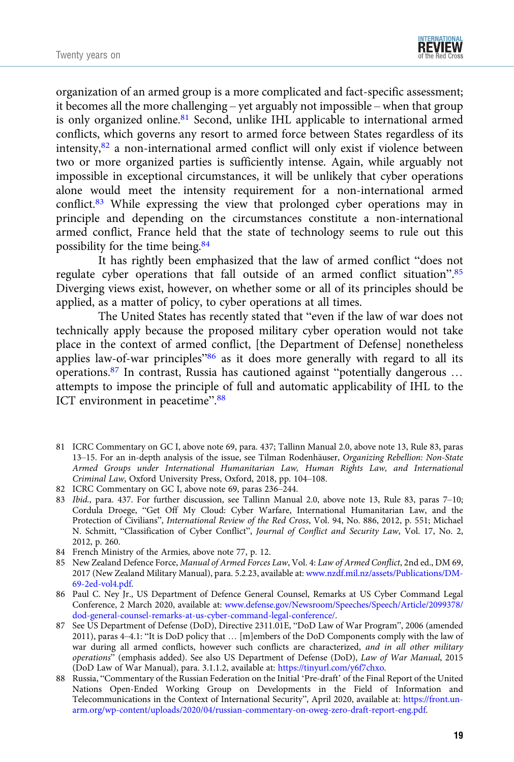

organization of an armed group is a more complicated and fact-specific assessment; it becomes all the more challenging – yet arguably not impossible – when that group is only organized online.<sup>81</sup> Second, unlike IHL applicable to international armed conflicts, which governs any resort to armed force between States regardless of its intensity,82 a non-international armed conflict will only exist if violence between two or more organized parties is sufficiently intense. Again, while arguably not impossible in exceptional circumstances, it will be unlikely that cyber operations alone would meet the intensity requirement for a non-international armed conflict.83 While expressing the view that prolonged cyber operations may in principle and depending on the circumstances constitute a non-international armed conflict, France held that the state of technology seems to rule out this possibility for the time being.84

It has rightly been emphasized that the law of armed conflict "does not regulate cyber operations that fall outside of an armed conflict situation".<sup>85</sup> Diverging views exist, however, on whether some or all of its principles should be applied, as a matter of policy, to cyber operations at all times.

The United States has recently stated that "even if the law of war does not technically apply because the proposed military cyber operation would not take place in the context of armed conflict, [the Department of Defense] nonetheless applies law-of-war principles"86 as it does more generally with regard to all its operations.87 In contrast, Russia has cautioned against "potentially dangerous … attempts to impose the principle of full and automatic applicability of IHL to the ICT environment in peacetime".<sup>88</sup>

- 81 ICRC Commentary on GC I, above note 69, para. 437; Tallinn Manual 2.0, above note 13, Rule 83, paras 13–15. For an in-depth analysis of the issue, see Tilman Rodenhäuser, Organizing Rebellion: Non-State Armed Groups under International Humanitarian Law, Human Rights Law, and International Criminal Law, Oxford University Press, Oxford, 2018, pp. 104–108.
- 82 ICRC Commentary on GC I, above note 69, paras 236–244.
- 83 Ibid., para. 437. For further discussion, see Tallinn Manual 2.0, above note 13, Rule 83, paras 7–10; Cordula Droege, "Get Off My Cloud: Cyber Warfare, International Humanitarian Law, and the Protection of Civilians", International Review of the Red Cross, Vol. 94, No. 886, 2012, p. 551; Michael N. Schmitt, "Classification of Cyber Conflict", Journal of Conflict and Security Law, Vol. 17, No. 2, 2012, p. 260.
- 84 French Ministry of the Armies, above note 77, p. 12.
- 85 New Zealand Defence Force, Manual of Armed Forces Law, Vol. 4: Law of Armed Conflict, 2nd ed., DM 69, 2017 (New Zealand Military Manual), para. 5.2.23, available at: [www.nzdf.mil.nz/assets/Publications/DM-](https://www.nzdf.mil.nz/assets/Publications/DM-69-2ed-vol4.pdf)[69-2ed-vol4.pdf](https://www.nzdf.mil.nz/assets/Publications/DM-69-2ed-vol4.pdf).
- 86 Paul C. Ney Jr., US Department of Defence General Counsel, Remarks at US Cyber Command Legal Conference, 2 March 2020, available at: [www.defense.gov/Newsroom/Speeches/Speech/Article/2099378/](https://www.defense.gov/Newsroom/Speeches/Speech/Article/2099378/dod-general-counsel-remarks-at-us-cyber-command-legal-conference/) [dod-general-counsel-remarks-at-us-cyber-command-legal-conference/](https://www.defense.gov/Newsroom/Speeches/Speech/Article/2099378/dod-general-counsel-remarks-at-us-cyber-command-legal-conference/).
- 87 See US Department of Defense (DoD), Directive 2311.01E, "DoD Law of War Program", 2006 (amended 2011), paras 4–4.1: "It is DoD policy that … [m]embers of the DoD Components comply with the law of war during all armed conflicts, however such conflicts are characterized, and in all other military operations" (emphasis added). See also US Department of Defense (DoD), Law of War Manual, 2015 (DoD Law of War Manual), para. 3.1.1.2, available at: <https://tinyurl.com/y6f7chxo>.
- 88 Russia, "Commentary of the Russian Federation on the Initial 'Pre-draft' of the Final Report of the United Nations Open-Ended Working Group on Developments in the Field of Information and Telecommunications in the Context of International Security", April 2020, available at: [https://front.un](https://front.un-arm.org/wp-content/uploads/2020/04/russian-commentary-on-oweg-zero-draft-report-eng.pdf)[arm.org/wp-content/uploads/2020/04/russian-commentary-on-oweg-zero-draft-report-eng.pdf.](https://front.un-arm.org/wp-content/uploads/2020/04/russian-commentary-on-oweg-zero-draft-report-eng.pdf)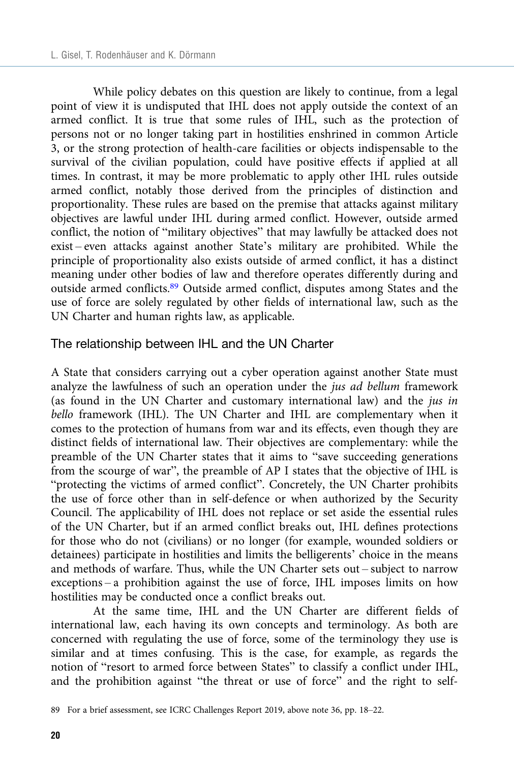While policy debates on this question are likely to continue, from a legal point of view it is undisputed that IHL does not apply outside the context of an armed conflict. It is true that some rules of IHL, such as the protection of persons not or no longer taking part in hostilities enshrined in common Article 3, or the strong protection of health-care facilities or objects indispensable to the survival of the civilian population, could have positive effects if applied at all times. In contrast, it may be more problematic to apply other IHL rules outside armed conflict, notably those derived from the principles of distinction and proportionality. These rules are based on the premise that attacks against military objectives are lawful under IHL during armed conflict. However, outside armed conflict, the notion of "military objectives" that may lawfully be attacked does not exist – even attacks against another State's military are prohibited. While the principle of proportionality also exists outside of armed conflict, it has a distinct meaning under other bodies of law and therefore operates differently during and outside armed conflicts.89 Outside armed conflict, disputes among States and the use of force are solely regulated by other fields of international law, such as the UN Charter and human rights law, as applicable.

#### The relationship between IHL and the UN Charter

A State that considers carrying out a cyber operation against another State must analyze the lawfulness of such an operation under the *jus ad bellum* framework (as found in the UN Charter and customary international law) and the jus in bello framework (IHL). The UN Charter and IHL are complementary when it comes to the protection of humans from war and its effects, even though they are distinct fields of international law. Their objectives are complementary: while the preamble of the UN Charter states that it aims to "save succeeding generations from the scourge of war", the preamble of AP I states that the objective of IHL is "protecting the victims of armed conflict". Concretely, the UN Charter prohibits the use of force other than in self-defence or when authorized by the Security Council. The applicability of IHL does not replace or set aside the essential rules of the UN Charter, but if an armed conflict breaks out, IHL defines protections for those who do not (civilians) or no longer (for example, wounded soldiers or detainees) participate in hostilities and limits the belligerents' choice in the means and methods of warfare. Thus, while the UN Charter sets out – subject to narrow exceptions – a prohibition against the use of force, IHL imposes limits on how hostilities may be conducted once a conflict breaks out.

At the same time, IHL and the UN Charter are different fields of international law, each having its own concepts and terminology. As both are concerned with regulating the use of force, some of the terminology they use is similar and at times confusing. This is the case, for example, as regards the notion of "resort to armed force between States" to classify a conflict under IHL, and the prohibition against "the threat or use of force" and the right to self-

<sup>89</sup> For a brief assessment, see ICRC Challenges Report 2019, above note 36, pp. 18–22.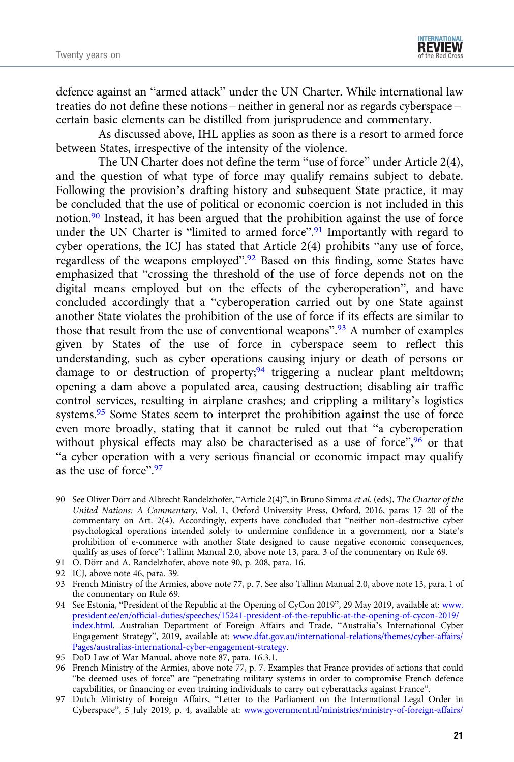

defence against an "armed attack" under the UN Charter. While international law treaties do not define these notions – neither in general nor as regards cyberspace – certain basic elements can be distilled from jurisprudence and commentary.

As discussed above, IHL applies as soon as there is a resort to armed force between States, irrespective of the intensity of the violence.

The UN Charter does not define the term "use of force" under Article 2(4), and the question of what type of force may qualify remains subject to debate. Following the provision's drafting history and subsequent State practice, it may be concluded that the use of political or economic coercion is not included in this notion.90 Instead, it has been argued that the prohibition against the use of force under the UN Charter is "limited to armed force".<sup>91</sup> Importantly with regard to cyber operations, the ICJ has stated that Article 2(4) prohibits "any use of force, regardless of the weapons employed".<sup>92</sup> Based on this finding, some States have emphasized that "crossing the threshold of the use of force depends not on the digital means employed but on the effects of the cyberoperation", and have concluded accordingly that a "cyberoperation carried out by one State against another State violates the prohibition of the use of force if its effects are similar to those that result from the use of conventional weapons".<sup>93</sup> A number of examples given by States of the use of force in cyberspace seem to reflect this understanding, such as cyber operations causing injury or death of persons or damage to or destruction of property;<sup>94</sup> triggering a nuclear plant meltdown; opening a dam above a populated area, causing destruction; disabling air traffic control services, resulting in airplane crashes; and crippling a military's logistics systems.95 Some States seem to interpret the prohibition against the use of force even more broadly, stating that it cannot be ruled out that "a cyberoperation without physical effects may also be characterised as a use of force",<sup>96</sup> or that "a cyber operation with a very serious financial or economic impact may qualify as the use of force".<sup>97</sup>

- 90 See Oliver Dörr and Albrecht Randelzhofer, "Article 2(4)", in Bruno Simma et al. (eds), The Charter of the United Nations: A Commentary, Vol. 1, Oxford University Press, Oxford, 2016, paras 17–20 of the commentary on Art. 2(4). Accordingly, experts have concluded that "neither non-destructive cyber psychological operations intended solely to undermine confidence in a government, nor a State's prohibition of e-commerce with another State designed to cause negative economic consequences, qualify as uses of force": Tallinn Manual 2.0, above note 13, para. 3 of the commentary on Rule 69.
- 91 O. Dörr and A. Randelzhofer, above note 90, p. 208, para. 16.
- 92 ICJ, above note 46, para. 39.
- 93 French Ministry of the Armies, above note 77, p. 7. See also Tallinn Manual 2.0, above note 13, para. 1 of the commentary on Rule 69.
- 94 See Estonia, "President of the Republic at the Opening of CyCon 2019", 29 May 2019, available at: [www.](https://www.president.ee/en/official-duties/speeches/15241-president-of-the-republic-at-the-opening-of-cycon-2019/index.html) [president.ee/en/official-duties/speeches/15241-president-of-the-republic-at-the-opening-of-cycon-2019/](https://www.president.ee/en/official-duties/speeches/15241-president-of-the-republic-at-the-opening-of-cycon-2019/index.html) [index.html](https://www.president.ee/en/official-duties/speeches/15241-president-of-the-republic-at-the-opening-of-cycon-2019/index.html). Australian Department of Foreign Affairs and Trade, "Australia's International Cyber Engagement Strategy", 2019, available at: [www.dfat.gov.au/international-relations/themes/cyber-affairs/](https://www.dfat.gov.au/international-relations/themes/cyber-affairs/Pages/australias-international-cyber-engagement-strategy) [Pages/australias-international-cyber-engagement-strategy.](https://www.dfat.gov.au/international-relations/themes/cyber-affairs/Pages/australias-international-cyber-engagement-strategy)
- 95 DoD Law of War Manual, above note 87, para. 16.3.1.
- 96 French Ministry of the Armies, above note 77, p. 7. Examples that France provides of actions that could "be deemed uses of force" are "penetrating military systems in order to compromise French defence capabilities, or financing or even training individuals to carry out cyberattacks against France".
- 97 Dutch Ministry of Foreign Affairs, "Letter to the Parliament on the International Legal Order in Cyberspace", 5 July 2019, p. 4, available at: [www.government.nl/ministries/ministry-of-foreign-affairs/](https://www.government.nl/ministries/ministry-of-foreign-affairs/documents/parliamentary-documents/2019/09/26/letter-to-the-parliament-on-the-international-legal-order-in-cyberspace)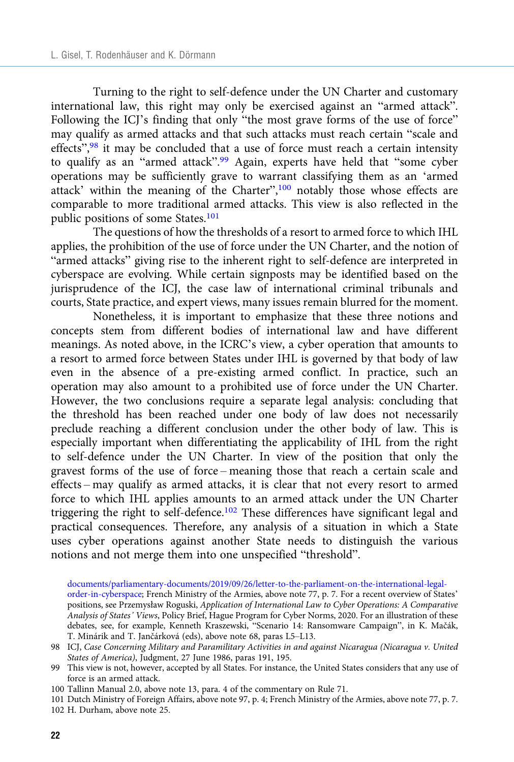Turning to the right to self-defence under the UN Charter and customary international law, this right may only be exercised against an "armed attack". Following the ICJ's finding that only "the most grave forms of the use of force" may qualify as armed attacks and that such attacks must reach certain "scale and effects",<sup>98</sup> it may be concluded that a use of force must reach a certain intensity to qualify as an "armed attack".<sup>99</sup> Again, experts have held that "some cyber operations may be sufficiently grave to warrant classifying them as an 'armed attack' within the meaning of the Charter",<sup>100</sup> notably those whose effects are comparable to more traditional armed attacks. This view is also reflected in the public positions of some States.<sup>101</sup>

The questions of how the thresholds of a resort to armed force to which IHL applies, the prohibition of the use of force under the UN Charter, and the notion of "armed attacks" giving rise to the inherent right to self-defence are interpreted in cyberspace are evolving. While certain signposts may be identified based on the jurisprudence of the ICJ, the case law of international criminal tribunals and courts, State practice, and expert views, many issues remain blurred for the moment.

Nonetheless, it is important to emphasize that these three notions and concepts stem from different bodies of international law and have different meanings. As noted above, in the ICRC's view, a cyber operation that amounts to a resort to armed force between States under IHL is governed by that body of law even in the absence of a pre-existing armed conflict. In practice, such an operation may also amount to a prohibited use of force under the UN Charter. However, the two conclusions require a separate legal analysis: concluding that the threshold has been reached under one body of law does not necessarily preclude reaching a different conclusion under the other body of law. This is especially important when differentiating the applicability of IHL from the right to self-defence under the UN Charter. In view of the position that only the gravest forms of the use of force – meaning those that reach a certain scale and effects – may qualify as armed attacks, it is clear that not every resort to armed force to which IHL applies amounts to an armed attack under the UN Charter triggering the right to self-defence.102 These differences have significant legal and practical consequences. Therefore, any analysis of a situation in which a State uses cyber operations against another State needs to distinguish the various notions and not merge them into one unspecified "threshold".

[documents/parliamentary-documents/2019/09/26/letter-to-the-parliament-on-the-international-legal](https://www.government.nl/ministries/ministry-of-foreign-affairs/documents/parliamentary-documents/2019/09/26/letter-to-the-parliament-on-the-international-legal-order-in-cyberspace)[order-in-cyberspace](https://www.government.nl/ministries/ministry-of-foreign-affairs/documents/parliamentary-documents/2019/09/26/letter-to-the-parliament-on-the-international-legal-order-in-cyberspace); French Ministry of the Armies, above note 77, p. 7. For a recent overview of States' positions, see Przemysław Roguski, Application of International Law to Cyber Operations: A Comparative Analysis of States' Views, Policy Brief, Hague Program for Cyber Norms, 2020. For an illustration of these debates, see, for example, Kenneth Kraszewski, "Scenario 14: Ransomware Campaign", in K. Mačák, T. Minárik and T. Jančárková (eds), above note 68, paras L5–L13.

101 Dutch Ministry of Foreign Affairs, above note 97, p. 4; French Ministry of the Armies, above note 77, p. 7.

102 H. Durham, above note 25.

<sup>98</sup> ICJ, Case Concerning Military and Paramilitary Activities in and against Nicaragua (Nicaragua v. United States of America), Judgment, 27 June 1986, paras 191, 195.

<sup>99</sup> This view is not, however, accepted by all States. For instance, the United States considers that any use of force is an armed attack.

<sup>100</sup> Tallinn Manual 2.0, above note 13, para. 4 of the commentary on Rule 71.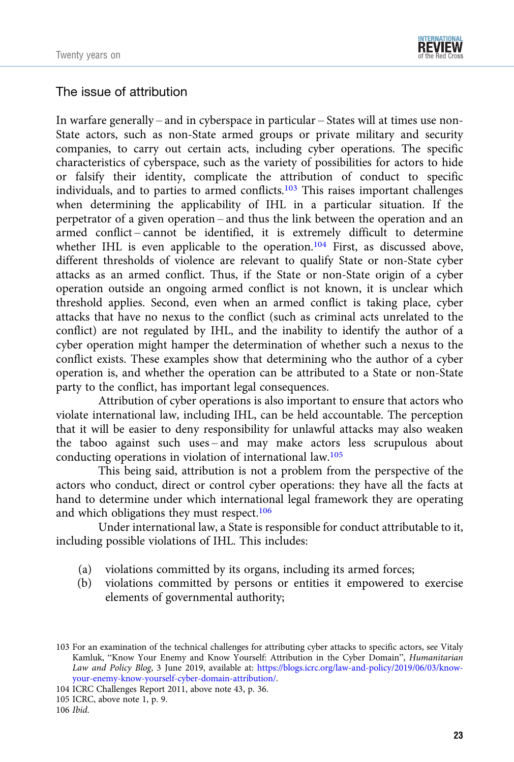

## The issue of attribution

In warfare generally – and in cyberspace in particular – States will at times use non-State actors, such as non-State armed groups or private military and security companies, to carry out certain acts, including cyber operations. The specific characteristics of cyberspace, such as the variety of possibilities for actors to hide or falsify their identity, complicate the attribution of conduct to specific individuals, and to parties to armed conflicts.<sup>103</sup> This raises important challenges when determining the applicability of IHL in a particular situation. If the perpetrator of a given operation – and thus the link between the operation and an armed conflict – cannot be identified, it is extremely difficult to determine whether IHL is even applicable to the operation.<sup>104</sup> First, as discussed above, different thresholds of violence are relevant to qualify State or non-State cyber attacks as an armed conflict. Thus, if the State or non-State origin of a cyber operation outside an ongoing armed conflict is not known, it is unclear which threshold applies. Second, even when an armed conflict is taking place, cyber attacks that have no nexus to the conflict (such as criminal acts unrelated to the conflict) are not regulated by IHL, and the inability to identify the author of a cyber operation might hamper the determination of whether such a nexus to the conflict exists. These examples show that determining who the author of a cyber operation is, and whether the operation can be attributed to a State or non-State party to the conflict, has important legal consequences.

Attribution of cyber operations is also important to ensure that actors who violate international law, including IHL, can be held accountable. The perception that it will be easier to deny responsibility for unlawful attacks may also weaken the taboo against such uses – and may make actors less scrupulous about conducting operations in violation of international law.105

This being said, attribution is not a problem from the perspective of the actors who conduct, direct or control cyber operations: they have all the facts at hand to determine under which international legal framework they are operating and which obligations they must respect. $106$ 

Under international law, a State is responsible for conduct attributable to it, including possible violations of IHL. This includes:

- (a) violations committed by its organs, including its armed forces;
- (b) violations committed by persons or entities it empowered to exercise elements of governmental authority;

<sup>103</sup> For an examination of the technical challenges for attributing cyber attacks to specific actors, see Vitaly Kamluk, "Know Your Enemy and Know Yourself: Attribution in the Cyber Domain", Humanitarian Law and Policy Blog, 3 June 2019, available at: [https://blogs.icrc.org/law-and-policy/2019/06/03/know](https://blogs.icrc.org/law-and-policy/2019/06/03/know-your-enemy-know-yourself-cyber-domain-attribution/)[your-enemy-know-yourself-cyber-domain-attribution/](https://blogs.icrc.org/law-and-policy/2019/06/03/know-your-enemy-know-yourself-cyber-domain-attribution/).

<sup>104</sup> ICRC Challenges Report 2011, above note 43, p. 36.

<sup>105</sup> ICRC, above note 1, p. 9.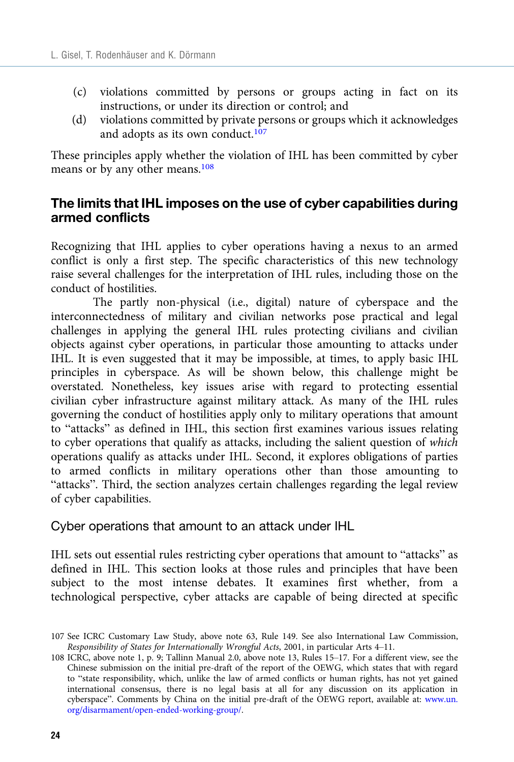- (c) violations committed by persons or groups acting in fact on its instructions, or under its direction or control; and
- (d) violations committed by private persons or groups which it acknowledges and adopts as its own conduct.<sup>107</sup>

These principles apply whether the violation of IHL has been committed by cyber means or by any other means.<sup>108</sup>

## The limits that IHL imposes on the use of cyber capabilities during armed conflicts

Recognizing that IHL applies to cyber operations having a nexus to an armed conflict is only a first step. The specific characteristics of this new technology raise several challenges for the interpretation of IHL rules, including those on the conduct of hostilities.

The partly non-physical (i.e., digital) nature of cyberspace and the interconnectedness of military and civilian networks pose practical and legal challenges in applying the general IHL rules protecting civilians and civilian objects against cyber operations, in particular those amounting to attacks under IHL. It is even suggested that it may be impossible, at times, to apply basic IHL principles in cyberspace. As will be shown below, this challenge might be overstated. Nonetheless, key issues arise with regard to protecting essential civilian cyber infrastructure against military attack. As many of the IHL rules governing the conduct of hostilities apply only to military operations that amount to "attacks" as defined in IHL, this section first examines various issues relating to cyber operations that qualify as attacks, including the salient question of which operations qualify as attacks under IHL. Second, it explores obligations of parties to armed conflicts in military operations other than those amounting to "attacks". Third, the section analyzes certain challenges regarding the legal review of cyber capabilities.

#### Cyber operations that amount to an attack under IHL

IHL sets out essential rules restricting cyber operations that amount to "attacks" as defined in IHL. This section looks at those rules and principles that have been subject to the most intense debates. It examines first whether, from a technological perspective, cyber attacks are capable of being directed at specific

<sup>107</sup> See ICRC Customary Law Study, above note 63, Rule 149. See also International Law Commission, Responsibility of States for Internationally Wrongful Acts, 2001, in particular Arts 4–11.

<sup>108</sup> ICRC, above note 1, p. 9; Tallinn Manual 2.0, above note 13, Rules 15–17. For a different view, see the Chinese submission on the initial pre-draft of the report of the OEWG, which states that with regard to "state responsibility, which, unlike the law of armed conflicts or human rights, has not yet gained international consensus, there is no legal basis at all for any discussion on its application in cyberspace". Comments by China on the initial pre-draft of the OEWG report, available at: [www.un.](https://www.un.org/disarmament/open-ended-working-group/) [org/disarmament/open-ended-working-group/](https://www.un.org/disarmament/open-ended-working-group/).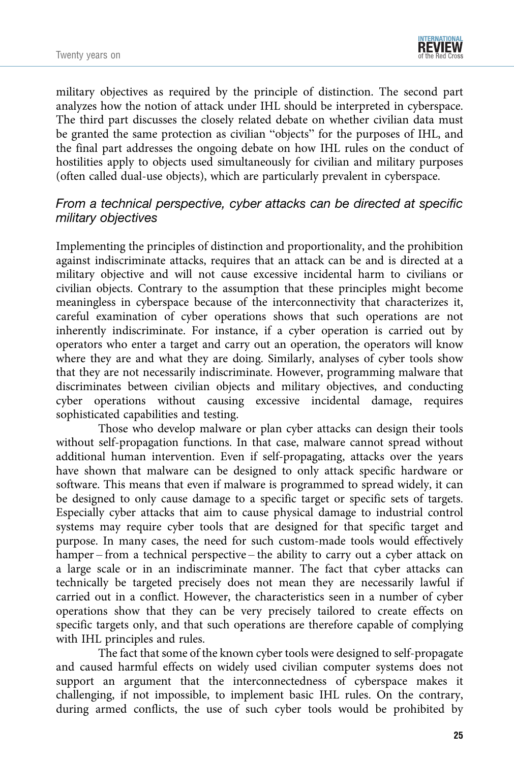

military objectives as required by the principle of distinction. The second part analyzes how the notion of attack under IHL should be interpreted in cyberspace. The third part discusses the closely related debate on whether civilian data must be granted the same protection as civilian "objects" for the purposes of IHL, and the final part addresses the ongoing debate on how IHL rules on the conduct of hostilities apply to objects used simultaneously for civilian and military purposes (often called dual-use objects), which are particularly prevalent in cyberspace.

## From a technical perspective, cyber attacks can be directed at specific military objectives

Implementing the principles of distinction and proportionality, and the prohibition against indiscriminate attacks, requires that an attack can be and is directed at a military objective and will not cause excessive incidental harm to civilians or civilian objects. Contrary to the assumption that these principles might become meaningless in cyberspace because of the interconnectivity that characterizes it, careful examination of cyber operations shows that such operations are not inherently indiscriminate. For instance, if a cyber operation is carried out by operators who enter a target and carry out an operation, the operators will know where they are and what they are doing. Similarly, analyses of cyber tools show that they are not necessarily indiscriminate. However, programming malware that discriminates between civilian objects and military objectives, and conducting cyber operations without causing excessive incidental damage, requires sophisticated capabilities and testing.

Those who develop malware or plan cyber attacks can design their tools without self-propagation functions. In that case, malware cannot spread without additional human intervention. Even if self-propagating, attacks over the years have shown that malware can be designed to only attack specific hardware or software. This means that even if malware is programmed to spread widely, it can be designed to only cause damage to a specific target or specific sets of targets. Especially cyber attacks that aim to cause physical damage to industrial control systems may require cyber tools that are designed for that specific target and purpose. In many cases, the need for such custom-made tools would effectively hamper – from a technical perspective – the ability to carry out a cyber attack on a large scale or in an indiscriminate manner. The fact that cyber attacks can technically be targeted precisely does not mean they are necessarily lawful if carried out in a conflict. However, the characteristics seen in a number of cyber operations show that they can be very precisely tailored to create effects on specific targets only, and that such operations are therefore capable of complying with IHL principles and rules.

The fact that some of the known cyber tools were designed to self-propagate and caused harmful effects on widely used civilian computer systems does not support an argument that the interconnectedness of cyberspace makes it challenging, if not impossible, to implement basic IHL rules. On the contrary, during armed conflicts, the use of such cyber tools would be prohibited by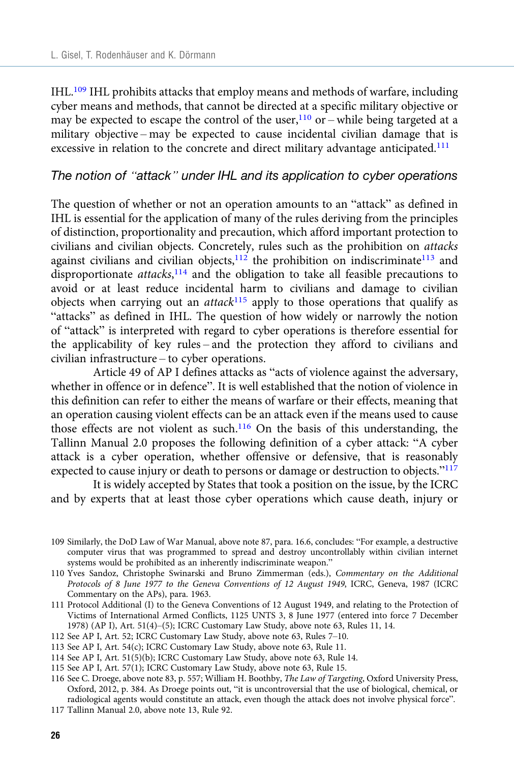IHL.109 IHL prohibits attacks that employ means and methods of warfare, including cyber means and methods, that cannot be directed at a specific military objective or may be expected to escape the control of the user,<sup>110</sup> or – while being targeted at a military objective – may be expected to cause incidental civilian damage that is excessive in relation to the concrete and direct military advantage anticipated.<sup>111</sup>

#### The notion of "attack" under IHL and its application to cyber operations

The question of whether or not an operation amounts to an "attack" as defined in IHL is essential for the application of many of the rules deriving from the principles of distinction, proportionality and precaution, which afford important protection to civilians and civilian objects. Concretely, rules such as the prohibition on attacks against civilians and civilian objects, $\frac{112}{2}$  the prohibition on indiscriminate<sup>113</sup> and disproportionate attacks,<sup>114</sup> and the obligation to take all feasible precautions to avoid or at least reduce incidental harm to civilians and damage to civilian objects when carrying out an  $attack^{115}$  apply to those operations that qualify as "attacks" as defined in IHL. The question of how widely or narrowly the notion of "attack" is interpreted with regard to cyber operations is therefore essential for the applicability of key rules – and the protection they afford to civilians and civilian infrastructure – to cyber operations.

Article 49 of AP I defines attacks as "acts of violence against the adversary, whether in offence or in defence". It is well established that the notion of violence in this definition can refer to either the means of warfare or their effects, meaning that an operation causing violent effects can be an attack even if the means used to cause those effects are not violent as such.116 On the basis of this understanding, the Tallinn Manual 2.0 proposes the following definition of a cyber attack: "A cyber attack is a cyber operation, whether offensive or defensive, that is reasonably expected to cause injury or death to persons or damage or destruction to objects." $117$ 

It is widely accepted by States that took a position on the issue, by the ICRC and by experts that at least those cyber operations which cause death, injury or

- 109 Similarly, the DoD Law of War Manual, above note 87, para. 16.6, concludes: "For example, a destructive computer virus that was programmed to spread and destroy uncontrollably within civilian internet systems would be prohibited as an inherently indiscriminate weapon."
- 110 Yves Sandoz, Christophe Swinarski and Bruno Zimmerman (eds.), Commentary on the Additional Protocols of 8 June 1977 to the Geneva Conventions of 12 August 1949, ICRC, Geneva, 1987 (ICRC Commentary on the APs), para. 1963.
- 111 Protocol Additional (I) to the Geneva Conventions of 12 August 1949, and relating to the Protection of Victims of International Armed Conflicts, 1125 UNTS 3, 8 June 1977 (entered into force 7 December 1978) (AP I), Art. 51(4)–(5); ICRC Customary Law Study, above note 63, Rules 11, 14.
- 112 See AP I, Art. 52; ICRC Customary Law Study, above note 63, Rules 7–10.
- 113 See AP I, Art. 54(c); ICRC Customary Law Study, above note 63, Rule 11.
- 114 See AP I, Art. 51(5)(b); ICRC Customary Law Study, above note 63, Rule 14.
- 115 See AP I, Art. 57(1); ICRC Customary Law Study, above note 63, Rule 15.
- 116 See C. Droege, above note 83, p. 557; William H. Boothby, The Law of Targeting, Oxford University Press, Oxford, 2012, p. 384. As Droege points out, "it is uncontroversial that the use of biological, chemical, or radiological agents would constitute an attack, even though the attack does not involve physical force".
- 117 Tallinn Manual 2.0, above note 13, Rule 92.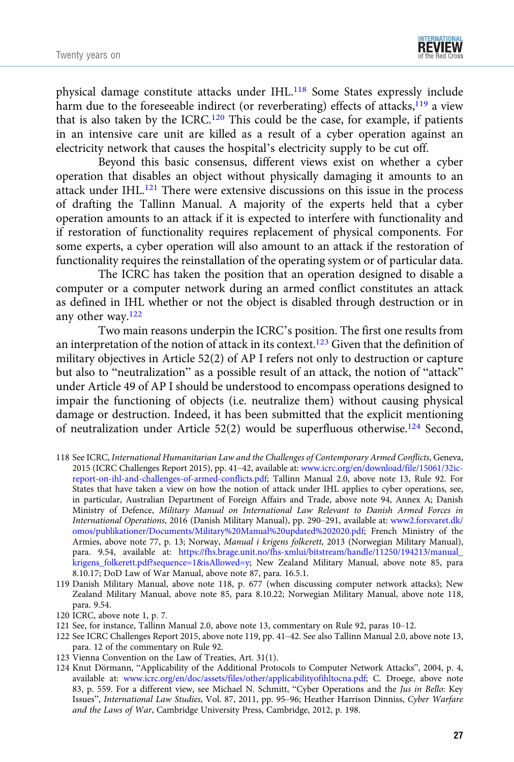

physical damage constitute attacks under IHL.118 Some States expressly include harm due to the foreseeable indirect (or reverberating) effects of attacks, $119$  a view that is also taken by the ICRC.<sup>120</sup> This could be the case, for example, if patients in an intensive care unit are killed as a result of a cyber operation against an electricity network that causes the hospital's electricity supply to be cut off.

Beyond this basic consensus, different views exist on whether a cyber operation that disables an object without physically damaging it amounts to an attack under IHL.121 There were extensive discussions on this issue in the process of drafting the Tallinn Manual. A majority of the experts held that a cyber operation amounts to an attack if it is expected to interfere with functionality and if restoration of functionality requires replacement of physical components. For some experts, a cyber operation will also amount to an attack if the restoration of functionality requires the reinstallation of the operating system or of particular data.

The ICRC has taken the position that an operation designed to disable a computer or a computer network during an armed conflict constitutes an attack as defined in IHL whether or not the object is disabled through destruction or in any other way.122

Two main reasons underpin the ICRC's position. The first one results from an interpretation of the notion of attack in its context.<sup>123</sup> Given that the definition of military objectives in Article 52(2) of AP I refers not only to destruction or capture but also to "neutralization" as a possible result of an attack, the notion of "attack" under Article 49 of AP I should be understood to encompass operations designed to impair the functioning of objects (i.e. neutralize them) without causing physical damage or destruction. Indeed, it has been submitted that the explicit mentioning of neutralization under Article 52(2) would be superfluous otherwise.124 Second,

- 118 See ICRC, International Humanitarian Law and the Challenges of Contemporary Armed Conflicts, Geneva, 2015 (ICRC Challenges Report 2015), pp. 41–42, available at: [www.icrc.org/en/download/file/15061/32ic](https://www.icrc.org/en/download/file/15061/32ic-report-on-ihl-and-challenges-of-armed-conflicts.pdf)[report-on-ihl-and-challenges-of-armed-conflicts.pdf](https://www.icrc.org/en/download/file/15061/32ic-report-on-ihl-and-challenges-of-armed-conflicts.pdf); Tallinn Manual 2.0, above note 13, Rule 92. For States that have taken a view on how the notion of attack under IHL applies to cyber operations, see, in particular, Australian Department of Foreign Affairs and Trade, above note 94, Annex A; Danish Ministry of Defence, Military Manual on International Law Relevant to Danish Armed Forces in International Operations, 2016 (Danish Military Manual), pp. 290–291, available at: [www2.forsvaret.dk/](https://www2.forsvaret.dk/omos/publikationer/Documents/Military%20Manual%20updated%202020.pdf) [omos/publikationer/Documents/Military%20Manual%20updated%202020.pdf](https://www2.forsvaret.dk/omos/publikationer/Documents/Military%20Manual%20updated%202020.pdf); French Ministry of the Armies, above note 77, p. 13; Norway, Manual i krigens folkerett, 2013 (Norwegian Military Manual), para. 9.54, available at: [https://fhs.brage.unit.no/fhs-xmlui/bitstream/handle/11250/194213/manual\\_](https://fhs.brage.unit.no/fhs-xmlui/bitstream/handle/11250/194213/manual_krigens_folkerett.pdf?sequence=1&isAllowed=y) [krigens\\_folkerett.pdf?sequence=1&isAllowed=y](https://fhs.brage.unit.no/fhs-xmlui/bitstream/handle/11250/194213/manual_krigens_folkerett.pdf?sequence=1&isAllowed=y); New Zealand Military Manual, above note 85, para 8.10.17; DoD Law of War Manual, above note 87, para. 16.5.1.
- 119 Danish Military Manual, above note 118, p. 677 (when discussing computer network attacks); New Zealand Military Manual, above note 85, para 8.10.22; Norwegian Military Manual, above note 118, para. 9.54.
- 120 ICRC, above note 1, p. 7.
- 121 See, for instance, Tallinn Manual 2.0, above note 13, commentary on Rule 92, paras 10–12.
- 122 See ICRC Challenges Report 2015, above note 119, pp. 41–42. See also Tallinn Manual 2.0, above note 13, para. 12 of the commentary on Rule 92.
- 123 Vienna Convention on the Law of Treaties, Art. 31(1).
- 124 Knut Dörmann, "Applicability of the Additional Protocols to Computer Network Attacks", 2004, p. 4, available at: [www.icrc.org/en/doc/assets/files/other/applicabilityofihltocna.pdf;](https://www.icrc.org/en/doc/assets/files/other/applicabilityofihltocna.pdf) C. Droege, above note 83, p. 559. For a different view, see Michael N. Schmitt, "Cyber Operations and the Jus in Bello: Key Issues", International Law Studies, Vol. 87, 2011, pp. 95–96; Heather Harrison Dinniss, Cyber Warfare and the Laws of War, Cambridge University Press, Cambridge, 2012, p. 198.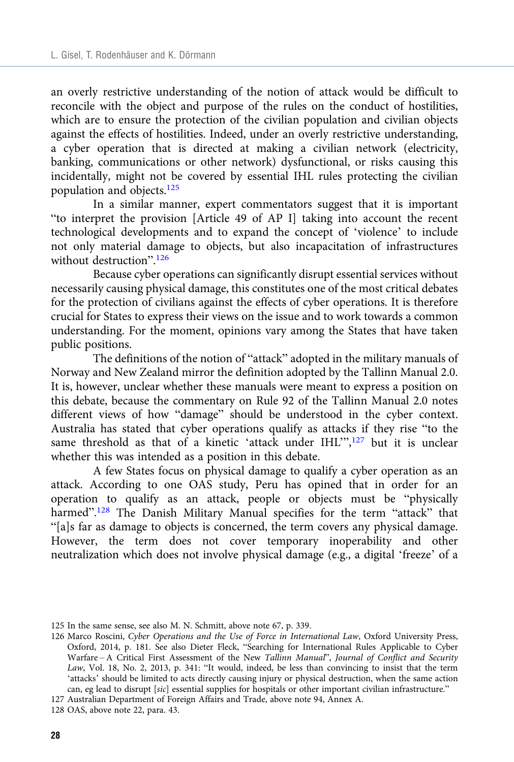an overly restrictive understanding of the notion of attack would be difficult to reconcile with the object and purpose of the rules on the conduct of hostilities, which are to ensure the protection of the civilian population and civilian objects against the effects of hostilities. Indeed, under an overly restrictive understanding, a cyber operation that is directed at making a civilian network (electricity, banking, communications or other network) dysfunctional, or risks causing this incidentally, might not be covered by essential IHL rules protecting the civilian population and objects.125

In a similar manner, expert commentators suggest that it is important "to interpret the provision [Article 49 of AP I] taking into account the recent technological developments and to expand the concept of 'violence' to include not only material damage to objects, but also incapacitation of infrastructures without destruction". 126

Because cyber operations can significantly disrupt essential services without necessarily causing physical damage, this constitutes one of the most critical debates for the protection of civilians against the effects of cyber operations. It is therefore crucial for States to express their views on the issue and to work towards a common understanding. For the moment, opinions vary among the States that have taken public positions.

The definitions of the notion of "attack" adopted in the military manuals of Norway and New Zealand mirror the definition adopted by the Tallinn Manual 2.0. It is, however, unclear whether these manuals were meant to express a position on this debate, because the commentary on Rule 92 of the Tallinn Manual 2.0 notes different views of how "damage" should be understood in the cyber context. Australia has stated that cyber operations qualify as attacks if they rise "to the same threshold as that of a kinetic 'attack under IHL'",<sup>127</sup> but it is unclear whether this was intended as a position in this debate.

A few States focus on physical damage to qualify a cyber operation as an attack. According to one OAS study, Peru has opined that in order for an operation to qualify as an attack, people or objects must be "physically harmed".<sup>128</sup> The Danish Military Manual specifies for the term "attack" that "[a]s far as damage to objects is concerned, the term covers any physical damage. However, the term does not cover temporary inoperability and other neutralization which does not involve physical damage (e.g., a digital 'freeze' of a

<sup>125</sup> In the same sense, see also M. N. Schmitt, above note 67, p. 339.

<sup>126</sup> Marco Roscini, Cyber Operations and the Use of Force in International Law, Oxford University Press, Oxford, 2014, p. 181. See also Dieter Fleck, "Searching for International Rules Applicable to Cyber Warfare - A Critical First Assessment of the New Tallinn Manual", Journal of Conflict and Security Law, Vol. 18, No. 2, 2013, p. 341: "It would, indeed, be less than convincing to insist that the term 'attacks' should be limited to acts directly causing injury or physical destruction, when the same action can, eg lead to disrupt [sic] essential supplies for hospitals or other important civilian infrastructure."

<sup>127</sup> Australian Department of Foreign Affairs and Trade, above note 94, Annex A.

<sup>128</sup> OAS, above note 22, para. 43.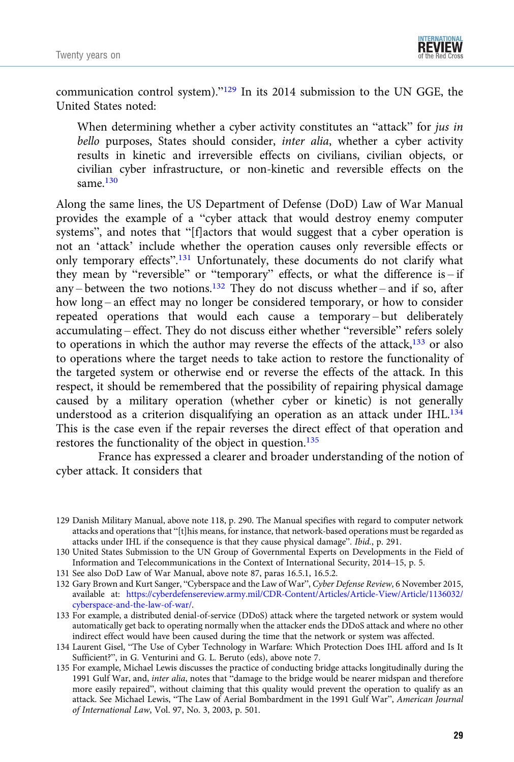

communication control system)." $129$  In its 2014 submission to the UN GGE, the United States noted:

When determining whether a cyber activity constitutes an "attack" for *jus in* bello purposes, States should consider, inter alia, whether a cyber activity results in kinetic and irreversible effects on civilians, civilian objects, or civilian cyber infrastructure, or non-kinetic and reversible effects on the same. $130$ 

Along the same lines, the US Department of Defense (DoD) Law of War Manual provides the example of a "cyber attack that would destroy enemy computer systems", and notes that "[f]actors that would suggest that a cyber operation is not an 'attack' include whether the operation causes only reversible effects or only temporary effects".<sup>131</sup> Unfortunately, these documents do not clarify what they mean by "reversible" or "temporary" effects, or what the difference is – if any – between the two notions.<sup>132</sup> They do not discuss whether – and if so, after how long – an effect may no longer be considered temporary, or how to consider repeated operations that would each cause a temporary – but deliberately accumulating – effect. They do not discuss either whether "reversible" refers solely to operations in which the author may reverse the effects of the attack, $133$  or also to operations where the target needs to take action to restore the functionality of the targeted system or otherwise end or reverse the effects of the attack. In this respect, it should be remembered that the possibility of repairing physical damage caused by a military operation (whether cyber or kinetic) is not generally understood as a criterion disqualifying an operation as an attack under IHL.134 This is the case even if the repair reverses the direct effect of that operation and restores the functionality of the object in question.<sup>135</sup>

France has expressed a clearer and broader understanding of the notion of cyber attack. It considers that

- 131 See also DoD Law of War Manual, above note 87, paras 16.5.1, 16.5.2.
- 132 Gary Brown and Kurt Sanger, "Cyberspace and the Law of War", Cyber Defense Review, 6 November 2015, available at: [https://cyberdefensereview.army.mil/CDR-Content/Articles/Article-View/Article/1136032/](https://cyberdefensereview.army.mil/CDR-Content/Articles/Article-View/Article/1136032/cyberspace-and-the-law-of-war/) [cyberspace-and-the-law-of-war/.](https://cyberdefensereview.army.mil/CDR-Content/Articles/Article-View/Article/1136032/cyberspace-and-the-law-of-war/)
- 133 For example, a distributed denial-of-service (DDoS) attack where the targeted network or system would automatically get back to operating normally when the attacker ends the DDoS attack and where no other indirect effect would have been caused during the time that the network or system was affected.
- 134 Laurent Gisel, "The Use of Cyber Technology in Warfare: Which Protection Does IHL afford and Is It Sufficient?", in G. Venturini and G. L. Beruto (eds), above note 7.
- 135 For example, Michael Lewis discusses the practice of conducting bridge attacks longitudinally during the 1991 Gulf War, and, inter alia, notes that "damage to the bridge would be nearer midspan and therefore more easily repaired", without claiming that this quality would prevent the operation to qualify as an attack. See Michael Lewis, "The Law of Aerial Bombardment in the 1991 Gulf War", American Journal of International Law, Vol. 97, No. 3, 2003, p. 501.

<sup>129</sup> Danish Military Manual, above note 118, p. 290. The Manual specifies with regard to computer network attacks and operations that "[t]his means, for instance, that network-based operations must be regarded as attacks under IHL if the consequence is that they cause physical damage". Ibid., p. 291.

<sup>130</sup> United States Submission to the UN Group of Governmental Experts on Developments in the Field of Information and Telecommunications in the Context of International Security, 2014–15, p. 5.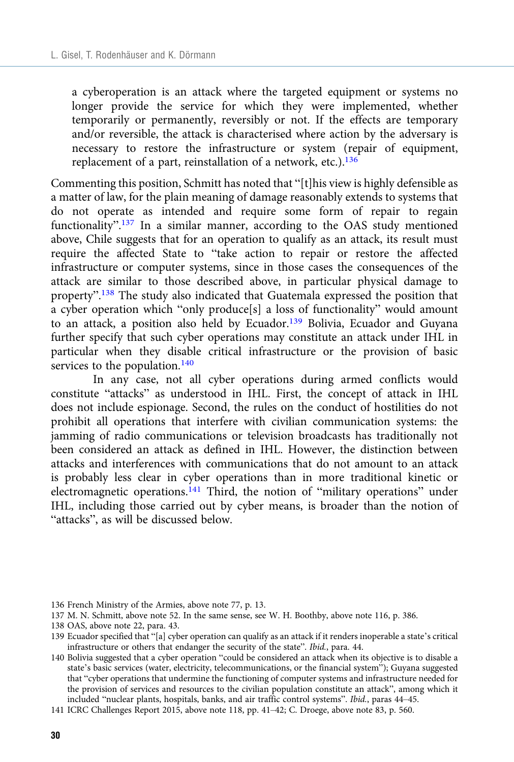a cyberoperation is an attack where the targeted equipment or systems no longer provide the service for which they were implemented, whether temporarily or permanently, reversibly or not. If the effects are temporary and/or reversible, the attack is characterised where action by the adversary is necessary to restore the infrastructure or system (repair of equipment, replacement of a part, reinstallation of a network, etc.).<sup>136</sup>

Commenting this position, Schmitt has noted that "[t]his view is highly defensible as a matter of law, for the plain meaning of damage reasonably extends to systems that do not operate as intended and require some form of repair to regain functionality".<sup>137</sup> In a similar manner, according to the OAS study mentioned above, Chile suggests that for an operation to qualify as an attack, its result must require the affected State to "take action to repair or restore the affected infrastructure or computer systems, since in those cases the consequences of the attack are similar to those described above, in particular physical damage to property".<sup>138</sup> The study also indicated that Guatemala expressed the position that a cyber operation which "only produce[s] a loss of functionality" would amount to an attack, a position also held by Ecuador.<sup>139</sup> Bolivia, Ecuador and Guyana further specify that such cyber operations may constitute an attack under IHL in particular when they disable critical infrastructure or the provision of basic services to the population.<sup>140</sup>

In any case, not all cyber operations during armed conflicts would constitute "attacks" as understood in IHL. First, the concept of attack in IHL does not include espionage. Second, the rules on the conduct of hostilities do not prohibit all operations that interfere with civilian communication systems: the jamming of radio communications or television broadcasts has traditionally not been considered an attack as defined in IHL. However, the distinction between attacks and interferences with communications that do not amount to an attack is probably less clear in cyber operations than in more traditional kinetic or electromagnetic operations.<sup>141</sup> Third, the notion of "military operations" under IHL, including those carried out by cyber means, is broader than the notion of "attacks", as will be discussed below.

<sup>136</sup> French Ministry of the Armies, above note 77, p. 13.

<sup>137</sup> M. N. Schmitt, above note 52. In the same sense, see W. H. Boothby, above note 116, p. 386.

<sup>138</sup> OAS, above note 22, para. 43.

<sup>139</sup> Ecuador specified that "[a] cyber operation can qualify as an attack if it renders inoperable a state's critical infrastructure or others that endanger the security of the state". Ibid., para. 44.

<sup>140</sup> Bolivia suggested that a cyber operation "could be considered an attack when its objective is to disable a state's basic services (water, electricity, telecommunications, or the financial system"); Guyana suggested that "cyber operations that undermine the functioning of computer systems and infrastructure needed for the provision of services and resources to the civilian population constitute an attack", among which it included "nuclear plants, hospitals, banks, and air traffic control systems". Ibid., paras 44–45.

<sup>141</sup> ICRC Challenges Report 2015, above note 118, pp. 41–42; C. Droege, above note 83, p. 560.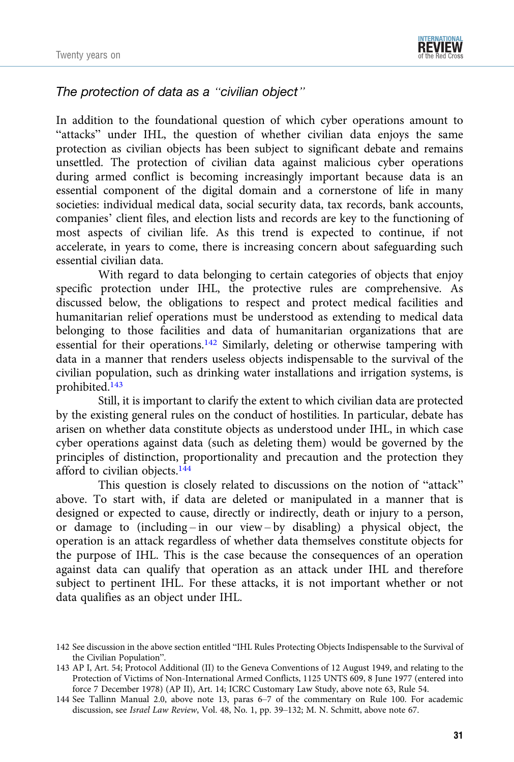

#### The protection of data as a "civilian object"

In addition to the foundational question of which cyber operations amount to "attacks" under IHL, the question of whether civilian data enjoys the same protection as civilian objects has been subject to significant debate and remains unsettled. The protection of civilian data against malicious cyber operations during armed conflict is becoming increasingly important because data is an essential component of the digital domain and a cornerstone of life in many societies: individual medical data, social security data, tax records, bank accounts, companies' client files, and election lists and records are key to the functioning of most aspects of civilian life. As this trend is expected to continue, if not accelerate, in years to come, there is increasing concern about safeguarding such essential civilian data.

With regard to data belonging to certain categories of objects that enjoy specific protection under IHL, the protective rules are comprehensive. As discussed below, the obligations to respect and protect medical facilities and humanitarian relief operations must be understood as extending to medical data belonging to those facilities and data of humanitarian organizations that are essential for their operations.<sup>142</sup> Similarly, deleting or otherwise tampering with data in a manner that renders useless objects indispensable to the survival of the civilian population, such as drinking water installations and irrigation systems, is prohibited.143

Still, it is important to clarify the extent to which civilian data are protected by the existing general rules on the conduct of hostilities. In particular, debate has arisen on whether data constitute objects as understood under IHL, in which case cyber operations against data (such as deleting them) would be governed by the principles of distinction, proportionality and precaution and the protection they afford to civilian objects.<sup>144</sup>

This question is closely related to discussions on the notion of "attack" above. To start with, if data are deleted or manipulated in a manner that is designed or expected to cause, directly or indirectly, death or injury to a person, or damage to (including – in our view – by disabling) a physical object, the operation is an attack regardless of whether data themselves constitute objects for the purpose of IHL. This is the case because the consequences of an operation against data can qualify that operation as an attack under IHL and therefore subject to pertinent IHL. For these attacks, it is not important whether or not data qualifies as an object under IHL.

- 142 See discussion in the above section entitled "IHL Rules Protecting Objects Indispensable to the Survival of the Civilian Population".
- 143 AP I, Art. 54; Protocol Additional (II) to the Geneva Conventions of 12 August 1949, and relating to the Protection of Victims of Non-International Armed Conflicts, 1125 UNTS 609, 8 June 1977 (entered into force 7 December 1978) (AP II), Art. 14; ICRC Customary Law Study, above note 63, Rule 54.
- 144 See Tallinn Manual 2.0, above note 13, paras 6–7 of the commentary on Rule 100. For academic discussion, see Israel Law Review, Vol. 48, No. 1, pp. 39–132; M. N. Schmitt, above note 67.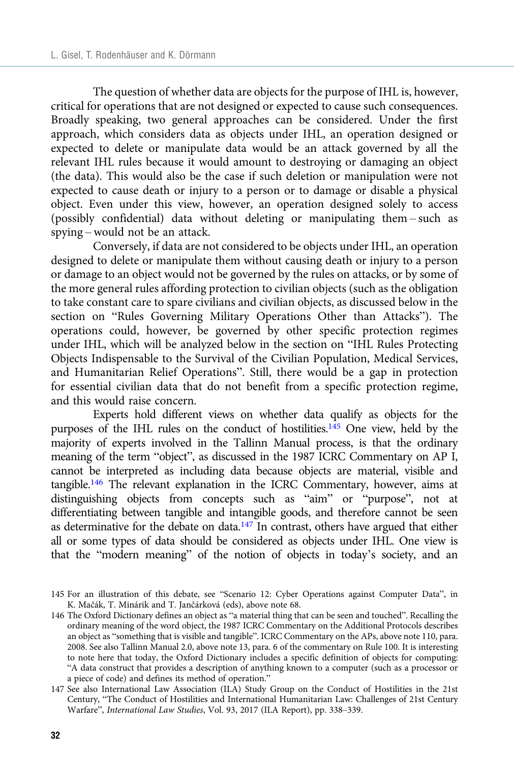The question of whether data are objects for the purpose of IHL is, however, critical for operations that are not designed or expected to cause such consequences. Broadly speaking, two general approaches can be considered. Under the first approach, which considers data as objects under IHL, an operation designed or expected to delete or manipulate data would be an attack governed by all the relevant IHL rules because it would amount to destroying or damaging an object (the data). This would also be the case if such deletion or manipulation were not expected to cause death or injury to a person or to damage or disable a physical object. Even under this view, however, an operation designed solely to access (possibly confidential) data without deleting or manipulating them – such as spying – would not be an attack.

Conversely, if data are not considered to be objects under IHL, an operation designed to delete or manipulate them without causing death or injury to a person or damage to an object would not be governed by the rules on attacks, or by some of the more general rules affording protection to civilian objects (such as the obligation to take constant care to spare civilians and civilian objects, as discussed below in the section on "Rules Governing Military Operations Other than Attacks"). The operations could, however, be governed by other specific protection regimes under IHL, which will be analyzed below in the section on "IHL Rules Protecting Objects Indispensable to the Survival of the Civilian Population, Medical Services, and Humanitarian Relief Operations". Still, there would be a gap in protection for essential civilian data that do not benefit from a specific protection regime, and this would raise concern.

Experts hold different views on whether data qualify as objects for the purposes of the IHL rules on the conduct of hostilities.<sup>145</sup> One view, held by the majority of experts involved in the Tallinn Manual process, is that the ordinary meaning of the term "object", as discussed in the 1987 ICRC Commentary on AP I, cannot be interpreted as including data because objects are material, visible and tangible.146 The relevant explanation in the ICRC Commentary, however, aims at distinguishing objects from concepts such as "aim" or "purpose", not at differentiating between tangible and intangible goods, and therefore cannot be seen as determinative for the debate on data.<sup>147</sup> In contrast, others have argued that either all or some types of data should be considered as objects under IHL. One view is that the "modern meaning" of the notion of objects in today's society, and an

<sup>145</sup> For an illustration of this debate, see "Scenario 12: Cyber Operations against Computer Data", in K. Mačák, T. Minárik and T. Jančárková (eds), above note 68.

<sup>146</sup> The Oxford Dictionary defines an object as "a material thing that can be seen and touched". Recalling the ordinary meaning of the word object, the 1987 ICRC Commentary on the Additional Protocols describes an object as "something that is visible and tangible". ICRC Commentary on the APs, above note 110, para. 2008. See also Tallinn Manual 2.0, above note 13, para. 6 of the commentary on Rule 100. It is interesting to note here that today, the Oxford Dictionary includes a specific definition of objects for computing: "A data construct that provides a description of anything known to a computer (such as a processor or a piece of code) and defines its method of operation."

<sup>147</sup> See also International Law Association (ILA) Study Group on the Conduct of Hostilities in the 21st Century, "The Conduct of Hostilities and International Humanitarian Law: Challenges of 21st Century Warfare", International Law Studies, Vol. 93, 2017 (ILA Report), pp. 338–339.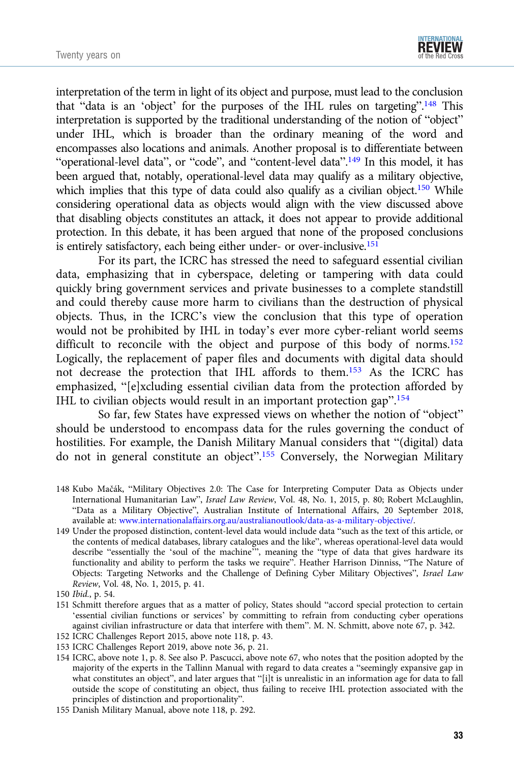

interpretation of the term in light of its object and purpose, must lead to the conclusion that "data is an 'object' for the purposes of the IHL rules on targeting".<sup>148</sup> This interpretation is supported by the traditional understanding of the notion of "object" under IHL, which is broader than the ordinary meaning of the word and encompasses also locations and animals. Another proposal is to differentiate between "operational-level data", or "code", and "content-level data".<sup>149</sup> In this model, it has been argued that, notably, operational-level data may qualify as a military objective, which implies that this type of data could also qualify as a civilian object.<sup>150</sup> While considering operational data as objects would align with the view discussed above that disabling objects constitutes an attack, it does not appear to provide additional protection. In this debate, it has been argued that none of the proposed conclusions is entirely satisfactory, each being either under- or over-inclusive.151

For its part, the ICRC has stressed the need to safeguard essential civilian data, emphasizing that in cyberspace, deleting or tampering with data could quickly bring government services and private businesses to a complete standstill and could thereby cause more harm to civilians than the destruction of physical objects. Thus, in the ICRC's view the conclusion that this type of operation would not be prohibited by IHL in today's ever more cyber-reliant world seems difficult to reconcile with the object and purpose of this body of norms.<sup>152</sup> Logically, the replacement of paper files and documents with digital data should not decrease the protection that IHL affords to them.153 As the ICRC has emphasized, "[e]xcluding essential civilian data from the protection afforded by IHL to civilian objects would result in an important protection gap".<sup>154</sup>

So far, few States have expressed views on whether the notion of "object" should be understood to encompass data for the rules governing the conduct of hostilities. For example, the Danish Military Manual considers that "(digital) data do not in general constitute an object". <sup>155</sup> Conversely, the Norwegian Military

- 148 Kubo Mačák, "Military Objectives 2.0: The Case for Interpreting Computer Data as Objects under International Humanitarian Law", Israel Law Review, Vol. 48, No. 1, 2015, p. 80; Robert McLaughlin, "Data as a Military Objective", Australian Institute of International Affairs, 20 September 2018, available at: [www.internationalaffairs.org.au/australianoutlook/data-as-a-military-objective/](https://www.internationalaffairs.org.au/australianoutlook/data-as-a-military-objective/).
- 149 Under the proposed distinction, content-level data would include data "such as the text of this article, or the contents of medical databases, library catalogues and the like", whereas operational-level data would describe "essentially the 'soul of the machine'", meaning the "type of data that gives hardware its functionality and ability to perform the tasks we require". Heather Harrison Dinniss, "The Nature of Objects: Targeting Networks and the Challenge of Defining Cyber Military Objectives", Israel Law Review, Vol. 48, No. 1, 2015, p. 41.

- 151 Schmitt therefore argues that as a matter of policy, States should "accord special protection to certain 'essential civilian functions or services' by committing to refrain from conducting cyber operations against civilian infrastructure or data that interfere with them". M. N. Schmitt, above note 67, p. 342.
- 152 ICRC Challenges Report 2015, above note 118, p. 43.
- 153 ICRC Challenges Report 2019, above note 36, p. 21.
- 154 ICRC, above note 1, p. 8. See also P. Pascucci, above note 67, who notes that the position adopted by the majority of the experts in the Tallinn Manual with regard to data creates a "seemingly expansive gap in what constitutes an object", and later argues that "[i]t is unrealistic in an information age for data to fall outside the scope of constituting an object, thus failing to receive IHL protection associated with the principles of distinction and proportionality".
- 155 Danish Military Manual, above note 118, p. 292.

<sup>150</sup> Ibid., p. 54.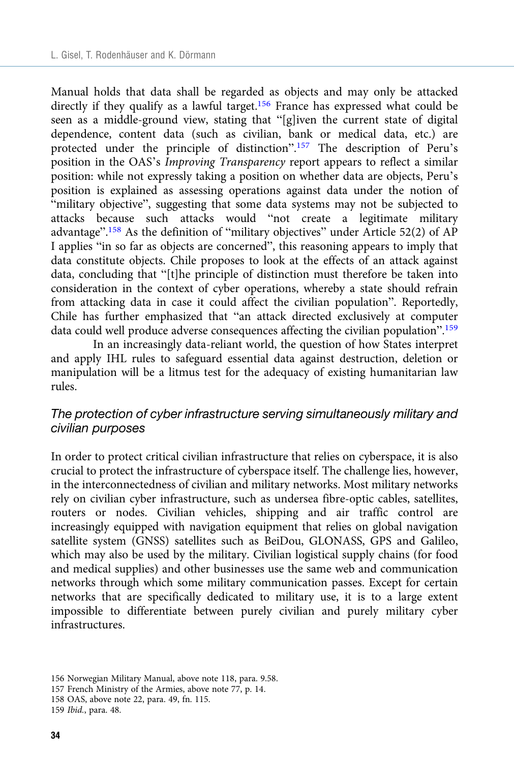Manual holds that data shall be regarded as objects and may only be attacked directly if they qualify as a lawful target.<sup>156</sup> France has expressed what could be seen as a middle-ground view, stating that "[g]iven the current state of digital dependence, content data (such as civilian, bank or medical data, etc.) are protected under the principle of distinction".<sup>157</sup> The description of Peru's position in the OAS's Improving Transparency report appears to reflect a similar position: while not expressly taking a position on whether data are objects, Peru's position is explained as assessing operations against data under the notion of "military objective", suggesting that some data systems may not be subjected to attacks because such attacks would "not create a legitimate military advantage".<sup>158</sup> As the definition of "military objectives" under Article 52(2) of AP I applies "in so far as objects are concerned", this reasoning appears to imply that data constitute objects. Chile proposes to look at the effects of an attack against data, concluding that "[t]he principle of distinction must therefore be taken into consideration in the context of cyber operations, whereby a state should refrain from attacking data in case it could affect the civilian population". Reportedly, Chile has further emphasized that "an attack directed exclusively at computer data could well produce adverse consequences affecting the civilian population".<sup>159</sup>

In an increasingly data-reliant world, the question of how States interpret and apply IHL rules to safeguard essential data against destruction, deletion or manipulation will be a litmus test for the adequacy of existing humanitarian law rules.

## The protection of cyber infrastructure serving simultaneously military and civilian purposes

In order to protect critical civilian infrastructure that relies on cyberspace, it is also crucial to protect the infrastructure of cyberspace itself. The challenge lies, however, in the interconnectedness of civilian and military networks. Most military networks rely on civilian cyber infrastructure, such as undersea fibre-optic cables, satellites, routers or nodes. Civilian vehicles, shipping and air traffic control are increasingly equipped with navigation equipment that relies on global navigation satellite system (GNSS) satellites such as BeiDou, GLONASS, GPS and Galileo, which may also be used by the military. Civilian logistical supply chains (for food and medical supplies) and other businesses use the same web and communication networks through which some military communication passes. Except for certain networks that are specifically dedicated to military use, it is to a large extent impossible to differentiate between purely civilian and purely military cyber infrastructures.

<sup>156</sup> Norwegian Military Manual, above note 118, para. 9.58.

<sup>157</sup> French Ministry of the Armies, above note 77, p. 14.

<sup>158</sup> OAS, above note 22, para. 49, fn. 115.

<sup>159</sup> Ibid., para. 48.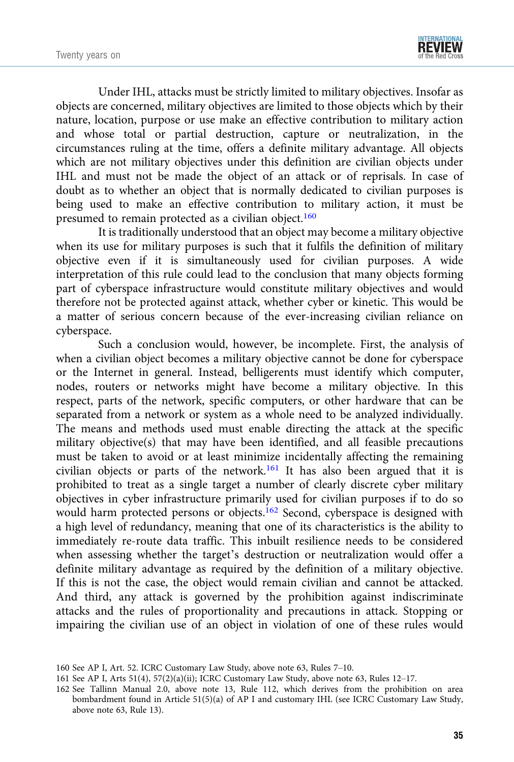

Under IHL, attacks must be strictly limited to military objectives. Insofar as objects are concerned, military objectives are limited to those objects which by their nature, location, purpose or use make an effective contribution to military action and whose total or partial destruction, capture or neutralization, in the circumstances ruling at the time, offers a definite military advantage. All objects which are not military objectives under this definition are civilian objects under IHL and must not be made the object of an attack or of reprisals. In case of doubt as to whether an object that is normally dedicated to civilian purposes is being used to make an effective contribution to military action, it must be presumed to remain protected as a civilian object.<sup>160</sup>

It is traditionally understood that an object may become a military objective when its use for military purposes is such that it fulfils the definition of military objective even if it is simultaneously used for civilian purposes. A wide interpretation of this rule could lead to the conclusion that many objects forming part of cyberspace infrastructure would constitute military objectives and would therefore not be protected against attack, whether cyber or kinetic. This would be a matter of serious concern because of the ever-increasing civilian reliance on cyberspace.

Such a conclusion would, however, be incomplete. First, the analysis of when a civilian object becomes a military objective cannot be done for cyberspace or the Internet in general. Instead, belligerents must identify which computer, nodes, routers or networks might have become a military objective. In this respect, parts of the network, specific computers, or other hardware that can be separated from a network or system as a whole need to be analyzed individually. The means and methods used must enable directing the attack at the specific military objective(s) that may have been identified, and all feasible precautions must be taken to avoid or at least minimize incidentally affecting the remaining civilian objects or parts of the network.161 It has also been argued that it is prohibited to treat as a single target a number of clearly discrete cyber military objectives in cyber infrastructure primarily used for civilian purposes if to do so would harm protected persons or objects.162 Second, cyberspace is designed with a high level of redundancy, meaning that one of its characteristics is the ability to immediately re-route data traffic. This inbuilt resilience needs to be considered when assessing whether the target's destruction or neutralization would offer a definite military advantage as required by the definition of a military objective. If this is not the case, the object would remain civilian and cannot be attacked. And third, any attack is governed by the prohibition against indiscriminate attacks and the rules of proportionality and precautions in attack. Stopping or impairing the civilian use of an object in violation of one of these rules would

<sup>160</sup> See AP I, Art. 52. ICRC Customary Law Study, above note 63, Rules 7–10.

<sup>161</sup> See AP I, Arts 51(4), 57(2)(a)(ii); ICRC Customary Law Study, above note 63, Rules 12–17.

<sup>162</sup> See Tallinn Manual 2.0, above note 13, Rule 112, which derives from the prohibition on area bombardment found in Article 51(5)(a) of AP I and customary IHL (see ICRC Customary Law Study, above note 63, Rule 13).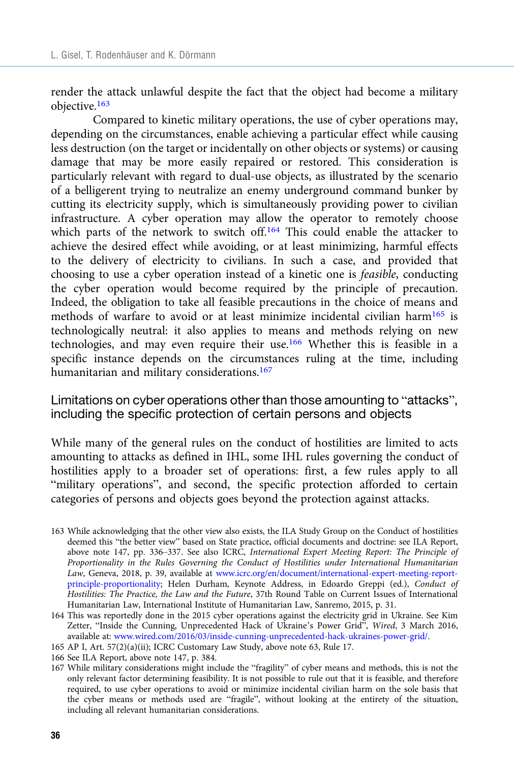render the attack unlawful despite the fact that the object had become a military objective.<sup>163</sup>

Compared to kinetic military operations, the use of cyber operations may, depending on the circumstances, enable achieving a particular effect while causing less destruction (on the target or incidentally on other objects or systems) or causing damage that may be more easily repaired or restored. This consideration is particularly relevant with regard to dual-use objects, as illustrated by the scenario of a belligerent trying to neutralize an enemy underground command bunker by cutting its electricity supply, which is simultaneously providing power to civilian infrastructure. A cyber operation may allow the operator to remotely choose which parts of the network to switch of  $f<sup>164</sup>$ . This could enable the attacker to achieve the desired effect while avoiding, or at least minimizing, harmful effects to the delivery of electricity to civilians. In such a case, and provided that choosing to use a cyber operation instead of a kinetic one is feasible, conducting the cyber operation would become required by the principle of precaution. Indeed, the obligation to take all feasible precautions in the choice of means and methods of warfare to avoid or at least minimize incidental civilian harm<sup>165</sup> is technologically neutral: it also applies to means and methods relying on new technologies, and may even require their use.166 Whether this is feasible in a specific instance depends on the circumstances ruling at the time, including humanitarian and military considerations.<sup>167</sup>

Limitations on cyber operations other than those amounting to "attacks", including the specific protection of certain persons and objects

While many of the general rules on the conduct of hostilities are limited to acts amounting to attacks as defined in IHL, some IHL rules governing the conduct of hostilities apply to a broader set of operations: first, a few rules apply to all "military operations", and second, the specific protection afforded to certain categories of persons and objects goes beyond the protection against attacks.

- 163 While acknowledging that the other view also exists, the ILA Study Group on the Conduct of hostilities deemed this "the better view" based on State practice, official documents and doctrine: see ILA Report, above note 147, pp. 336–337. See also ICRC, International Expert Meeting Report: The Principle of Proportionality in the Rules Governing the Conduct of Hostilities under International Humanitarian Law, Geneva, 2018, p. 39, available at [www.icrc.org/en/document/international-expert-meeting-report](https://www.icrc.org/en/document/international-expert-meeting-report-principle-proportionality)[principle-proportionality](https://www.icrc.org/en/document/international-expert-meeting-report-principle-proportionality); Helen Durham, Keynote Address, in Edoardo Greppi (ed.), Conduct of Hostilities: The Practice, the Law and the Future, 37th Round Table on Current Issues of International Humanitarian Law, International Institute of Humanitarian Law, Sanremo, 2015, p. 31.
- 164 This was reportedly done in the 2015 cyber operations against the electricity grid in Ukraine. See Kim Zetter, "Inside the Cunning, Unprecedented Hack of Ukraine's Power Grid", Wired, 3 March 2016, available at: [www.wired.com/2016/03/inside-cunning-unprecedented-hack-ukraines-power-grid/.](https://www.wired.com/2016/03/inside-cunning-unprecedented-hack-ukraines-power-grid/)

166 See ILA Report, above note 147, p. 384.

<sup>165</sup> AP I, Art. 57(2)(a)(ii); ICRC Customary Law Study, above note 63, Rule 17.

<sup>167</sup> While military considerations might include the "fragility" of cyber means and methods, this is not the only relevant factor determining feasibility. It is not possible to rule out that it is feasible, and therefore required, to use cyber operations to avoid or minimize incidental civilian harm on the sole basis that the cyber means or methods used are "fragile", without looking at the entirety of the situation, including all relevant humanitarian considerations.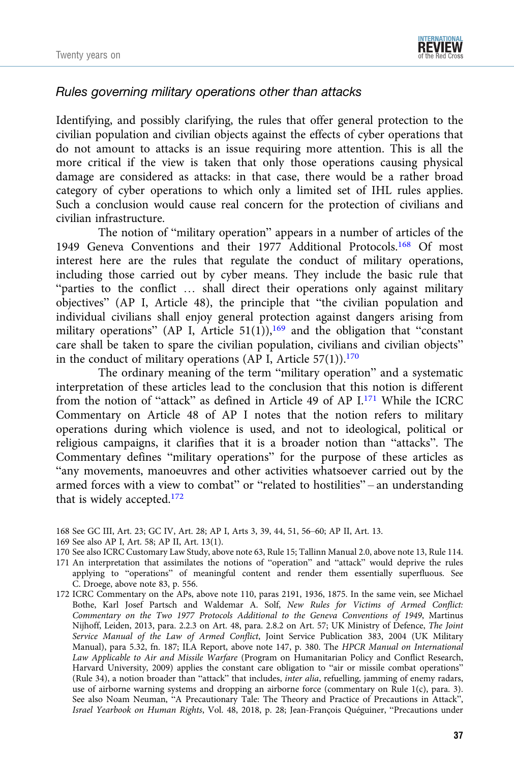

#### Rules governing military operations other than attacks

Identifying, and possibly clarifying, the rules that offer general protection to the civilian population and civilian objects against the effects of cyber operations that do not amount to attacks is an issue requiring more attention. This is all the more critical if the view is taken that only those operations causing physical damage are considered as attacks: in that case, there would be a rather broad category of cyber operations to which only a limited set of IHL rules applies. Such a conclusion would cause real concern for the protection of civilians and civilian infrastructure.

The notion of "military operation" appears in a number of articles of the 1949 Geneva Conventions and their 1977 Additional Protocols.168 Of most interest here are the rules that regulate the conduct of military operations, including those carried out by cyber means. They include the basic rule that "parties to the conflict … shall direct their operations only against military objectives" (AP I, Article 48), the principle that "the civilian population and individual civilians shall enjoy general protection against dangers arising from military operations" (AP I, Article 51(1)),<sup>169</sup> and the obligation that "constant" care shall be taken to spare the civilian population, civilians and civilian objects" in the conduct of military operations (AP I, Article  $57(1)$ ).<sup>170</sup>

The ordinary meaning of the term "military operation" and a systematic interpretation of these articles lead to the conclusion that this notion is different from the notion of "attack" as defined in Article 49 of AP I.<sup>171</sup> While the ICRC Commentary on Article 48 of AP I notes that the notion refers to military operations during which violence is used, and not to ideological, political or religious campaigns, it clarifies that it is a broader notion than "attacks". The Commentary defines "military operations" for the purpose of these articles as "any movements, manoeuvres and other activities whatsoever carried out by the armed forces with a view to combat" or "related to hostilities" – an understanding that is widely accepted.172

- 170 See also ICRC Customary Law Study, above note 63, Rule 15; Tallinn Manual 2.0, above note 13, Rule 114. 171 An interpretation that assimilates the notions of "operation" and "attack" would deprive the rules applying to "operations" of meaningful content and render them essentially superfluous. See C. Droege, above note 83, p. 556.
- 172 ICRC Commentary on the APs, above note 110, paras 2191, 1936, 1875. In the same vein, see Michael Bothe, Karl Josef Partsch and Waldemar A. Solf, New Rules for Victims of Armed Conflict: Commentary on the Two 1977 Protocols Additional to the Geneva Conventions of 1949, Martinus Nijhoff, Leiden, 2013, para. 2.2.3 on Art. 48, para. 2.8.2 on Art. 57; UK Ministry of Defence, The Joint Service Manual of the Law of Armed Conflict, Joint Service Publication 383, 2004 (UK Military Manual), para 5.32, fn. 187; ILA Report, above note 147, p. 380. The HPCR Manual on International Law Applicable to Air and Missile Warfare (Program on Humanitarian Policy and Conflict Research, Harvard University, 2009) applies the constant care obligation to "air or missile combat operations" (Rule 34), a notion broader than "attack" that includes, inter alia, refuelling, jamming of enemy radars, use of airborne warning systems and dropping an airborne force (commentary on Rule 1(c), para. 3). See also Noam Neuman, "A Precautionary Tale: The Theory and Practice of Precautions in Attack", Israel Yearbook on Human Rights, Vol. 48, 2018, p. 28; Jean-François Quéguiner, "Precautions under

<sup>168</sup> See GC III, Art. 23; GC IV, Art. 28; AP I, Arts 3, 39, 44, 51, 56–60; AP II, Art. 13.

<sup>169</sup> See also AP I, Art. 58; AP II, Art. 13(1).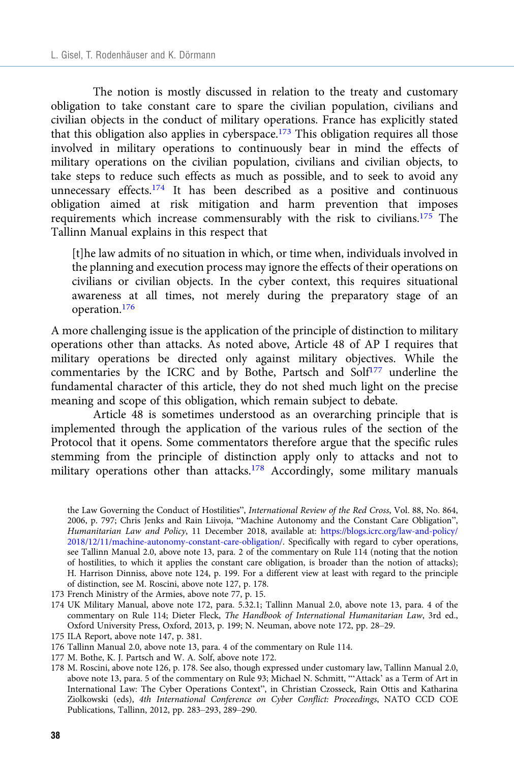The notion is mostly discussed in relation to the treaty and customary obligation to take constant care to spare the civilian population, civilians and civilian objects in the conduct of military operations. France has explicitly stated that this obligation also applies in cyberspace.173 This obligation requires all those involved in military operations to continuously bear in mind the effects of military operations on the civilian population, civilians and civilian objects, to take steps to reduce such effects as much as possible, and to seek to avoid any unnecessary effects.<sup>174</sup> It has been described as a positive and continuous obligation aimed at risk mitigation and harm prevention that imposes requirements which increase commensurably with the risk to civilians.175 The Tallinn Manual explains in this respect that

[t]he law admits of no situation in which, or time when, individuals involved in the planning and execution process may ignore the effects of their operations on civilians or civilian objects. In the cyber context, this requires situational awareness at all times, not merely during the preparatory stage of an operation.176

A more challenging issue is the application of the principle of distinction to military operations other than attacks. As noted above, Article 48 of AP I requires that military operations be directed only against military objectives. While the commentaries by the ICRC and by Bothe, Partsch and Solf<sup>177</sup> underline the fundamental character of this article, they do not shed much light on the precise meaning and scope of this obligation, which remain subject to debate.

Article 48 is sometimes understood as an overarching principle that is implemented through the application of the various rules of the section of the Protocol that it opens. Some commentators therefore argue that the specific rules stemming from the principle of distinction apply only to attacks and not to military operations other than attacks.<sup>178</sup> Accordingly, some military manuals

the Law Governing the Conduct of Hostilities", International Review of the Red Cross, Vol. 88, No. 864, 2006, p. 797; Chris Jenks and Rain Liivoja, "Machine Autonomy and the Constant Care Obligation", Humanitarian Law and Policy, 11 December 2018, available at: [https://blogs.icrc.org/law-and-policy/](https://blogs.icrc.org/law-and-policy/2018/12/11/machine-autonomy-constant-care-obligation/) [2018/12/11/machine-autonomy-constant-care-obligation/.](https://blogs.icrc.org/law-and-policy/2018/12/11/machine-autonomy-constant-care-obligation/) Specifically with regard to cyber operations, see Tallinn Manual 2.0, above note 13, para. 2 of the commentary on Rule 114 (noting that the notion of hostilities, to which it applies the constant care obligation, is broader than the notion of attacks); H. Harrison Dinniss, above note 124, p. 199. For a different view at least with regard to the principle of distinction, see M. Roscini, above note 127, p. 178.

- 173 French Ministry of the Armies, above note 77, p. 15.
- 174 UK Military Manual, above note 172, para. 5.32.1; Tallinn Manual 2.0, above note 13, para. 4 of the commentary on Rule 114; Dieter Fleck, The Handbook of International Humanitarian Law, 3rd ed., Oxford University Press, Oxford, 2013, p. 199; N. Neuman, above note 172, pp. 28–29.
- 175 ILA Report, above note 147, p. 381.
- 176 Tallinn Manual 2.0, above note 13, para. 4 of the commentary on Rule 114.
- 177 M. Bothe, K. J. Partsch and W. A. Solf, above note 172.
- 178 M. Roscini, above note 126, p. 178. See also, though expressed under customary law, Tallinn Manual 2.0, above note 13, para. 5 of the commentary on Rule 93; Michael N. Schmitt, "'Attack' as a Term of Art in International Law: The Cyber Operations Context", in Christian Czosseck, Rain Ottis and Katharina Ziolkowski (eds), 4th International Conference on Cyber Conflict: Proceedings, NATO CCD COE Publications, Tallinn, 2012, pp. 283–293, 289–290.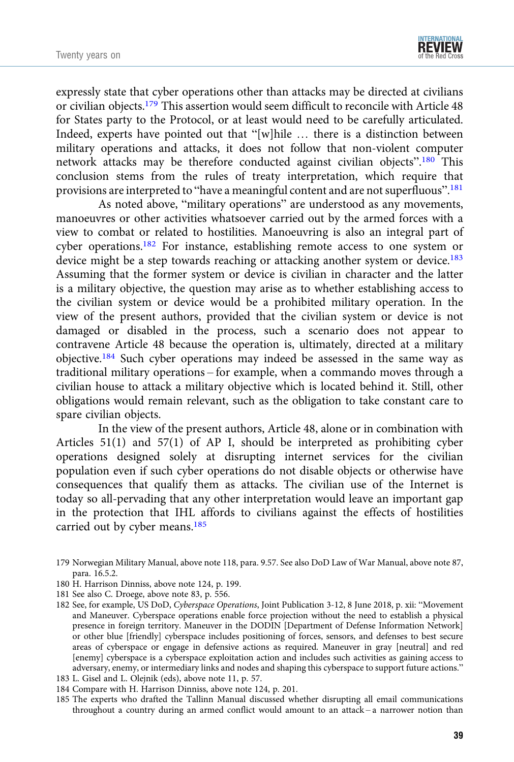

expressly state that cyber operations other than attacks may be directed at civilians or civilian objects.<sup>179</sup> This assertion would seem difficult to reconcile with Article 48 for States party to the Protocol, or at least would need to be carefully articulated. Indeed, experts have pointed out that "[w]hile … there is a distinction between military operations and attacks, it does not follow that non-violent computer network attacks may be therefore conducted against civilian objects".<sup>180</sup> This conclusion stems from the rules of treaty interpretation, which require that provisions are interpreted to "have a meaningful content and are not superfluous".<sup>181</sup>

As noted above, "military operations" are understood as any movements, manoeuvres or other activities whatsoever carried out by the armed forces with a view to combat or related to hostilities. Manoeuvring is also an integral part of cyber operations.182 For instance, establishing remote access to one system or device might be a step towards reaching or attacking another system or device.<sup>183</sup> Assuming that the former system or device is civilian in character and the latter is a military objective, the question may arise as to whether establishing access to the civilian system or device would be a prohibited military operation. In the view of the present authors, provided that the civilian system or device is not damaged or disabled in the process, such a scenario does not appear to contravene Article 48 because the operation is, ultimately, directed at a military objective.184 Such cyber operations may indeed be assessed in the same way as traditional military operations – for example, when a commando moves through a civilian house to attack a military objective which is located behind it. Still, other obligations would remain relevant, such as the obligation to take constant care to spare civilian objects.

In the view of the present authors, Article 48, alone or in combination with Articles  $51(1)$  and  $57(1)$  of AP I, should be interpreted as prohibiting cyber operations designed solely at disrupting internet services for the civilian population even if such cyber operations do not disable objects or otherwise have consequences that qualify them as attacks. The civilian use of the Internet is today so all-pervading that any other interpretation would leave an important gap in the protection that IHL affords to civilians against the effects of hostilities carried out by cyber means.185

- 180 H. Harrison Dinniss, above note 124, p. 199.
- 181 See also C. Droege, above note 83, p. 556.
- 182 See, for example, US DoD, Cyberspace Operations, Joint Publication 3-12, 8 June 2018, p. xii: "Movement and Maneuver. Cyberspace operations enable force projection without the need to establish a physical presence in foreign territory. Maneuver in the DODIN [Department of Defense Information Network] or other blue [friendly] cyberspace includes positioning of forces, sensors, and defenses to best secure areas of cyberspace or engage in defensive actions as required. Maneuver in gray [neutral] and red [enemy] cyberspace is a cyberspace exploitation action and includes such activities as gaining access to adversary, enemy, or intermediary links and nodes and shaping this cyberspace to support future actions."
- 183 L. Gisel and L. Olejnik (eds), above note 11, p. 57.
- 184 Compare with H. Harrison Dinniss, above note 124, p. 201.
- 185 The experts who drafted the Tallinn Manual discussed whether disrupting all email communications throughout a country during an armed conflict would amount to an attack – a narrower notion than

<sup>179</sup> Norwegian Military Manual, above note 118, para. 9.57. See also DoD Law of War Manual, above note 87, para. 16.5.2.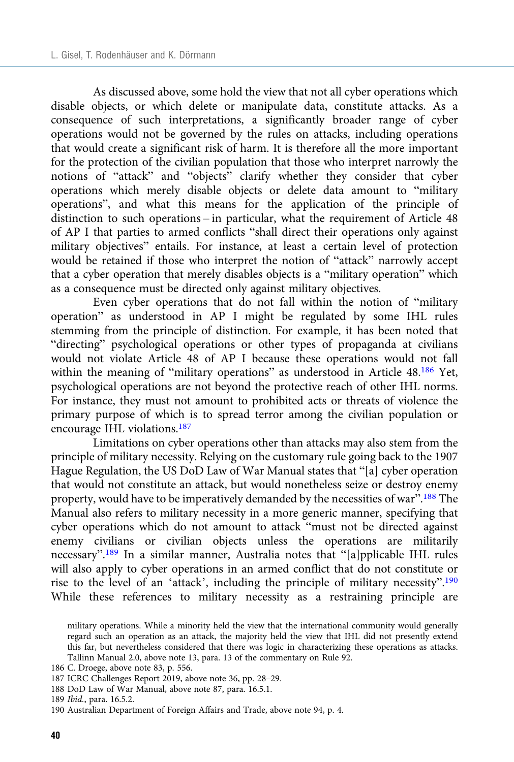As discussed above, some hold the view that not all cyber operations which disable objects, or which delete or manipulate data, constitute attacks. As a consequence of such interpretations, a significantly broader range of cyber operations would not be governed by the rules on attacks, including operations that would create a significant risk of harm. It is therefore all the more important for the protection of the civilian population that those who interpret narrowly the notions of "attack" and "objects" clarify whether they consider that cyber operations which merely disable objects or delete data amount to "military operations", and what this means for the application of the principle of distinction to such operations – in particular, what the requirement of Article 48 of AP I that parties to armed conflicts "shall direct their operations only against military objectives" entails. For instance, at least a certain level of protection would be retained if those who interpret the notion of "attack" narrowly accept that a cyber operation that merely disables objects is a "military operation" which as a consequence must be directed only against military objectives.

Even cyber operations that do not fall within the notion of "military operation" as understood in AP I might be regulated by some IHL rules stemming from the principle of distinction. For example, it has been noted that "directing" psychological operations or other types of propaganda at civilians would not violate Article 48 of AP I because these operations would not fall within the meaning of "military operations" as understood in Article 48.<sup>186</sup> Yet, psychological operations are not beyond the protective reach of other IHL norms. For instance, they must not amount to prohibited acts or threats of violence the primary purpose of which is to spread terror among the civilian population or encourage IHL violations.<sup>187</sup>

Limitations on cyber operations other than attacks may also stem from the principle of military necessity. Relying on the customary rule going back to the 1907 Hague Regulation, the US DoD Law of War Manual states that "[a] cyber operation that would not constitute an attack, but would nonetheless seize or destroy enemy property, would have to be imperatively demanded by the necessities of war".<sup>188</sup> The Manual also refers to military necessity in a more generic manner, specifying that cyber operations which do not amount to attack "must not be directed against enemy civilians or civilian objects unless the operations are militarily necessary".<sup>189</sup> In a similar manner, Australia notes that "[a]pplicable IHL rules will also apply to cyber operations in an armed conflict that do not constitute or rise to the level of an 'attack', including the principle of military necessity".<sup>190</sup> While these references to military necessity as a restraining principle are

military operations. While a minority held the view that the international community would generally regard such an operation as an attack, the majority held the view that IHL did not presently extend this far, but nevertheless considered that there was logic in characterizing these operations as attacks. Tallinn Manual 2.0, above note 13, para. 13 of the commentary on Rule 92.

188 DoD Law of War Manual, above note 87, para. 16.5.1.

<sup>186</sup> C. Droege, above note 83, p. 556.

<sup>187</sup> ICRC Challenges Report 2019, above note 36, pp. 28–29.

<sup>189</sup> Ibid., para. 16.5.2.

<sup>190</sup> Australian Department of Foreign Affairs and Trade, above note 94, p. 4.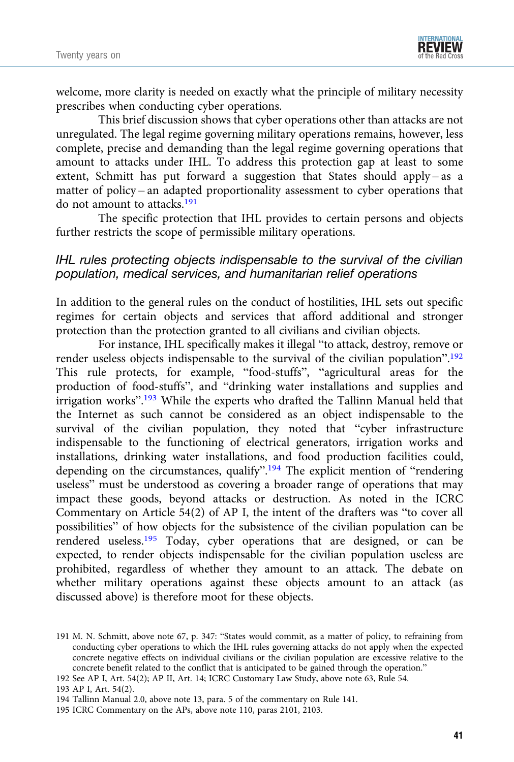

welcome, more clarity is needed on exactly what the principle of military necessity prescribes when conducting cyber operations.

This brief discussion shows that cyber operations other than attacks are not unregulated. The legal regime governing military operations remains, however, less complete, precise and demanding than the legal regime governing operations that amount to attacks under IHL. To address this protection gap at least to some extent, Schmitt has put forward a suggestion that States should apply – as a matter of policy – an adapted proportionality assessment to cyber operations that do not amount to attacks.191

The specific protection that IHL provides to certain persons and objects further restricts the scope of permissible military operations.

#### IHL rules protecting objects indispensable to the survival of the civilian population, medical services, and humanitarian relief operations

In addition to the general rules on the conduct of hostilities, IHL sets out specific regimes for certain objects and services that afford additional and stronger protection than the protection granted to all civilians and civilian objects.

For instance, IHL specifically makes it illegal "to attack, destroy, remove or render useless objects indispensable to the survival of the civilian population".<sup>192</sup> This rule protects, for example, "food-stuffs", "agricultural areas for the production of food-stuffs", and "drinking water installations and supplies and irrigation works".<sup>193</sup> While the experts who drafted the Tallinn Manual held that the Internet as such cannot be considered as an object indispensable to the survival of the civilian population, they noted that "cyber infrastructure indispensable to the functioning of electrical generators, irrigation works and installations, drinking water installations, and food production facilities could, depending on the circumstances, qualify".<sup>194</sup> The explicit mention of "rendering useless" must be understood as covering a broader range of operations that may impact these goods, beyond attacks or destruction. As noted in the ICRC Commentary on Article 54(2) of AP I, the intent of the drafters was "to cover all possibilities" of how objects for the subsistence of the civilian population can be rendered useless.195 Today, cyber operations that are designed, or can be expected, to render objects indispensable for the civilian population useless are prohibited, regardless of whether they amount to an attack. The debate on whether military operations against these objects amount to an attack (as discussed above) is therefore moot for these objects.

192 See AP I, Art. 54(2); AP II, Art. 14; ICRC Customary Law Study, above note 63, Rule 54.

<sup>191</sup> M. N. Schmitt, above note 67, p. 347: "States would commit, as a matter of policy, to refraining from conducting cyber operations to which the IHL rules governing attacks do not apply when the expected concrete negative effects on individual civilians or the civilian population are excessive relative to the concrete benefit related to the conflict that is anticipated to be gained through the operation."

<sup>193</sup> AP I, Art. 54(2).

<sup>194</sup> Tallinn Manual 2.0, above note 13, para. 5 of the commentary on Rule 141.

<sup>195</sup> ICRC Commentary on the APs, above note 110, paras 2101, 2103.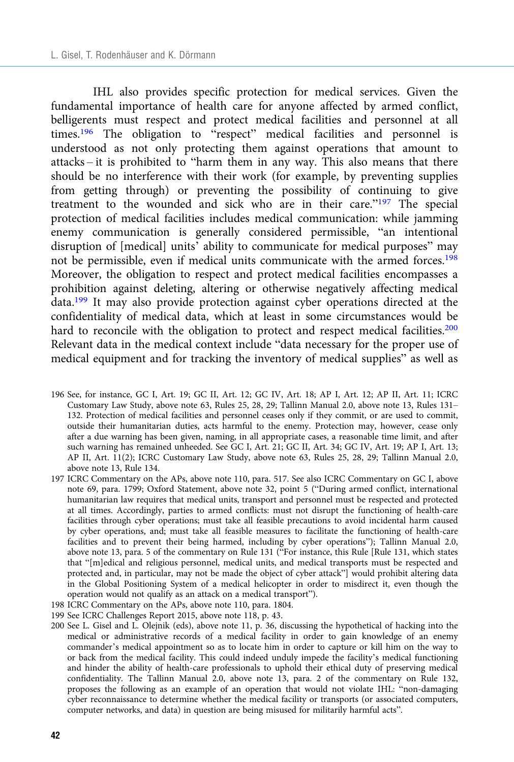IHL also provides specific protection for medical services. Given the fundamental importance of health care for anyone affected by armed conflict, belligerents must respect and protect medical facilities and personnel at all times.196 The obligation to "respect" medical facilities and personnel is understood as not only protecting them against operations that amount to attacks – it is prohibited to "harm them in any way. This also means that there should be no interference with their work (for example, by preventing supplies from getting through) or preventing the possibility of continuing to give treatment to the wounded and sick who are in their care."<sup>197</sup> The special protection of medical facilities includes medical communication: while jamming enemy communication is generally considered permissible, "an intentional disruption of [medical] units' ability to communicate for medical purposes" may not be permissible, even if medical units communicate with the armed forces.198 Moreover, the obligation to respect and protect medical facilities encompasses a prohibition against deleting, altering or otherwise negatively affecting medical data.199 It may also provide protection against cyber operations directed at the confidentiality of medical data, which at least in some circumstances would be hard to reconcile with the obligation to protect and respect medical facilities.<sup>200</sup> Relevant data in the medical context include "data necessary for the proper use of medical equipment and for tracking the inventory of medical supplies" as well as

- 196 See, for instance, GC I, Art. 19; GC II, Art. 12; GC IV, Art. 18; AP I, Art. 12; AP II, Art. 11; ICRC Customary Law Study, above note 63, Rules 25, 28, 29; Tallinn Manual 2.0, above note 13, Rules 131– 132. Protection of medical facilities and personnel ceases only if they commit, or are used to commit, outside their humanitarian duties, acts harmful to the enemy. Protection may, however, cease only after a due warning has been given, naming, in all appropriate cases, a reasonable time limit, and after such warning has remained unheeded. See GC I, Art. 21; GC II, Art. 34; GC IV, Art. 19; AP I, Art. 13; AP II, Art. 11(2); ICRC Customary Law Study, above note 63, Rules 25, 28, 29; Tallinn Manual 2.0, above note 13, Rule 134.
- 197 ICRC Commentary on the APs, above note 110, para. 517. See also ICRC Commentary on GC I, above note 69, para. 1799; Oxford Statement, above note 32, point 5 ("During armed conflict, international humanitarian law requires that medical units, transport and personnel must be respected and protected at all times. Accordingly, parties to armed conflicts: must not disrupt the functioning of health-care facilities through cyber operations; must take all feasible precautions to avoid incidental harm caused by cyber operations, and; must take all feasible measures to facilitate the functioning of health-care facilities and to prevent their being harmed, including by cyber operations"); Tallinn Manual 2.0, above note 13, para. 5 of the commentary on Rule 131 ("For instance, this Rule [Rule 131, which states that "[m]edical and religious personnel, medical units, and medical transports must be respected and protected and, in particular, may not be made the object of cyber attack"] would prohibit altering data in the Global Positioning System of a medical helicopter in order to misdirect it, even though the operation would not qualify as an attack on a medical transport").
- 198 ICRC Commentary on the APs, above note 110, para. 1804.
- 199 See ICRC Challenges Report 2015, above note 118, p. 43.
- 200 See L. Gisel and L. Olejnik (eds), above note 11, p. 36, discussing the hypothetical of hacking into the medical or administrative records of a medical facility in order to gain knowledge of an enemy commander's medical appointment so as to locate him in order to capture or kill him on the way to or back from the medical facility. This could indeed unduly impede the facility's medical functioning and hinder the ability of health-care professionals to uphold their ethical duty of preserving medical confidentiality. The Tallinn Manual 2.0, above note 13, para. 2 of the commentary on Rule 132, proposes the following as an example of an operation that would not violate IHL: "non-damaging cyber reconnaissance to determine whether the medical facility or transports (or associated computers, computer networks, and data) in question are being misused for militarily harmful acts".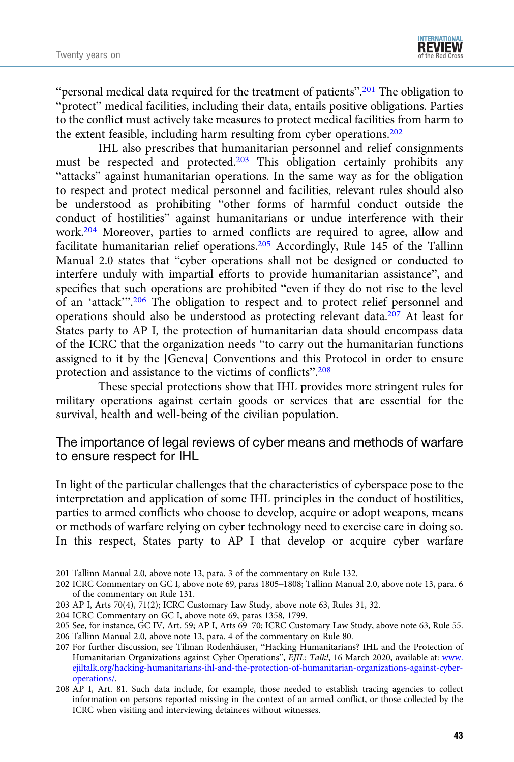

"personal medical data required for the treatment of patients".<sup>201</sup> The obligation to "protect" medical facilities, including their data, entails positive obligations. Parties to the conflict must actively take measures to protect medical facilities from harm to the extent feasible, including harm resulting from cyber operations.<sup>202</sup>

IHL also prescribes that humanitarian personnel and relief consignments must be respected and protected.<sup>203</sup> This obligation certainly prohibits any "attacks" against humanitarian operations. In the same way as for the obligation to respect and protect medical personnel and facilities, relevant rules should also be understood as prohibiting "other forms of harmful conduct outside the conduct of hostilities" against humanitarians or undue interference with their work.204 Moreover, parties to armed conflicts are required to agree, allow and facilitate humanitarian relief operations.205 Accordingly, Rule 145 of the Tallinn Manual 2.0 states that "cyber operations shall not be designed or conducted to interfere unduly with impartial efforts to provide humanitarian assistance", and specifies that such operations are prohibited "even if they do not rise to the level of an 'attack'".<sup>206</sup> The obligation to respect and to protect relief personnel and operations should also be understood as protecting relevant data.207 At least for States party to AP I, the protection of humanitarian data should encompass data of the ICRC that the organization needs "to carry out the humanitarian functions assigned to it by the [Geneva] Conventions and this Protocol in order to ensure protection and assistance to the victims of conflicts".<sup>208</sup>

These special protections show that IHL provides more stringent rules for military operations against certain goods or services that are essential for the survival, health and well-being of the civilian population.

# The importance of legal reviews of cyber means and methods of warfare to ensure respect for IHL

In light of the particular challenges that the characteristics of cyberspace pose to the interpretation and application of some IHL principles in the conduct of hostilities, parties to armed conflicts who choose to develop, acquire or adopt weapons, means or methods of warfare relying on cyber technology need to exercise care in doing so. In this respect, States party to AP I that develop or acquire cyber warfare

- 201 Tallinn Manual 2.0, above note 13, para. 3 of the commentary on Rule 132.
- 202 ICRC Commentary on GC I, above note 69, paras 1805–1808; Tallinn Manual 2.0, above note 13, para. 6 of the commentary on Rule 131.
- 203 AP I, Arts 70(4), 71(2); ICRC Customary Law Study, above note 63, Rules 31, 32.
- 204 ICRC Commentary on GC I, above note 69, paras 1358, 1799.
- 205 See, for instance, GC IV, Art. 59; AP I, Arts 69–70; ICRC Customary Law Study, above note 63, Rule 55.
- 206 Tallinn Manual 2.0, above note 13, para. 4 of the commentary on Rule 80.
- 207 For further discussion, see Tilman Rodenhäuser, "Hacking Humanitarians? IHL and the Protection of Humanitarian Organizations against Cyber Operations", EJIL: Talk!, 16 March 2020, available at: [www.](https://www.ejiltalk.org/hacking-humanitarians-ihl-and-the-protection-of-humanitarian-organizations-against-cyber-operations/) [ejiltalk.org/hacking-humanitarians-ihl-and-the-protection-of-humanitarian-organizations-against-cyber](https://www.ejiltalk.org/hacking-humanitarians-ihl-and-the-protection-of-humanitarian-organizations-against-cyber-operations/)[operations/](https://www.ejiltalk.org/hacking-humanitarians-ihl-and-the-protection-of-humanitarian-organizations-against-cyber-operations/).
- 208 AP I, Art. 81. Such data include, for example, those needed to establish tracing agencies to collect information on persons reported missing in the context of an armed conflict, or those collected by the ICRC when visiting and interviewing detainees without witnesses.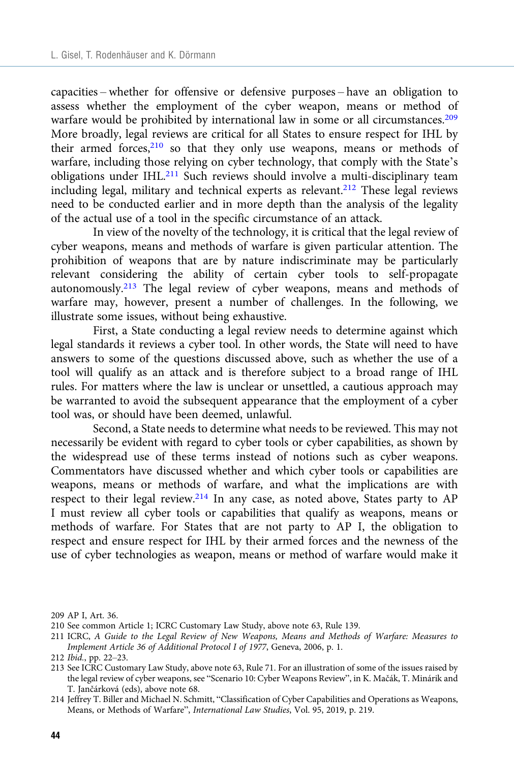capacities – whether for offensive or defensive purposes – have an obligation to assess whether the employment of the cyber weapon, means or method of warfare would be prohibited by international law in some or all circumstances.<sup>209</sup> More broadly, legal reviews are critical for all States to ensure respect for IHL by their armed forces,<sup>210</sup> so that they only use weapons, means or methods of warfare, including those relying on cyber technology, that comply with the State's obligations under IHL.211 Such reviews should involve a multi-disciplinary team including legal, military and technical experts as relevant.212 These legal reviews need to be conducted earlier and in more depth than the analysis of the legality of the actual use of a tool in the specific circumstance of an attack.

In view of the novelty of the technology, it is critical that the legal review of cyber weapons, means and methods of warfare is given particular attention. The prohibition of weapons that are by nature indiscriminate may be particularly relevant considering the ability of certain cyber tools to self-propagate autonomously.213 The legal review of cyber weapons, means and methods of warfare may, however, present a number of challenges. In the following, we illustrate some issues, without being exhaustive.

First, a State conducting a legal review needs to determine against which legal standards it reviews a cyber tool. In other words, the State will need to have answers to some of the questions discussed above, such as whether the use of a tool will qualify as an attack and is therefore subject to a broad range of IHL rules. For matters where the law is unclear or unsettled, a cautious approach may be warranted to avoid the subsequent appearance that the employment of a cyber tool was, or should have been deemed, unlawful.

Second, a State needs to determine what needs to be reviewed. This may not necessarily be evident with regard to cyber tools or cyber capabilities, as shown by the widespread use of these terms instead of notions such as cyber weapons. Commentators have discussed whether and which cyber tools or capabilities are weapons, means or methods of warfare, and what the implications are with respect to their legal review.214 In any case, as noted above, States party to AP I must review all cyber tools or capabilities that qualify as weapons, means or methods of warfare. For States that are not party to AP I, the obligation to respect and ensure respect for IHL by their armed forces and the newness of the use of cyber technologies as weapon, means or method of warfare would make it

<sup>209</sup> AP I, Art. 36.

<sup>210</sup> See common Article 1; ICRC Customary Law Study, above note 63, Rule 139.

<sup>211</sup> ICRC, A Guide to the Legal Review of New Weapons, Means and Methods of Warfare: Measures to Implement Article 36 of Additional Protocol I of 1977, Geneva, 2006, p. 1.

<sup>212</sup> Ibid., pp. 22–23.

<sup>213</sup> See ICRC Customary Law Study, above note 63, Rule 71. For an illustration of some of the issues raised by the legal review of cyber weapons, see "Scenario 10: Cyber Weapons Review", in K. Mačák, T. Minárik and T. Jančárková (eds), above note 68.

<sup>214</sup> Jeffrey T. Biller and Michael N. Schmitt, "Classification of Cyber Capabilities and Operations as Weapons, Means, or Methods of Warfare", International Law Studies, Vol. 95, 2019, p. 219.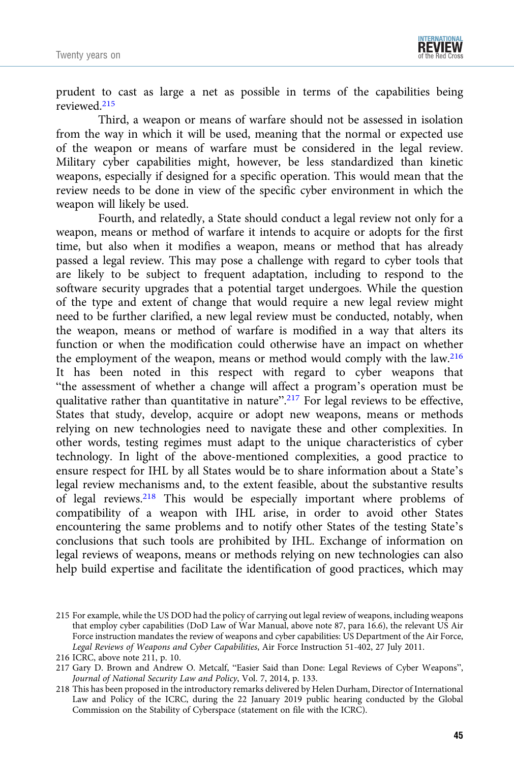

prudent to cast as large a net as possible in terms of the capabilities being reviewed.215

Third, a weapon or means of warfare should not be assessed in isolation from the way in which it will be used, meaning that the normal or expected use of the weapon or means of warfare must be considered in the legal review. Military cyber capabilities might, however, be less standardized than kinetic weapons, especially if designed for a specific operation. This would mean that the review needs to be done in view of the specific cyber environment in which the weapon will likely be used.

Fourth, and relatedly, a State should conduct a legal review not only for a weapon, means or method of warfare it intends to acquire or adopts for the first time, but also when it modifies a weapon, means or method that has already passed a legal review. This may pose a challenge with regard to cyber tools that are likely to be subject to frequent adaptation, including to respond to the software security upgrades that a potential target undergoes. While the question of the type and extent of change that would require a new legal review might need to be further clarified, a new legal review must be conducted, notably, when the weapon, means or method of warfare is modified in a way that alters its function or when the modification could otherwise have an impact on whether the employment of the weapon, means or method would comply with the law.<sup>216</sup> It has been noted in this respect with regard to cyber weapons that "the assessment of whether a change will affect a program's operation must be qualitative rather than quantitative in nature".<sup>217</sup> For legal reviews to be effective, States that study, develop, acquire or adopt new weapons, means or methods relying on new technologies need to navigate these and other complexities. In other words, testing regimes must adapt to the unique characteristics of cyber technology. In light of the above-mentioned complexities, a good practice to ensure respect for IHL by all States would be to share information about a State's legal review mechanisms and, to the extent feasible, about the substantive results of legal reviews.218 This would be especially important where problems of compatibility of a weapon with IHL arise, in order to avoid other States encountering the same problems and to notify other States of the testing State's conclusions that such tools are prohibited by IHL. Exchange of information on legal reviews of weapons, means or methods relying on new technologies can also help build expertise and facilitate the identification of good practices, which may

<sup>215</sup> For example, while the US DOD had the policy of carrying out legal review of weapons, including weapons that employ cyber capabilities (DoD Law of War Manual, above note 87, para 16.6), the relevant US Air Force instruction mandates the review of weapons and cyber capabilities: US Department of the Air Force, Legal Reviews of Weapons and Cyber Capabilities, Air Force Instruction 51-402, 27 July 2011.

<sup>216</sup> ICRC, above note 211, p. 10.

<sup>217</sup> Gary D. Brown and Andrew O. Metcalf, "Easier Said than Done: Legal Reviews of Cyber Weapons", Journal of National Security Law and Policy, Vol. 7, 2014, p. 133.

<sup>218</sup> This has been proposed in the introductory remarks delivered by Helen Durham, Director of International Law and Policy of the ICRC, during the 22 January 2019 public hearing conducted by the Global Commission on the Stability of Cyberspace (statement on file with the ICRC).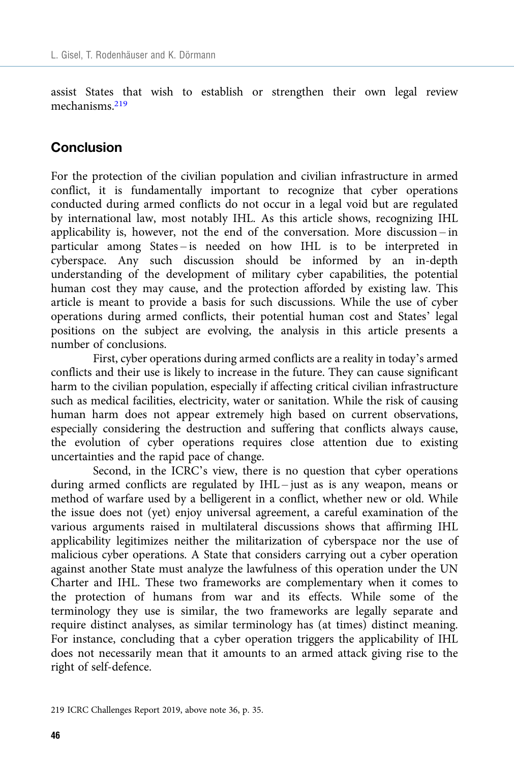assist States that wish to establish or strengthen their own legal review mechanisms.219

# **Conclusion**

For the protection of the civilian population and civilian infrastructure in armed conflict, it is fundamentally important to recognize that cyber operations conducted during armed conflicts do not occur in a legal void but are regulated by international law, most notably IHL. As this article shows, recognizing IHL applicability is, however, not the end of the conversation. More discussion – in particular among States – is needed on how IHL is to be interpreted in cyberspace. Any such discussion should be informed by an in-depth understanding of the development of military cyber capabilities, the potential human cost they may cause, and the protection afforded by existing law. This article is meant to provide a basis for such discussions. While the use of cyber operations during armed conflicts, their potential human cost and States' legal positions on the subject are evolving, the analysis in this article presents a number of conclusions.

First, cyber operations during armed conflicts are a reality in today's armed conflicts and their use is likely to increase in the future. They can cause significant harm to the civilian population, especially if affecting critical civilian infrastructure such as medical facilities, electricity, water or sanitation. While the risk of causing human harm does not appear extremely high based on current observations, especially considering the destruction and suffering that conflicts always cause, the evolution of cyber operations requires close attention due to existing uncertainties and the rapid pace of change.

Second, in the ICRC's view, there is no question that cyber operations during armed conflicts are regulated by IHL – just as is any weapon, means or method of warfare used by a belligerent in a conflict, whether new or old. While the issue does not (yet) enjoy universal agreement, a careful examination of the various arguments raised in multilateral discussions shows that affirming IHL applicability legitimizes neither the militarization of cyberspace nor the use of malicious cyber operations. A State that considers carrying out a cyber operation against another State must analyze the lawfulness of this operation under the UN Charter and IHL. These two frameworks are complementary when it comes to the protection of humans from war and its effects. While some of the terminology they use is similar, the two frameworks are legally separate and require distinct analyses, as similar terminology has (at times) distinct meaning. For instance, concluding that a cyber operation triggers the applicability of IHL does not necessarily mean that it amounts to an armed attack giving rise to the right of self-defence.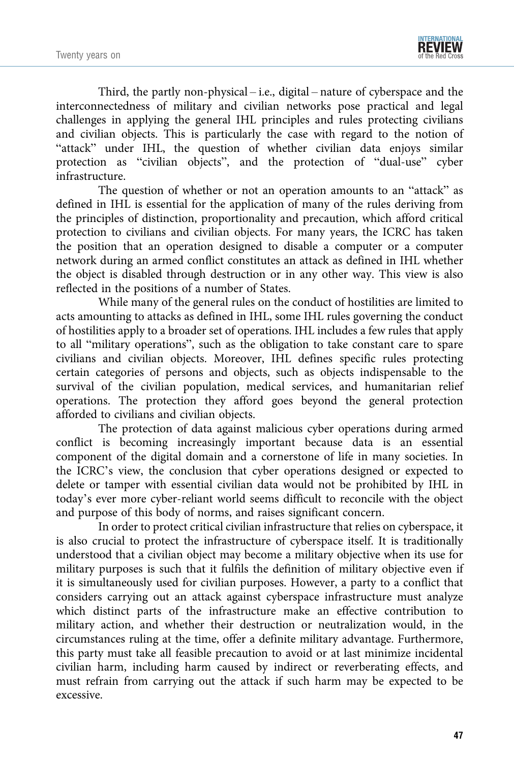

Third, the partly non-physical – i.e., digital – nature of cyberspace and the interconnectedness of military and civilian networks pose practical and legal challenges in applying the general IHL principles and rules protecting civilians and civilian objects. This is particularly the case with regard to the notion of "attack" under IHL, the question of whether civilian data enjoys similar protection as "civilian objects", and the protection of "dual-use" cyber infrastructure.

The question of whether or not an operation amounts to an "attack" as defined in IHL is essential for the application of many of the rules deriving from the principles of distinction, proportionality and precaution, which afford critical protection to civilians and civilian objects. For many years, the ICRC has taken the position that an operation designed to disable a computer or a computer network during an armed conflict constitutes an attack as defined in IHL whether the object is disabled through destruction or in any other way. This view is also reflected in the positions of a number of States.

While many of the general rules on the conduct of hostilities are limited to acts amounting to attacks as defined in IHL, some IHL rules governing the conduct of hostilities apply to a broader set of operations. IHL includes a few rules that apply to all "military operations", such as the obligation to take constant care to spare civilians and civilian objects. Moreover, IHL defines specific rules protecting certain categories of persons and objects, such as objects indispensable to the survival of the civilian population, medical services, and humanitarian relief operations. The protection they afford goes beyond the general protection afforded to civilians and civilian objects.

The protection of data against malicious cyber operations during armed conflict is becoming increasingly important because data is an essential component of the digital domain and a cornerstone of life in many societies. In the ICRC's view, the conclusion that cyber operations designed or expected to delete or tamper with essential civilian data would not be prohibited by IHL in today's ever more cyber-reliant world seems difficult to reconcile with the object and purpose of this body of norms, and raises significant concern.

In order to protect critical civilian infrastructure that relies on cyberspace, it is also crucial to protect the infrastructure of cyberspace itself. It is traditionally understood that a civilian object may become a military objective when its use for military purposes is such that it fulfils the definition of military objective even if it is simultaneously used for civilian purposes. However, a party to a conflict that considers carrying out an attack against cyberspace infrastructure must analyze which distinct parts of the infrastructure make an effective contribution to military action, and whether their destruction or neutralization would, in the circumstances ruling at the time, offer a definite military advantage. Furthermore, this party must take all feasible precaution to avoid or at last minimize incidental civilian harm, including harm caused by indirect or reverberating effects, and must refrain from carrying out the attack if such harm may be expected to be excessive.